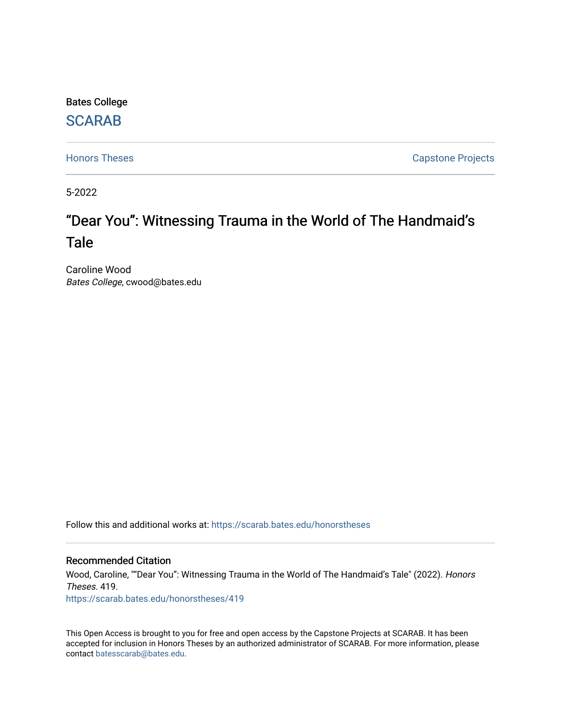## Bates College

# **SCARAB**

[Honors Theses](https://scarab.bates.edu/honorstheses) **Capstone Projects** 

5-2022

# "Dear You": Witnessing Trauma in the World of The Handmaid's Tale

Caroline Wood Bates College, cwood@bates.edu

Follow this and additional works at: [https://scarab.bates.edu/honorstheses](https://scarab.bates.edu/honorstheses?utm_source=scarab.bates.edu%2Fhonorstheses%2F419&utm_medium=PDF&utm_campaign=PDFCoverPages) 

### Recommended Citation

Wood, Caroline, ""Dear You": Witnessing Trauma in the World of The Handmaid's Tale" (2022). Honors Theses. 419.

[https://scarab.bates.edu/honorstheses/419](https://scarab.bates.edu/honorstheses/419?utm_source=scarab.bates.edu%2Fhonorstheses%2F419&utm_medium=PDF&utm_campaign=PDFCoverPages) 

This Open Access is brought to you for free and open access by the Capstone Projects at SCARAB. It has been accepted for inclusion in Honors Theses by an authorized administrator of SCARAB. For more information, please contact [batesscarab@bates.edu](mailto:batesscarab@bates.edu).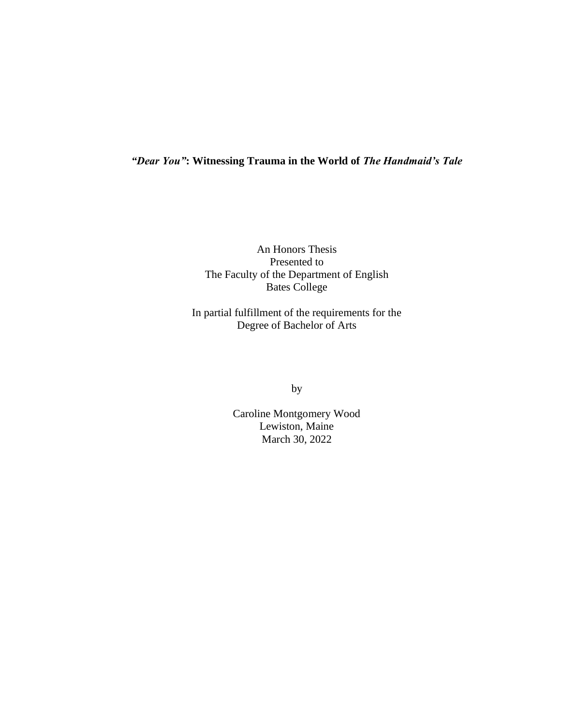### *"Dear You"***: Witnessing Trauma in the World of** *The Handmaid's Tale*

An Honors Thesis Presented to The Faculty of the Department of English Bates College

In partial fulfillment of the requirements for the Degree of Bachelor of Arts

by

Caroline Montgomery Wood Lewiston, Maine March 30, 2022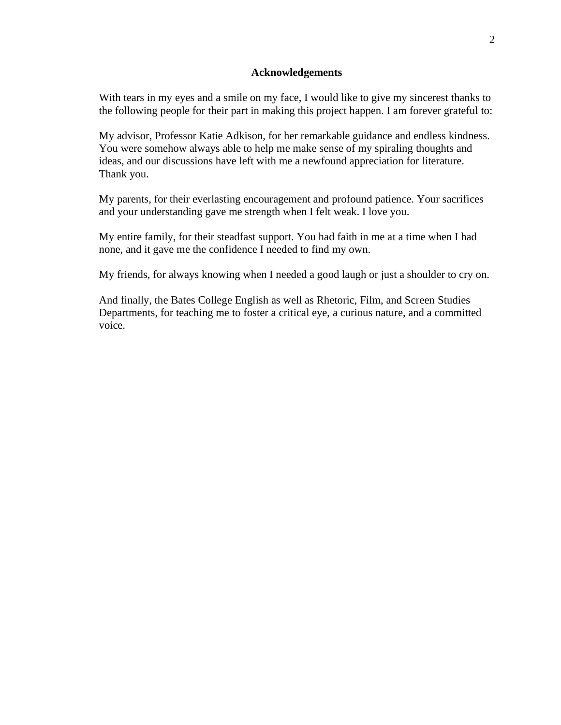### **Acknowledgements**

With tears in my eyes and a smile on my face, I would like to give my sincerest thanks to the following people for their part in making this project happen. I am forever grateful to:

My advisor, Professor Katie Adkison, for her remarkable guidance and endless kindness. You were somehow always able to help me make sense of my spiraling thoughts and ideas, and our discussions have left with me a newfound appreciation for literature. Thank you.

My parents, for their everlasting encouragement and profound patience. Your sacrifices and your understanding gave me strength when I felt weak. I love you.

My entire family, for their steadfast support. You had faith in me at a time when I had none, and it gave me the confidence I needed to find my own.

My friends, for always knowing when I needed a good laugh or just a shoulder to cry on.

And finally, the Bates College English as well as Rhetoric, Film, and Screen Studies Departments, for teaching me to foster a critical eye, a curious nature, and a committed voice.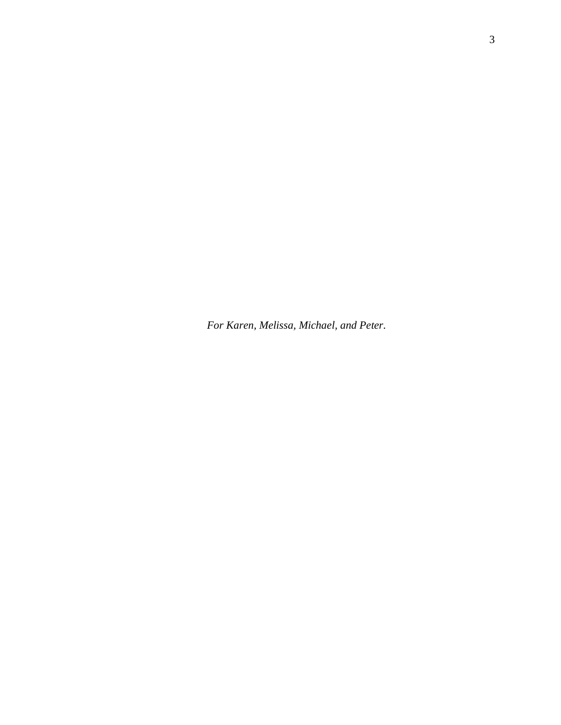*For Karen, Melissa, Michael, and Peter.*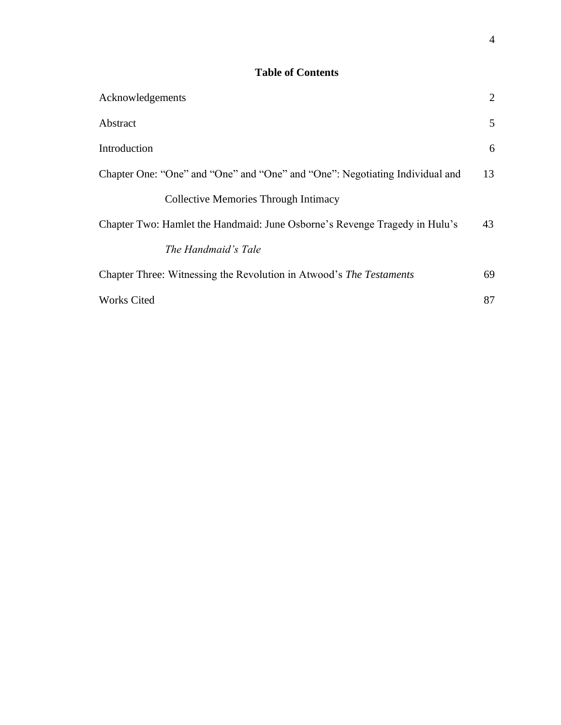# **Table of Contents**

| Acknowledgements                                                             | $\overline{2}$ |
|------------------------------------------------------------------------------|----------------|
| Abstract                                                                     | 5              |
| Introduction                                                                 | 6              |
| Chapter One: "One" and "One" and "One" and "One": Negotiating Individual and | 13             |
| <b>Collective Memories Through Intimacy</b>                                  |                |
| Chapter Two: Hamlet the Handmaid: June Osborne's Revenge Tragedy in Hulu's   | 43             |
| The Handmaid's Tale                                                          |                |
| Chapter Three: Witnessing the Revolution in Atwood's The Testaments          | 69             |
| <b>Works Cited</b>                                                           | 87             |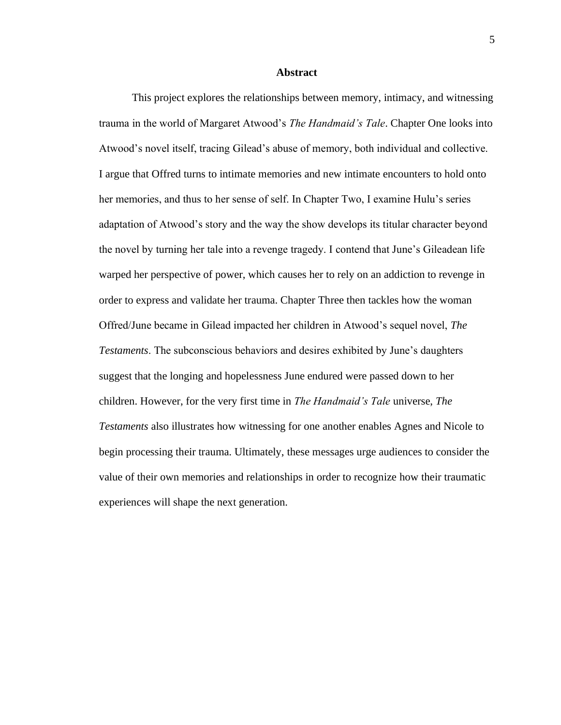#### **Abstract**

This project explores the relationships between memory, intimacy, and witnessing trauma in the world of Margaret Atwood's *The Handmaid's Tale*. Chapter One looks into Atwood's novel itself, tracing Gilead's abuse of memory, both individual and collective. I argue that Offred turns to intimate memories and new intimate encounters to hold onto her memories, and thus to her sense of self. In Chapter Two, I examine Hulu's series adaptation of Atwood's story and the way the show develops its titular character beyond the novel by turning her tale into a revenge tragedy. I contend that June's Gileadean life warped her perspective of power, which causes her to rely on an addiction to revenge in order to express and validate her trauma. Chapter Three then tackles how the woman Offred/June became in Gilead impacted her children in Atwood's sequel novel, *The Testaments*. The subconscious behaviors and desires exhibited by June's daughters suggest that the longing and hopelessness June endured were passed down to her children. However, for the very first time in *The Handmaid's Tale* universe, *The Testaments* also illustrates how witnessing for one another enables Agnes and Nicole to begin processing their trauma. Ultimately, these messages urge audiences to consider the value of their own memories and relationships in order to recognize how their traumatic experiences will shape the next generation.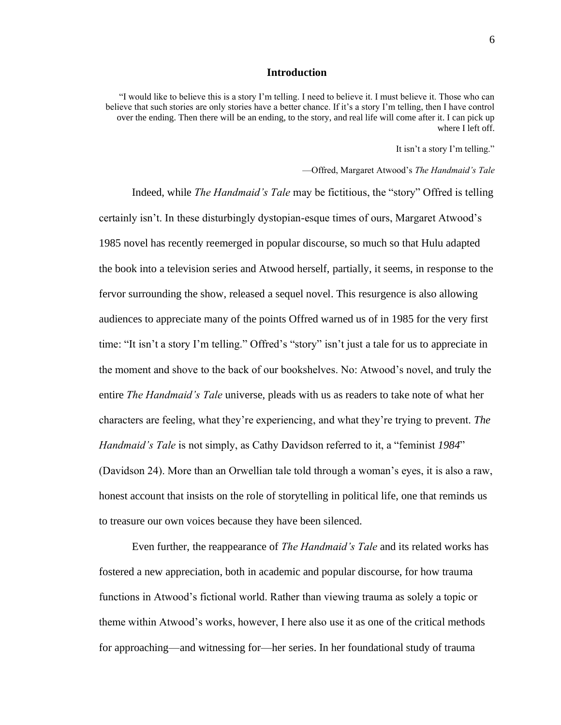### **Introduction**

"I would like to believe this is a story I'm telling. I need to believe it. I must believe it. Those who can believe that such stories are only stories have a better chance. If it's a story I'm telling, then I have control over the ending. Then there will be an ending, to the story, and real life will come after it. I can pick up where I left off.

It isn't a story I'm telling."

—Offred, Margaret Atwood's *The Handmaid's Tale*

Indeed, while *The Handmaid's Tale* may be fictitious, the "story" Offred is telling certainly isn't. In these disturbingly dystopian-esque times of ours, Margaret Atwood's 1985 novel has recently reemerged in popular discourse, so much so that Hulu adapted the book into a television series and Atwood herself, partially, it seems, in response to the fervor surrounding the show, released a sequel novel. This resurgence is also allowing audiences to appreciate many of the points Offred warned us of in 1985 for the very first time: "It isn't a story I'm telling." Offred's "story" isn't just a tale for us to appreciate in the moment and shove to the back of our bookshelves. No: Atwood's novel, and truly the entire *The Handmaid's Tale* universe, pleads with us as readers to take note of what her characters are feeling, what they're experiencing, and what they're trying to prevent. *The Handmaid's Tale* is not simply, as Cathy Davidson referred to it, a "feminist *1984*" (Davidson 24). More than an Orwellian tale told through a woman's eyes, it is also a raw, honest account that insists on the role of storytelling in political life, one that reminds us to treasure our own voices because they have been silenced.

Even further, the reappearance of *The Handmaid's Tale* and its related works has fostered a new appreciation, both in academic and popular discourse, for how trauma functions in Atwood's fictional world. Rather than viewing trauma as solely a topic or theme within Atwood's works, however, I here also use it as one of the critical methods for approaching—and witnessing for—her series. In her foundational study of trauma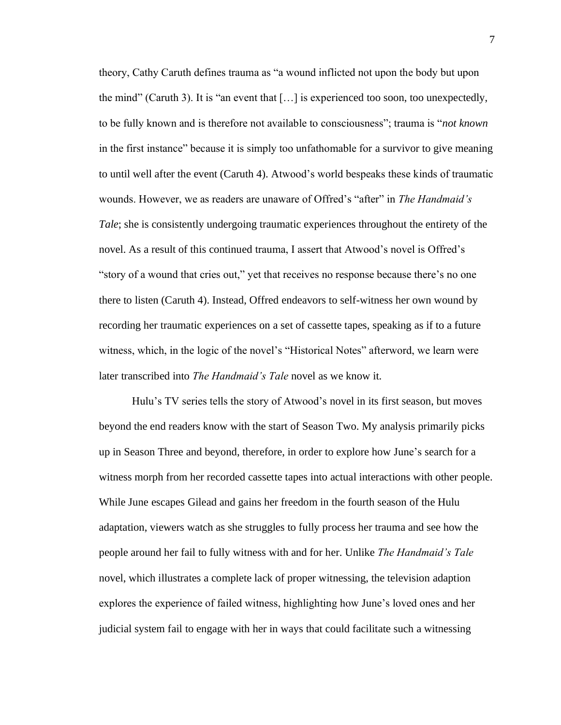theory, Cathy Caruth defines trauma as "a wound inflicted not upon the body but upon the mind" (Caruth 3). It is "an event that  $[\ldots]$  is experienced too soon, too unexpectedly, to be fully known and is therefore not available to consciousness"; trauma is "*not known* in the first instance" because it is simply too unfathomable for a survivor to give meaning to until well after the event (Caruth 4). Atwood's world bespeaks these kinds of traumatic wounds. However, we as readers are unaware of Offred's "after" in *The Handmaid's Tale*; she is consistently undergoing traumatic experiences throughout the entirety of the novel. As a result of this continued trauma, I assert that Atwood's novel is Offred's "story of a wound that cries out," yet that receives no response because there's no one there to listen (Caruth 4). Instead, Offred endeavors to self-witness her own wound by recording her traumatic experiences on a set of cassette tapes, speaking as if to a future witness, which, in the logic of the novel's "Historical Notes" afterword, we learn were later transcribed into *The Handmaid's Tale* novel as we know it.

Hulu's TV series tells the story of Atwood's novel in its first season, but moves beyond the end readers know with the start of Season Two. My analysis primarily picks up in Season Three and beyond, therefore, in order to explore how June's search for a witness morph from her recorded cassette tapes into actual interactions with other people. While June escapes Gilead and gains her freedom in the fourth season of the Hulu adaptation, viewers watch as she struggles to fully process her trauma and see how the people around her fail to fully witness with and for her. Unlike *The Handmaid's Tale* novel, which illustrates a complete lack of proper witnessing, the television adaption explores the experience of failed witness, highlighting how June's loved ones and her judicial system fail to engage with her in ways that could facilitate such a witnessing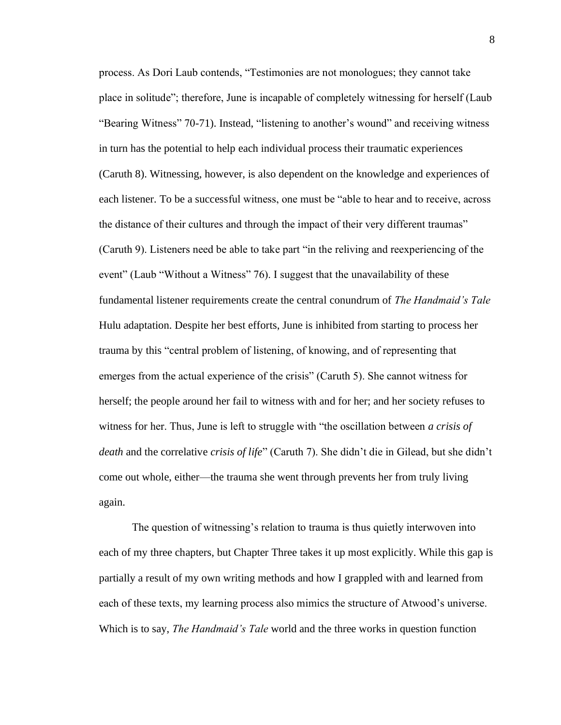process. As Dori Laub contends, "Testimonies are not monologues; they cannot take place in solitude"; therefore, June is incapable of completely witnessing for herself (Laub "Bearing Witness" 70-71). Instead, "listening to another's wound" and receiving witness in turn has the potential to help each individual process their traumatic experiences (Caruth 8). Witnessing, however, is also dependent on the knowledge and experiences of each listener. To be a successful witness, one must be "able to hear and to receive, across the distance of their cultures and through the impact of their very different traumas" (Caruth 9). Listeners need be able to take part "in the reliving and reexperiencing of the event" (Laub "Without a Witness" 76). I suggest that the unavailability of these fundamental listener requirements create the central conundrum of *The Handmaid's Tale* Hulu adaptation. Despite her best efforts, June is inhibited from starting to process her trauma by this "central problem of listening, of knowing, and of representing that emerges from the actual experience of the crisis" (Caruth 5). She cannot witness for herself; the people around her fail to witness with and for her; and her society refuses to witness for her. Thus, June is left to struggle with "the oscillation between *a crisis of death* and the correlative *crisis of life*" (Caruth 7). She didn't die in Gilead, but she didn't come out whole, either—the trauma she went through prevents her from truly living again.

The question of witnessing's relation to trauma is thus quietly interwoven into each of my three chapters, but Chapter Three takes it up most explicitly. While this gap is partially a result of my own writing methods and how I grappled with and learned from each of these texts, my learning process also mimics the structure of Atwood's universe. Which is to say, *The Handmaid's Tale* world and the three works in question function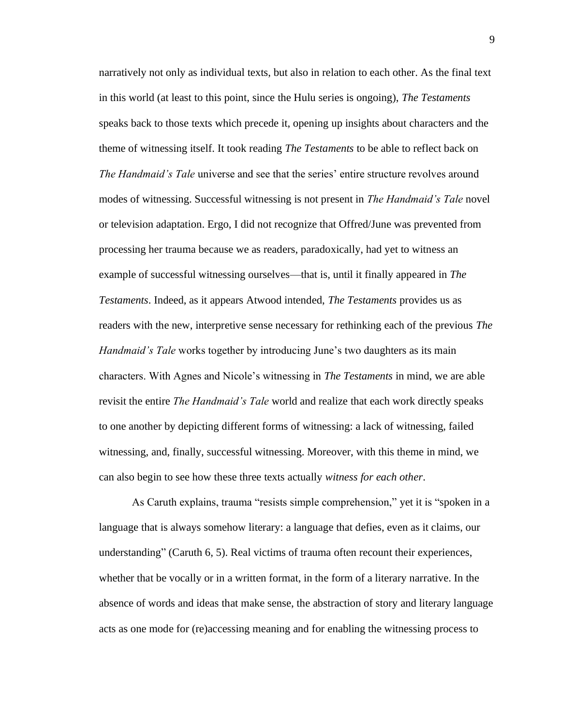narratively not only as individual texts, but also in relation to each other. As the final text in this world (at least to this point, since the Hulu series is ongoing), *The Testaments*  speaks back to those texts which precede it, opening up insights about characters and the theme of witnessing itself. It took reading *The Testaments* to be able to reflect back on *The Handmaid's Tale* universe and see that the series' entire structure revolves around modes of witnessing. Successful witnessing is not present in *The Handmaid's Tale* novel or television adaptation. Ergo, I did not recognize that Offred/June was prevented from processing her trauma because we as readers, paradoxically, had yet to witness an example of successful witnessing ourselves—that is, until it finally appeared in *The Testaments*. Indeed, as it appears Atwood intended, *The Testaments* provides us as readers with the new, interpretive sense necessary for rethinking each of the previous *The Handmaid's Tale* works together by introducing June's two daughters as its main characters. With Agnes and Nicole's witnessing in *The Testaments* in mind, we are able revisit the entire *The Handmaid's Tale* world and realize that each work directly speaks to one another by depicting different forms of witnessing: a lack of witnessing, failed witnessing, and, finally, successful witnessing. Moreover, with this theme in mind, we can also begin to see how these three texts actually *witness for each other*.

As Caruth explains, trauma "resists simple comprehension," yet it is "spoken in a language that is always somehow literary: a language that defies, even as it claims, our understanding" (Caruth 6, 5). Real victims of trauma often recount their experiences, whether that be vocally or in a written format, in the form of a literary narrative. In the absence of words and ideas that make sense, the abstraction of story and literary language acts as one mode for (re)accessing meaning and for enabling the witnessing process to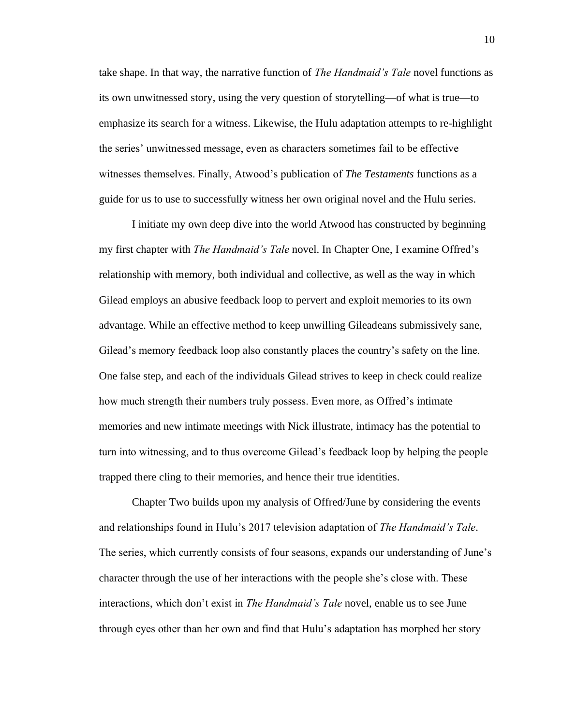take shape. In that way, the narrative function of *The Handmaid's Tale* novel functions as its own unwitnessed story, using the very question of storytelling—of what is true—to emphasize its search for a witness. Likewise, the Hulu adaptation attempts to re-highlight the series' unwitnessed message, even as characters sometimes fail to be effective witnesses themselves. Finally, Atwood's publication of *The Testaments* functions as a guide for us to use to successfully witness her own original novel and the Hulu series.

I initiate my own deep dive into the world Atwood has constructed by beginning my first chapter with *The Handmaid's Tale* novel. In Chapter One, I examine Offred's relationship with memory, both individual and collective, as well as the way in which Gilead employs an abusive feedback loop to pervert and exploit memories to its own advantage. While an effective method to keep unwilling Gileadeans submissively sane, Gilead's memory feedback loop also constantly places the country's safety on the line. One false step, and each of the individuals Gilead strives to keep in check could realize how much strength their numbers truly possess. Even more, as Offred's intimate memories and new intimate meetings with Nick illustrate, intimacy has the potential to turn into witnessing, and to thus overcome Gilead's feedback loop by helping the people trapped there cling to their memories, and hence their true identities.

Chapter Two builds upon my analysis of Offred/June by considering the events and relationships found in Hulu's 2017 television adaptation of *The Handmaid's Tale*. The series, which currently consists of four seasons, expands our understanding of June's character through the use of her interactions with the people she's close with. These interactions, which don't exist in *The Handmaid's Tale* novel, enable us to see June through eyes other than her own and find that Hulu's adaptation has morphed her story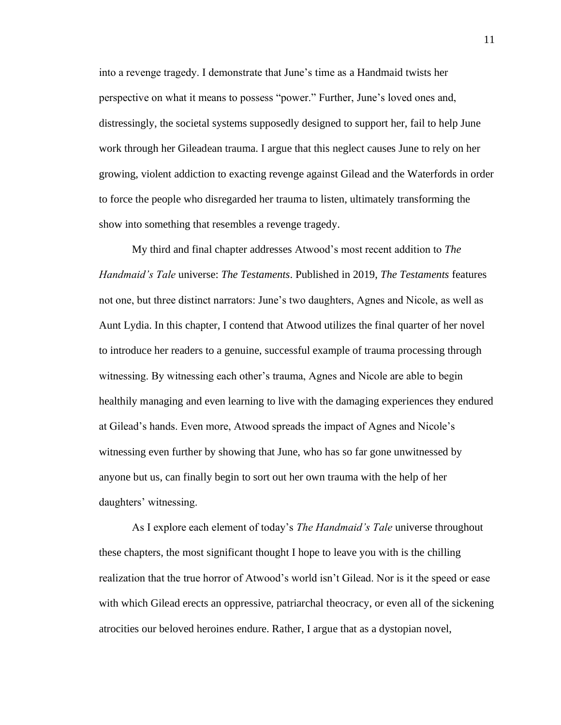into a revenge tragedy. I demonstrate that June's time as a Handmaid twists her perspective on what it means to possess "power." Further, June's loved ones and, distressingly, the societal systems supposedly designed to support her, fail to help June work through her Gileadean trauma. I argue that this neglect causes June to rely on her growing, violent addiction to exacting revenge against Gilead and the Waterfords in order to force the people who disregarded her trauma to listen, ultimately transforming the show into something that resembles a revenge tragedy.

My third and final chapter addresses Atwood's most recent addition to *The Handmaid's Tale* universe: *The Testaments*. Published in 2019, *The Testaments* features not one, but three distinct narrators: June's two daughters, Agnes and Nicole, as well as Aunt Lydia. In this chapter, I contend that Atwood utilizes the final quarter of her novel to introduce her readers to a genuine, successful example of trauma processing through witnessing. By witnessing each other's trauma, Agnes and Nicole are able to begin healthily managing and even learning to live with the damaging experiences they endured at Gilead's hands. Even more, Atwood spreads the impact of Agnes and Nicole's witnessing even further by showing that June, who has so far gone unwitnessed by anyone but us, can finally begin to sort out her own trauma with the help of her daughters' witnessing.

As I explore each element of today's *The Handmaid's Tale* universe throughout these chapters, the most significant thought I hope to leave you with is the chilling realization that the true horror of Atwood's world isn't Gilead. Nor is it the speed or ease with which Gilead erects an oppressive, patriarchal theocracy, or even all of the sickening atrocities our beloved heroines endure. Rather, I argue that as a dystopian novel,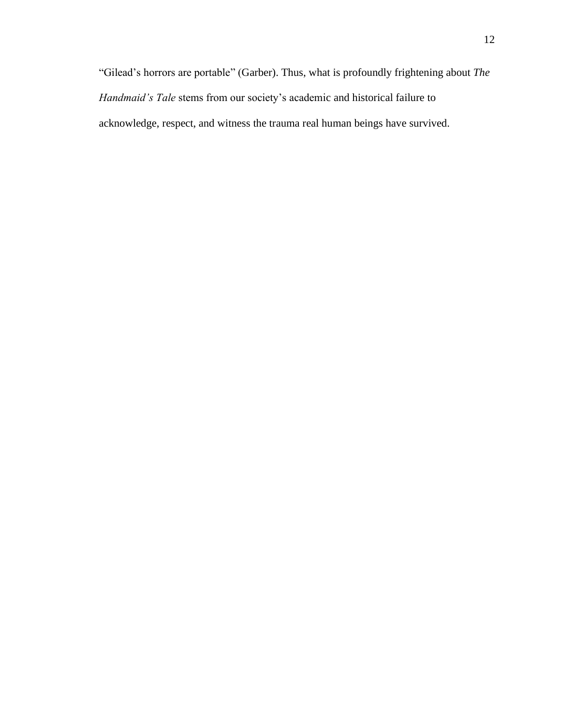"Gilead's horrors are portable" (Garber). Thus, what is profoundly frightening about *The Handmaid's Tale* stems from our society's academic and historical failure to acknowledge, respect, and witness the trauma real human beings have survived.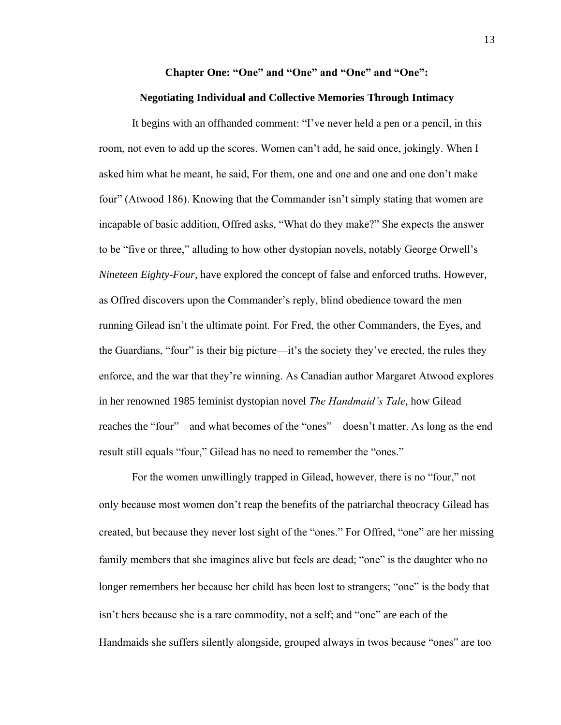#### **Chapter One: "One" and "One" and "One" and "One":**

### **Negotiating Individual and Collective Memories Through Intimacy**

It begins with an offhanded comment: "I've never held a pen or a pencil, in this room, not even to add up the scores. Women can't add, he said once, jokingly. When I asked him what he meant, he said, For them, one and one and one and one don't make four" (Atwood 186). Knowing that the Commander isn't simply stating that women are incapable of basic addition, Offred asks, "What do they make?" She expects the answer to be "five or three," alluding to how other dystopian novels, notably George Orwell's *Nineteen Eighty-Four*, have explored the concept of false and enforced truths. However, as Offred discovers upon the Commander's reply, blind obedience toward the men running Gilead isn't the ultimate point. For Fred, the other Commanders, the Eyes, and the Guardians, "four" is their big picture—it's the society they've erected, the rules they enforce, and the war that they're winning. As Canadian author Margaret Atwood explores in her renowned 1985 feminist dystopian novel *The Handmaid's Tale*, how Gilead reaches the "four"—and what becomes of the "ones"—doesn't matter. As long as the end result still equals "four," Gilead has no need to remember the "ones."

For the women unwillingly trapped in Gilead, however, there is no "four," not only because most women don't reap the benefits of the patriarchal theocracy Gilead has created, but because they never lost sight of the "ones." For Offred, "one" are her missing family members that she imagines alive but feels are dead; "one" is the daughter who no longer remembers her because her child has been lost to strangers; "one" is the body that isn't hers because she is a rare commodity, not a self; and "one" are each of the Handmaids she suffers silently alongside, grouped always in twos because "ones" are too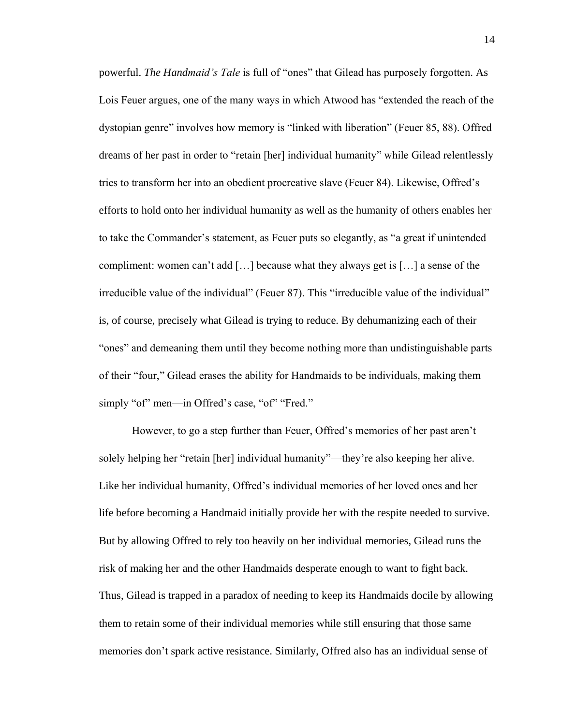powerful. *The Handmaid's Tale* is full of "ones" that Gilead has purposely forgotten. As Lois Feuer argues, one of the many ways in which Atwood has "extended the reach of the dystopian genre" involves how memory is "linked with liberation" (Feuer 85, 88). Offred dreams of her past in order to "retain [her] individual humanity" while Gilead relentlessly tries to transform her into an obedient procreative slave (Feuer 84). Likewise, Offred's efforts to hold onto her individual humanity as well as the humanity of others enables her to take the Commander's statement, as Feuer puts so elegantly, as "a great if unintended compliment: women can't add […] because what they always get is […] a sense of the irreducible value of the individual" (Feuer 87). This "irreducible value of the individual" is, of course, precisely what Gilead is trying to reduce. By dehumanizing each of their "ones" and demeaning them until they become nothing more than undistinguishable parts of their "four," Gilead erases the ability for Handmaids to be individuals, making them simply "of" men—in Offred's case, "of" "Fred."

However, to go a step further than Feuer, Offred's memories of her past aren't solely helping her "retain [her] individual humanity"—they're also keeping her alive. Like her individual humanity, Offred's individual memories of her loved ones and her life before becoming a Handmaid initially provide her with the respite needed to survive. But by allowing Offred to rely too heavily on her individual memories, Gilead runs the risk of making her and the other Handmaids desperate enough to want to fight back. Thus, Gilead is trapped in a paradox of needing to keep its Handmaids docile by allowing them to retain some of their individual memories while still ensuring that those same memories don't spark active resistance. Similarly, Offred also has an individual sense of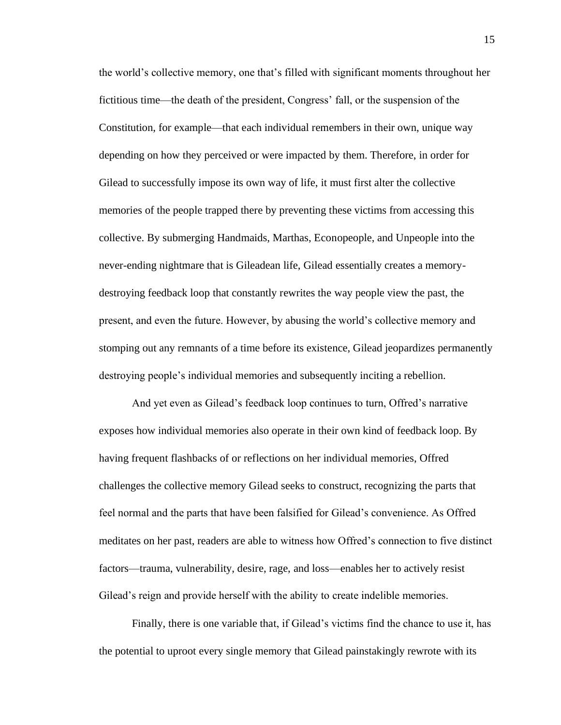the world's collective memory, one that's filled with significant moments throughout her fictitious time—the death of the president, Congress' fall, or the suspension of the Constitution, for example—that each individual remembers in their own, unique way depending on how they perceived or were impacted by them. Therefore, in order for Gilead to successfully impose its own way of life, it must first alter the collective memories of the people trapped there by preventing these victims from accessing this collective. By submerging Handmaids, Marthas, Econopeople, and Unpeople into the never-ending nightmare that is Gileadean life, Gilead essentially creates a memorydestroying feedback loop that constantly rewrites the way people view the past, the present, and even the future. However, by abusing the world's collective memory and stomping out any remnants of a time before its existence, Gilead jeopardizes permanently destroying people's individual memories and subsequently inciting a rebellion.

And yet even as Gilead's feedback loop continues to turn, Offred's narrative exposes how individual memories also operate in their own kind of feedback loop. By having frequent flashbacks of or reflections on her individual memories, Offred challenges the collective memory Gilead seeks to construct, recognizing the parts that feel normal and the parts that have been falsified for Gilead's convenience. As Offred meditates on her past, readers are able to witness how Offred's connection to five distinct factors—trauma, vulnerability, desire, rage, and loss—enables her to actively resist Gilead's reign and provide herself with the ability to create indelible memories.

Finally, there is one variable that, if Gilead's victims find the chance to use it, has the potential to uproot every single memory that Gilead painstakingly rewrote with its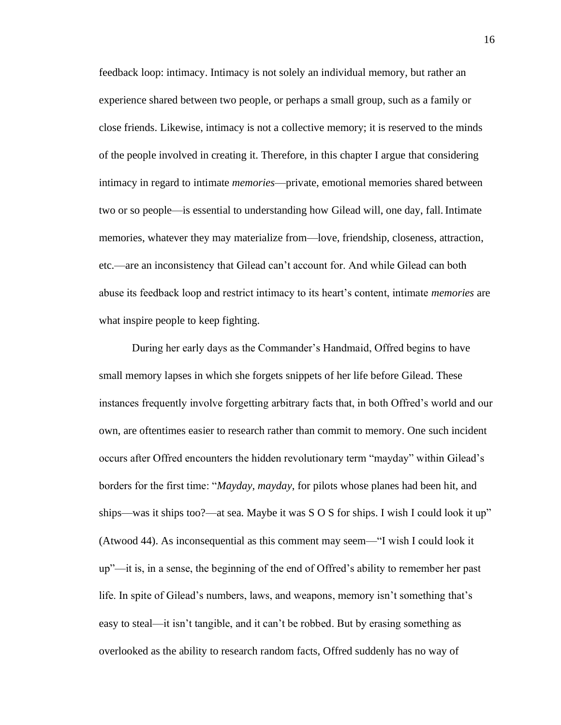feedback loop: intimacy. Intimacy is not solely an individual memory, but rather an experience shared between two people, or perhaps a small group, such as a family or close friends. Likewise, intimacy is not a collective memory; it is reserved to the minds of the people involved in creating it. Therefore, in this chapter I argue that considering intimacy in regard to intimate *memories*—private, emotional memories shared between two or so people—is essential to understanding how Gilead will, one day, fall. Intimate memories, whatever they may materialize from—love, friendship, closeness, attraction, etc.—are an inconsistency that Gilead can't account for. And while Gilead can both abuse its feedback loop and restrict intimacy to its heart's content, intimate *memories* are what inspire people to keep fighting.

During her early days as the Commander's Handmaid, Offred begins to have small memory lapses in which she forgets snippets of her life before Gilead. These instances frequently involve forgetting arbitrary facts that, in both Offred's world and our own, are oftentimes easier to research rather than commit to memory. One such incident occurs after Offred encounters the hidden revolutionary term "mayday" within Gilead's borders for the first time: "*Mayday*, *mayday*, for pilots whose planes had been hit, and ships—was it ships too?—at sea. Maybe it was S O S for ships. I wish I could look it up" (Atwood 44). As inconsequential as this comment may seem—"I wish I could look it up"—it is, in a sense, the beginning of the end of Offred's ability to remember her past life. In spite of Gilead's numbers, laws, and weapons, memory isn't something that's easy to steal—it isn't tangible, and it can't be robbed. But by erasing something as overlooked as the ability to research random facts, Offred suddenly has no way of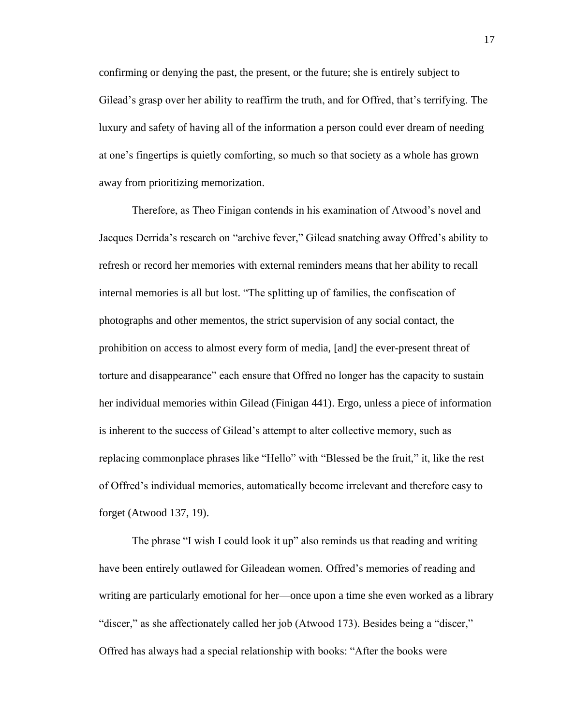confirming or denying the past, the present, or the future; she is entirely subject to Gilead's grasp over her ability to reaffirm the truth, and for Offred, that's terrifying. The luxury and safety of having all of the information a person could ever dream of needing at one's fingertips is quietly comforting, so much so that society as a whole has grown away from prioritizing memorization.

Therefore, as Theo Finigan contends in his examination of Atwood's novel and Jacques Derrida's research on "archive fever," Gilead snatching away Offred's ability to refresh or record her memories with external reminders means that her ability to recall internal memories is all but lost. "The splitting up of families, the confiscation of photographs and other mementos, the strict supervision of any social contact, the prohibition on access to almost every form of media, [and] the ever-present threat of torture and disappearance" each ensure that Offred no longer has the capacity to sustain her individual memories within Gilead (Finigan 441). Ergo, unless a piece of information is inherent to the success of Gilead's attempt to alter collective memory, such as replacing commonplace phrases like "Hello" with "Blessed be the fruit," it, like the rest of Offred's individual memories, automatically become irrelevant and therefore easy to forget (Atwood 137, 19).

The phrase "I wish I could look it up" also reminds us that reading and writing have been entirely outlawed for Gileadean women. Offred's memories of reading and writing are particularly emotional for her—once upon a time she even worked as a library "discer," as she affectionately called her job (Atwood 173). Besides being a "discer," Offred has always had a special relationship with books: "After the books were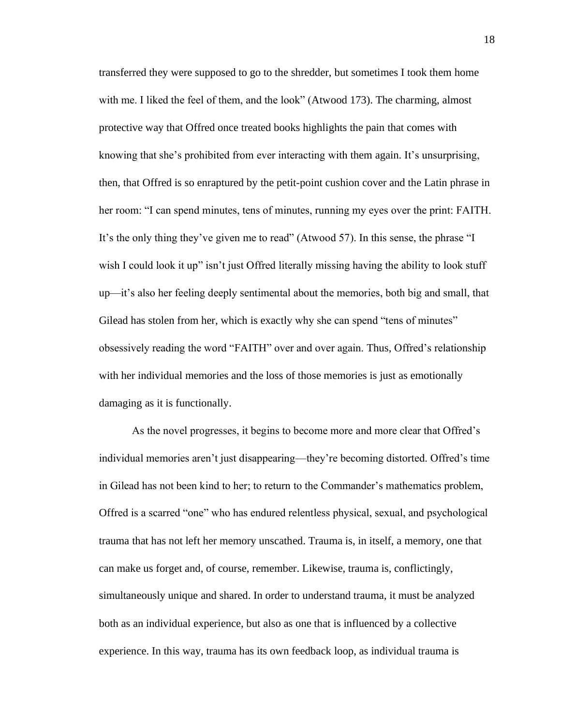transferred they were supposed to go to the shredder, but sometimes I took them home with me. I liked the feel of them, and the look" (Atwood 173). The charming, almost protective way that Offred once treated books highlights the pain that comes with knowing that she's prohibited from ever interacting with them again. It's unsurprising, then, that Offred is so enraptured by the petit-point cushion cover and the Latin phrase in her room: "I can spend minutes, tens of minutes, running my eyes over the print: FAITH. It's the only thing they've given me to read" (Atwood 57). In this sense, the phrase "I wish I could look it up" isn't just Offred literally missing having the ability to look stuff up—it's also her feeling deeply sentimental about the memories, both big and small, that Gilead has stolen from her, which is exactly why she can spend "tens of minutes" obsessively reading the word "FAITH" over and over again. Thus, Offred's relationship with her individual memories and the loss of those memories is just as emotionally damaging as it is functionally.

As the novel progresses, it begins to become more and more clear that Offred's individual memories aren't just disappearing—they're becoming distorted. Offred's time in Gilead has not been kind to her; to return to the Commander's mathematics problem, Offred is a scarred "one" who has endured relentless physical, sexual, and psychological trauma that has not left her memory unscathed. Trauma is, in itself, a memory, one that can make us forget and, of course, remember. Likewise, trauma is, conflictingly, simultaneously unique and shared. In order to understand trauma, it must be analyzed both as an individual experience, but also as one that is influenced by a collective experience. In this way, trauma has its own feedback loop, as individual trauma is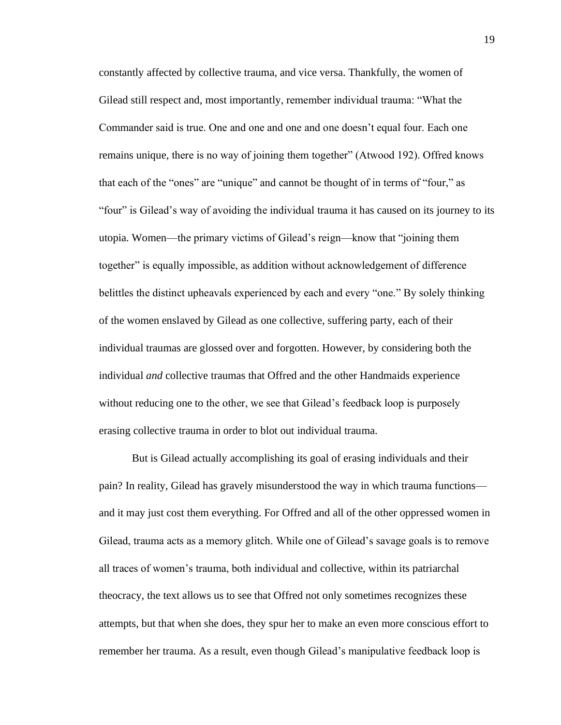constantly affected by collective trauma, and vice versa. Thankfully, the women of Gilead still respect and, most importantly, remember individual trauma: "What the Commander said is true. One and one and one and one doesn't equal four. Each one remains unique, there is no way of joining them together" (Atwood 192). Offred knows that each of the "ones" are "unique" and cannot be thought of in terms of "four," as "four" is Gilead's way of avoiding the individual trauma it has caused on its journey to its utopia. Women—the primary victims of Gilead's reign—know that "joining them together" is equally impossible, as addition without acknowledgement of difference belittles the distinct upheavals experienced by each and every "one." By solely thinking of the women enslaved by Gilead as one collective, suffering party, each of their individual traumas are glossed over and forgotten. However, by considering both the individual *and* collective traumas that Offred and the other Handmaids experience without reducing one to the other, we see that Gilead's feedback loop is purposely erasing collective trauma in order to blot out individual trauma.

But is Gilead actually accomplishing its goal of erasing individuals and their pain? In reality, Gilead has gravely misunderstood the way in which trauma functions and it may just cost them everything. For Offred and all of the other oppressed women in Gilead, trauma acts as a memory glitch. While one of Gilead's savage goals is to remove all traces of women's trauma, both individual and collective, within its patriarchal theocracy, the text allows us to see that Offred not only sometimes recognizes these attempts, but that when she does, they spur her to make an even more conscious effort to remember her trauma. As a result, even though Gilead's manipulative feedback loop is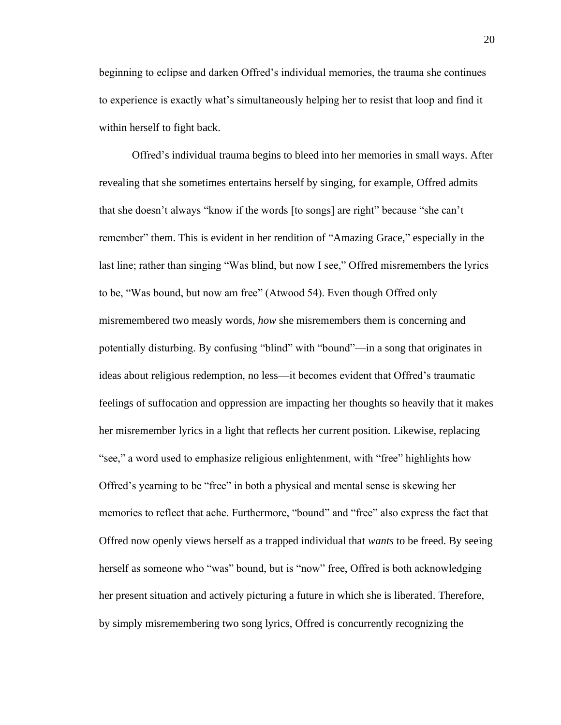beginning to eclipse and darken Offred's individual memories, the trauma she continues to experience is exactly what's simultaneously helping her to resist that loop and find it within herself to fight back.

Offred's individual trauma begins to bleed into her memories in small ways. After revealing that she sometimes entertains herself by singing, for example, Offred admits that she doesn't always "know if the words [to songs] are right" because "she can't remember" them. This is evident in her rendition of "Amazing Grace," especially in the last line; rather than singing "Was blind, but now I see," Offred misremembers the lyrics to be, "Was bound, but now am free" (Atwood 54). Even though Offred only misremembered two measly words, *how* she misremembers them is concerning and potentially disturbing. By confusing "blind" with "bound"—in a song that originates in ideas about religious redemption, no less—it becomes evident that Offred's traumatic feelings of suffocation and oppression are impacting her thoughts so heavily that it makes her misremember lyrics in a light that reflects her current position. Likewise, replacing "see," a word used to emphasize religious enlightenment, with "free" highlights how Offred's yearning to be "free" in both a physical and mental sense is skewing her memories to reflect that ache. Furthermore, "bound" and "free" also express the fact that Offred now openly views herself as a trapped individual that *wants* to be freed. By seeing herself as someone who "was" bound, but is "now" free, Offred is both acknowledging her present situation and actively picturing a future in which she is liberated. Therefore, by simply misremembering two song lyrics, Offred is concurrently recognizing the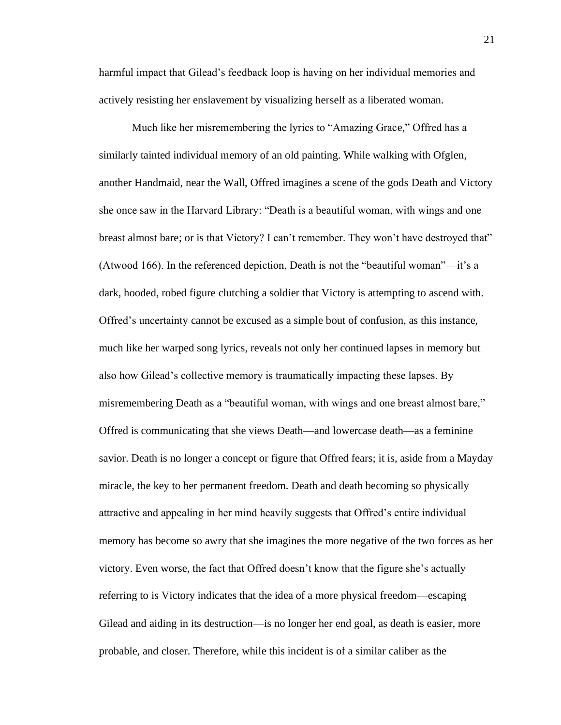harmful impact that Gilead's feedback loop is having on her individual memories and actively resisting her enslavement by visualizing herself as a liberated woman.

Much like her misremembering the lyrics to "Amazing Grace," Offred has a similarly tainted individual memory of an old painting. While walking with Ofglen, another Handmaid, near the Wall, Offred imagines a scene of the gods Death and Victory she once saw in the Harvard Library: "Death is a beautiful woman, with wings and one breast almost bare; or is that Victory? I can't remember. They won't have destroyed that" (Atwood 166). In the referenced depiction, Death is not the "beautiful woman"—it's a dark, hooded, robed figure clutching a soldier that Victory is attempting to ascend with. Offred's uncertainty cannot be excused as a simple bout of confusion, as this instance, much like her warped song lyrics, reveals not only her continued lapses in memory but also how Gilead's collective memory is traumatically impacting these lapses. By misremembering Death as a "beautiful woman, with wings and one breast almost bare," Offred is communicating that she views Death—and lowercase death—as a feminine savior. Death is no longer a concept or figure that Offred fears; it is, aside from a Mayday miracle, the key to her permanent freedom. Death and death becoming so physically attractive and appealing in her mind heavily suggests that Offred's entire individual memory has become so awry that she imagines the more negative of the two forces as her victory. Even worse, the fact that Offred doesn't know that the figure she's actually referring to is Victory indicates that the idea of a more physical freedom—escaping Gilead and aiding in its destruction—is no longer her end goal, as death is easier, more probable, and closer. Therefore, while this incident is of a similar caliber as the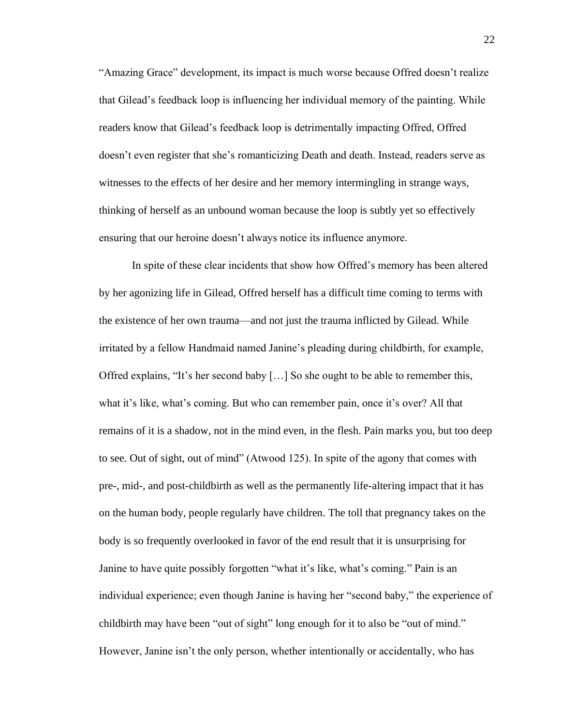"Amazing Grace" development, its impact is much worse because Offred doesn't realize that Gilead's feedback loop is influencing her individual memory of the painting. While readers know that Gilead's feedback loop is detrimentally impacting Offred, Offred doesn't even register that she's romanticizing Death and death. Instead, readers serve as witnesses to the effects of her desire and her memory intermingling in strange ways, thinking of herself as an unbound woman because the loop is subtly yet so effectively ensuring that our heroine doesn't always notice its influence anymore.

In spite of these clear incidents that show how Offred's memory has been altered by her agonizing life in Gilead, Offred herself has a difficult time coming to terms with the existence of her own trauma—and not just the trauma inflicted by Gilead. While irritated by a fellow Handmaid named Janine's pleading during childbirth, for example, Offred explains, "It's her second baby […] So she ought to be able to remember this, what it's like, what's coming. But who can remember pain, once it's over? All that remains of it is a shadow, not in the mind even, in the flesh. Pain marks you, but too deep to see. Out of sight, out of mind" (Atwood 125). In spite of the agony that comes with pre-, mid-, and post-childbirth as well as the permanently life-altering impact that it has on the human body, people regularly have children. The toll that pregnancy takes on the body is so frequently overlooked in favor of the end result that it is unsurprising for Janine to have quite possibly forgotten "what it's like, what's coming." Pain is an individual experience; even though Janine is having her "second baby," the experience of childbirth may have been "out of sight" long enough for it to also be "out of mind." However, Janine isn't the only person, whether intentionally or accidentally, who has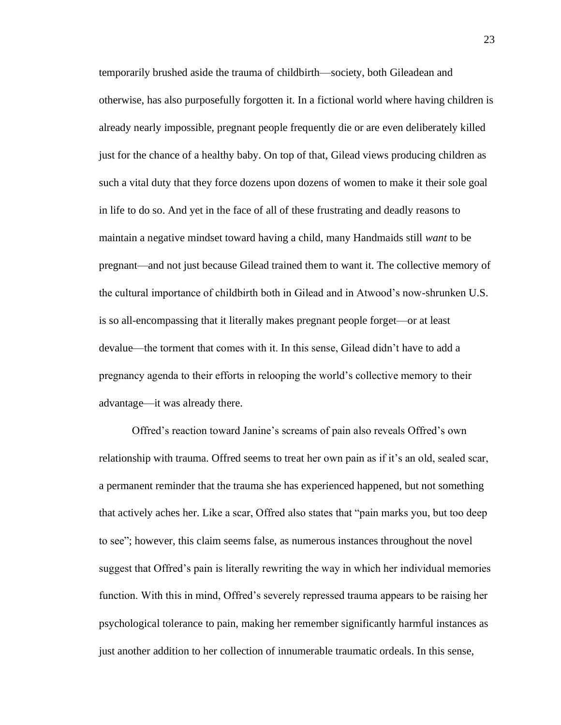temporarily brushed aside the trauma of childbirth—society, both Gileadean and otherwise, has also purposefully forgotten it. In a fictional world where having children is already nearly impossible, pregnant people frequently die or are even deliberately killed just for the chance of a healthy baby. On top of that, Gilead views producing children as such a vital duty that they force dozens upon dozens of women to make it their sole goal in life to do so. And yet in the face of all of these frustrating and deadly reasons to maintain a negative mindset toward having a child, many Handmaids still *want* to be pregnant—and not just because Gilead trained them to want it. The collective memory of the cultural importance of childbirth both in Gilead and in Atwood's now-shrunken U.S. is so all-encompassing that it literally makes pregnant people forget—or at least devalue—the torment that comes with it. In this sense, Gilead didn't have to add a pregnancy agenda to their efforts in relooping the world's collective memory to their advantage—it was already there.

Offred's reaction toward Janine's screams of pain also reveals Offred's own relationship with trauma. Offred seems to treat her own pain as if it's an old, sealed scar, a permanent reminder that the trauma she has experienced happened, but not something that actively aches her. Like a scar, Offred also states that "pain marks you, but too deep to see"; however, this claim seems false, as numerous instances throughout the novel suggest that Offred's pain is literally rewriting the way in which her individual memories function. With this in mind, Offred's severely repressed trauma appears to be raising her psychological tolerance to pain, making her remember significantly harmful instances as just another addition to her collection of innumerable traumatic ordeals. In this sense,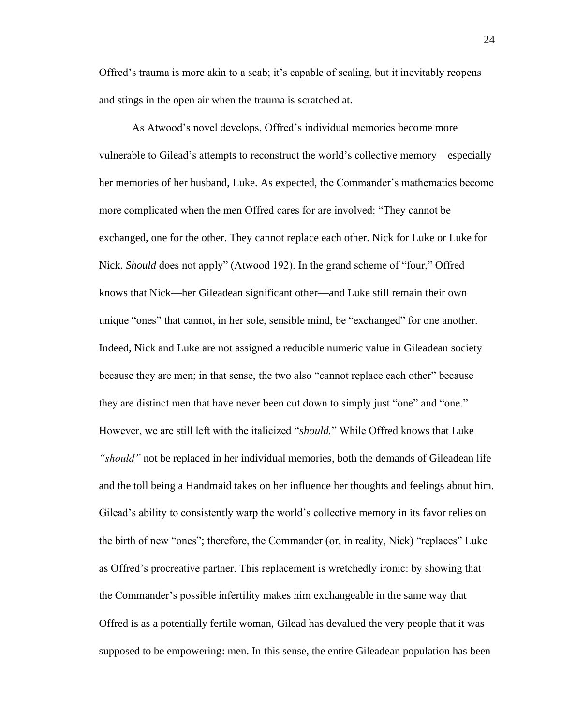Offred's trauma is more akin to a scab; it's capable of sealing, but it inevitably reopens and stings in the open air when the trauma is scratched at.

As Atwood's novel develops, Offred's individual memories become more vulnerable to Gilead's attempts to reconstruct the world's collective memory—especially her memories of her husband, Luke. As expected, the Commander's mathematics become more complicated when the men Offred cares for are involved: "They cannot be exchanged, one for the other. They cannot replace each other. Nick for Luke or Luke for Nick. *Should* does not apply" (Atwood 192). In the grand scheme of "four," Offred knows that Nick—her Gileadean significant other—and Luke still remain their own unique "ones" that cannot, in her sole, sensible mind, be "exchanged" for one another. Indeed, Nick and Luke are not assigned a reducible numeric value in Gileadean society because they are men; in that sense, the two also "cannot replace each other" because they are distinct men that have never been cut down to simply just "one" and "one." However, we are still left with the italicized "*should.*" While Offred knows that Luke *"should"* not be replaced in her individual memories, both the demands of Gileadean life and the toll being a Handmaid takes on her influence her thoughts and feelings about him. Gilead's ability to consistently warp the world's collective memory in its favor relies on the birth of new "ones"; therefore, the Commander (or, in reality, Nick) "replaces" Luke as Offred's procreative partner. This replacement is wretchedly ironic: by showing that the Commander's possible infertility makes him exchangeable in the same way that Offred is as a potentially fertile woman, Gilead has devalued the very people that it was supposed to be empowering: men. In this sense, the entire Gileadean population has been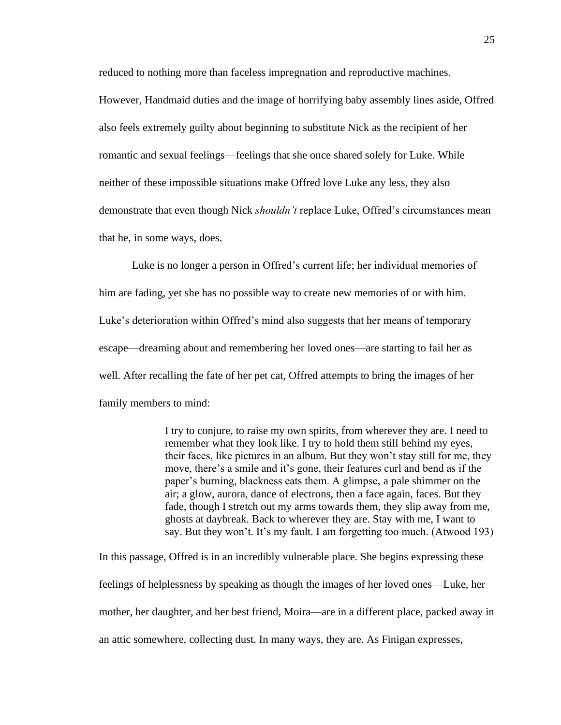reduced to nothing more than faceless impregnation and reproductive machines.

However, Handmaid duties and the image of horrifying baby assembly lines aside, Offred also feels extremely guilty about beginning to substitute Nick as the recipient of her romantic and sexual feelings—feelings that she once shared solely for Luke. While neither of these impossible situations make Offred love Luke any less, they also demonstrate that even though Nick *shouldn't* replace Luke, Offred's circumstances mean that he, in some ways, does.

Luke is no longer a person in Offred's current life; her individual memories of him are fading, yet she has no possible way to create new memories of or with him. Luke's deterioration within Offred's mind also suggests that her means of temporary escape—dreaming about and remembering her loved ones—are starting to fail her as well. After recalling the fate of her pet cat, Offred attempts to bring the images of her family members to mind:

> I try to conjure, to raise my own spirits, from wherever they are. I need to remember what they look like. I try to hold them still behind my eyes, their faces, like pictures in an album. But they won't stay still for me, they move, there's a smile and it's gone, their features curl and bend as if the paper's burning, blackness eats them. A glimpse, a pale shimmer on the air; a glow, aurora, dance of electrons, then a face again, faces. But they fade, though I stretch out my arms towards them, they slip away from me, ghosts at daybreak. Back to wherever they are. Stay with me, I want to say. But they won't. It's my fault. I am forgetting too much. (Atwood 193)

In this passage, Offred is in an incredibly vulnerable place. She begins expressing these feelings of helplessness by speaking as though the images of her loved ones—Luke, her mother, her daughter, and her best friend, Moira—are in a different place, packed away in an attic somewhere, collecting dust. In many ways, they are. As Finigan expresses,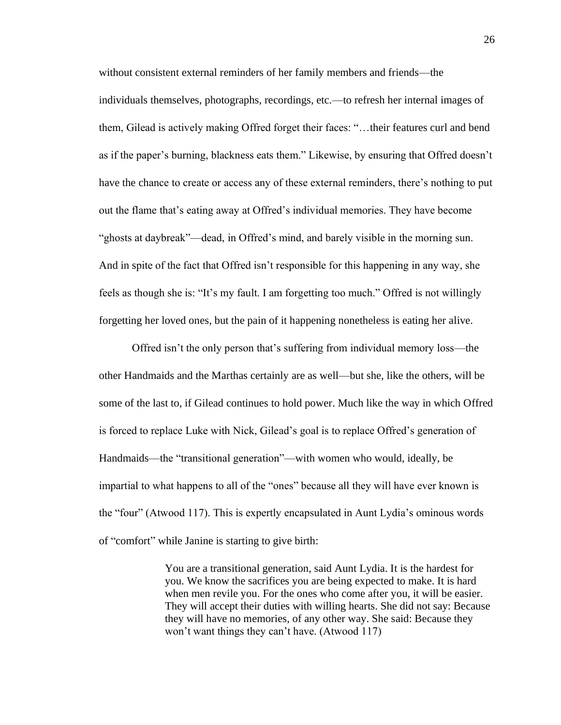without consistent external reminders of her family members and friends—the individuals themselves, photographs, recordings, etc.—to refresh her internal images of them, Gilead is actively making Offred forget their faces: "…their features curl and bend as if the paper's burning, blackness eats them." Likewise, by ensuring that Offred doesn't have the chance to create or access any of these external reminders, there's nothing to put out the flame that's eating away at Offred's individual memories. They have become "ghosts at daybreak"—dead, in Offred's mind, and barely visible in the morning sun. And in spite of the fact that Offred isn't responsible for this happening in any way, she feels as though she is: "It's my fault. I am forgetting too much." Offred is not willingly forgetting her loved ones, but the pain of it happening nonetheless is eating her alive.

Offred isn't the only person that's suffering from individual memory loss—the other Handmaids and the Marthas certainly are as well—but she, like the others, will be some of the last to, if Gilead continues to hold power. Much like the way in which Offred is forced to replace Luke with Nick, Gilead's goal is to replace Offred's generation of Handmaids—the "transitional generation"—with women who would, ideally, be impartial to what happens to all of the "ones" because all they will have ever known is the "four" (Atwood 117). This is expertly encapsulated in Aunt Lydia's ominous words of "comfort" while Janine is starting to give birth:

> You are a transitional generation, said Aunt Lydia. It is the hardest for you. We know the sacrifices you are being expected to make. It is hard when men revile you. For the ones who come after you, it will be easier. They will accept their duties with willing hearts. She did not say: Because they will have no memories, of any other way. She said: Because they won't want things they can't have. (Atwood 117)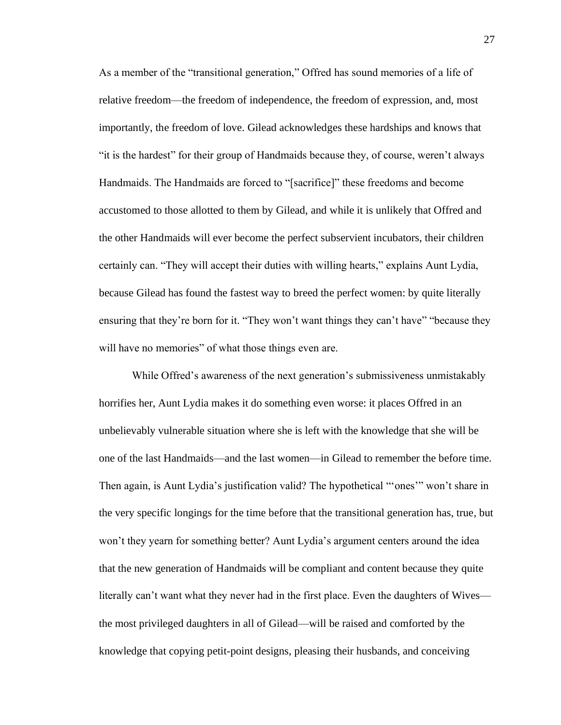As a member of the "transitional generation," Offred has sound memories of a life of relative freedom—the freedom of independence, the freedom of expression, and, most importantly, the freedom of love. Gilead acknowledges these hardships and knows that "it is the hardest" for their group of Handmaids because they, of course, weren't always Handmaids. The Handmaids are forced to "[sacrifice]" these freedoms and become accustomed to those allotted to them by Gilead, and while it is unlikely that Offred and the other Handmaids will ever become the perfect subservient incubators, their children certainly can. "They will accept their duties with willing hearts," explains Aunt Lydia, because Gilead has found the fastest way to breed the perfect women: by quite literally ensuring that they're born for it. "They won't want things they can't have" "because they will have no memories" of what those things even are.

While Offred's awareness of the next generation's submissiveness unmistakably horrifies her, Aunt Lydia makes it do something even worse: it places Offred in an unbelievably vulnerable situation where she is left with the knowledge that she will be one of the last Handmaids—and the last women—in Gilead to remember the before time. Then again, is Aunt Lydia's justification valid? The hypothetical "'ones'" won't share in the very specific longings for the time before that the transitional generation has, true, but won't they yearn for something better? Aunt Lydia's argument centers around the idea that the new generation of Handmaids will be compliant and content because they quite literally can't want what they never had in the first place. Even the daughters of Wives the most privileged daughters in all of Gilead—will be raised and comforted by the knowledge that copying petit-point designs, pleasing their husbands, and conceiving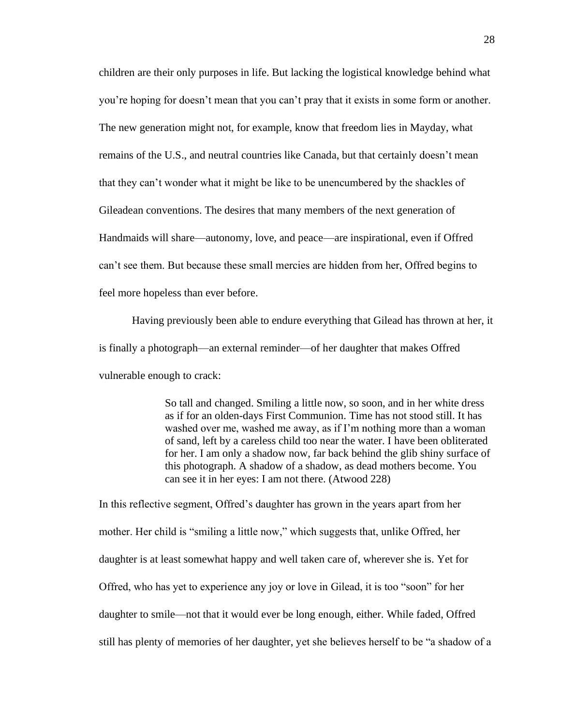children are their only purposes in life. But lacking the logistical knowledge behind what you're hoping for doesn't mean that you can't pray that it exists in some form or another. The new generation might not, for example, know that freedom lies in Mayday, what remains of the U.S., and neutral countries like Canada, but that certainly doesn't mean that they can't wonder what it might be like to be unencumbered by the shackles of Gileadean conventions. The desires that many members of the next generation of Handmaids will share—autonomy, love, and peace—are inspirational, even if Offred can't see them. But because these small mercies are hidden from her, Offred begins to feel more hopeless than ever before.

Having previously been able to endure everything that Gilead has thrown at her, it is finally a photograph—an external reminder—of her daughter that makes Offred vulnerable enough to crack:

> So tall and changed. Smiling a little now, so soon, and in her white dress as if for an olden-days First Communion. Time has not stood still. It has washed over me, washed me away, as if I'm nothing more than a woman of sand, left by a careless child too near the water. I have been obliterated for her. I am only a shadow now, far back behind the glib shiny surface of this photograph. A shadow of a shadow, as dead mothers become. You can see it in her eyes: I am not there. (Atwood 228)

In this reflective segment, Offred's daughter has grown in the years apart from her mother. Her child is "smiling a little now," which suggests that, unlike Offred, her daughter is at least somewhat happy and well taken care of, wherever she is. Yet for Offred, who has yet to experience any joy or love in Gilead, it is too "soon" for her daughter to smile—not that it would ever be long enough, either. While faded, Offred still has plenty of memories of her daughter, yet she believes herself to be "a shadow of a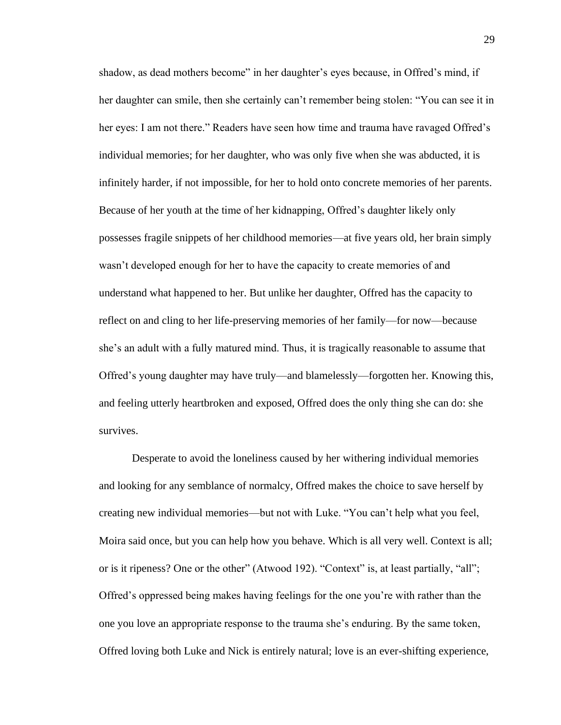shadow, as dead mothers become" in her daughter's eyes because, in Offred's mind, if her daughter can smile, then she certainly can't remember being stolen: "You can see it in her eyes: I am not there." Readers have seen how time and trauma have ravaged Offred's individual memories; for her daughter, who was only five when she was abducted, it is infinitely harder, if not impossible, for her to hold onto concrete memories of her parents. Because of her youth at the time of her kidnapping, Offred's daughter likely only possesses fragile snippets of her childhood memories—at five years old, her brain simply wasn't developed enough for her to have the capacity to create memories of and understand what happened to her. But unlike her daughter, Offred has the capacity to reflect on and cling to her life-preserving memories of her family—for now—because she's an adult with a fully matured mind. Thus, it is tragically reasonable to assume that Offred's young daughter may have truly—and blamelessly—forgotten her. Knowing this, and feeling utterly heartbroken and exposed, Offred does the only thing she can do: she survives.

Desperate to avoid the loneliness caused by her withering individual memories and looking for any semblance of normalcy, Offred makes the choice to save herself by creating new individual memories—but not with Luke. "You can't help what you feel, Moira said once, but you can help how you behave. Which is all very well. Context is all; or is it ripeness? One or the other" (Atwood 192). "Context" is, at least partially, "all"; Offred's oppressed being makes having feelings for the one you're with rather than the one you love an appropriate response to the trauma she's enduring. By the same token, Offred loving both Luke and Nick is entirely natural; love is an ever-shifting experience,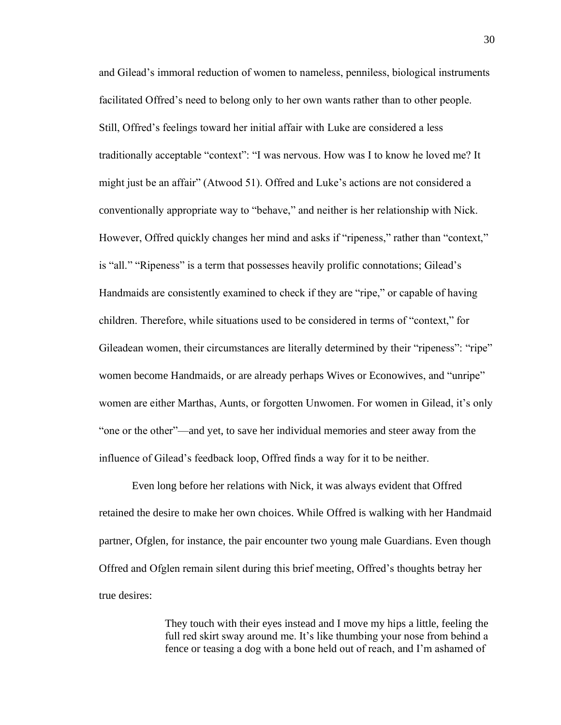and Gilead's immoral reduction of women to nameless, penniless, biological instruments facilitated Offred's need to belong only to her own wants rather than to other people. Still, Offred's feelings toward her initial affair with Luke are considered a less traditionally acceptable "context": "I was nervous. How was I to know he loved me? It might just be an affair" (Atwood 51). Offred and Luke's actions are not considered a conventionally appropriate way to "behave," and neither is her relationship with Nick. However, Offred quickly changes her mind and asks if "ripeness," rather than "context," is "all." "Ripeness" is a term that possesses heavily prolific connotations; Gilead's Handmaids are consistently examined to check if they are "ripe," or capable of having children. Therefore, while situations used to be considered in terms of "context," for Gileadean women, their circumstances are literally determined by their "ripeness": "ripe" women become Handmaids, or are already perhaps Wives or Econowives, and "unripe" women are either Marthas, Aunts, or forgotten Unwomen. For women in Gilead, it's only "one or the other"—and yet, to save her individual memories and steer away from the influence of Gilead's feedback loop, Offred finds a way for it to be neither.

Even long before her relations with Nick, it was always evident that Offred retained the desire to make her own choices. While Offred is walking with her Handmaid partner, Ofglen, for instance, the pair encounter two young male Guardians. Even though Offred and Ofglen remain silent during this brief meeting, Offred's thoughts betray her true desires:

> They touch with their eyes instead and I move my hips a little, feeling the full red skirt sway around me. It's like thumbing your nose from behind a fence or teasing a dog with a bone held out of reach, and I'm ashamed of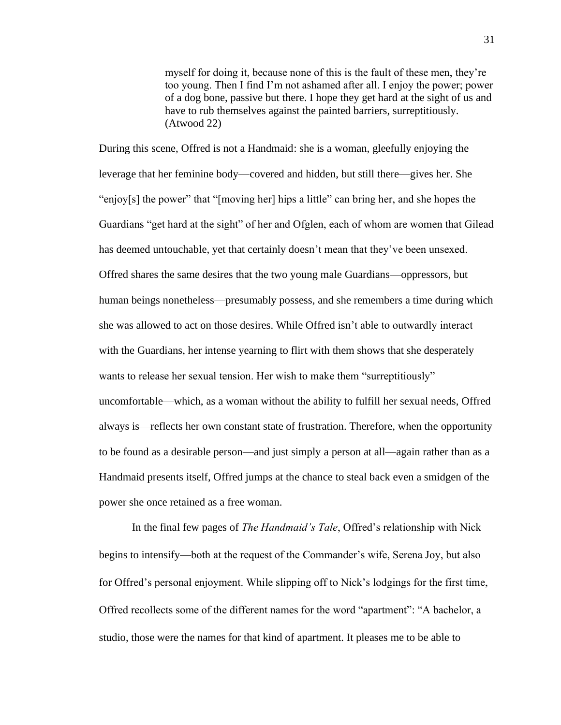myself for doing it, because none of this is the fault of these men, they're too young. Then I find I'm not ashamed after all. I enjoy the power; power of a dog bone, passive but there. I hope they get hard at the sight of us and have to rub themselves against the painted barriers, surreptitiously. (Atwood 22)

During this scene, Offred is not a Handmaid: she is a woman, gleefully enjoying the leverage that her feminine body—covered and hidden, but still there—gives her. She "enjoy[s] the power" that "[moving her] hips a little" can bring her, and she hopes the Guardians "get hard at the sight" of her and Ofglen, each of whom are women that Gilead has deemed untouchable, yet that certainly doesn't mean that they've been unsexed. Offred shares the same desires that the two young male Guardians—oppressors, but human beings nonetheless—presumably possess, and she remembers a time during which she was allowed to act on those desires. While Offred isn't able to outwardly interact with the Guardians, her intense yearning to flirt with them shows that she desperately wants to release her sexual tension. Her wish to make them "surreptitiously" uncomfortable—which, as a woman without the ability to fulfill her sexual needs, Offred always is—reflects her own constant state of frustration. Therefore, when the opportunity to be found as a desirable person—and just simply a person at all—again rather than as a Handmaid presents itself, Offred jumps at the chance to steal back even a smidgen of the power she once retained as a free woman.

In the final few pages of *The Handmaid's Tale*, Offred's relationship with Nick begins to intensify—both at the request of the Commander's wife, Serena Joy, but also for Offred's personal enjoyment. While slipping off to Nick's lodgings for the first time, Offred recollects some of the different names for the word "apartment": "A bachelor, a studio, those were the names for that kind of apartment. It pleases me to be able to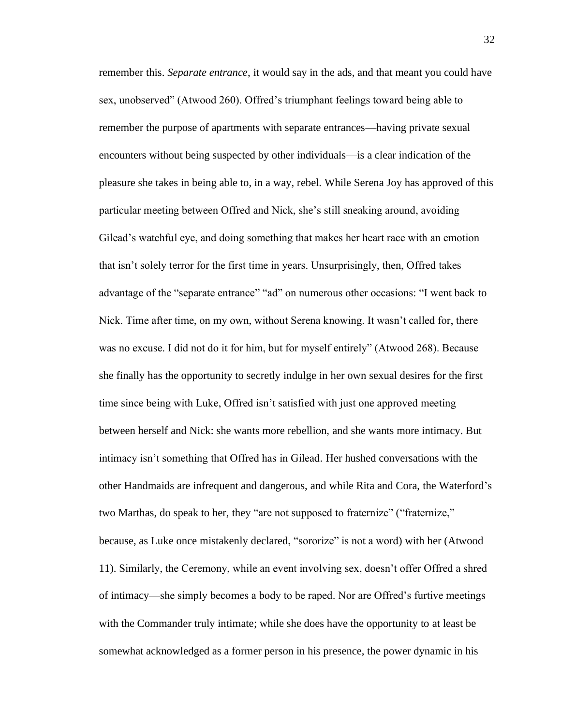remember this. *Separate entrance*, it would say in the ads, and that meant you could have sex, unobserved" (Atwood 260). Offred's triumphant feelings toward being able to remember the purpose of apartments with separate entrances—having private sexual encounters without being suspected by other individuals—is a clear indication of the pleasure she takes in being able to, in a way, rebel. While Serena Joy has approved of this particular meeting between Offred and Nick, she's still sneaking around, avoiding Gilead's watchful eye, and doing something that makes her heart race with an emotion that isn't solely terror for the first time in years. Unsurprisingly, then, Offred takes advantage of the "separate entrance" "ad" on numerous other occasions: "I went back to Nick. Time after time, on my own, without Serena knowing. It wasn't called for, there was no excuse. I did not do it for him, but for myself entirely" (Atwood 268). Because she finally has the opportunity to secretly indulge in her own sexual desires for the first time since being with Luke, Offred isn't satisfied with just one approved meeting between herself and Nick: she wants more rebellion, and she wants more intimacy. But intimacy isn't something that Offred has in Gilead. Her hushed conversations with the other Handmaids are infrequent and dangerous, and while Rita and Cora, the Waterford's two Marthas, do speak to her, they "are not supposed to fraternize" ("fraternize," because, as Luke once mistakenly declared, "sororize" is not a word) with her (Atwood 11). Similarly, the Ceremony, while an event involving sex, doesn't offer Offred a shred of intimacy—she simply becomes a body to be raped. Nor are Offred's furtive meetings with the Commander truly intimate; while she does have the opportunity to at least be somewhat acknowledged as a former person in his presence, the power dynamic in his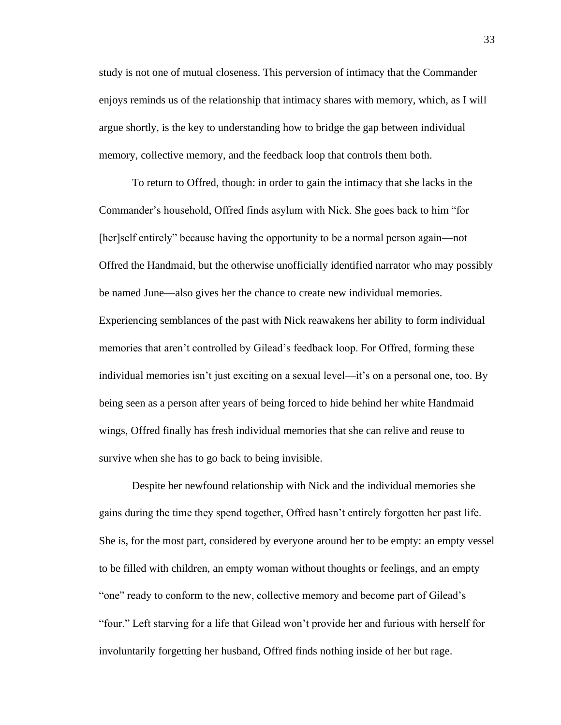study is not one of mutual closeness. This perversion of intimacy that the Commander enjoys reminds us of the relationship that intimacy shares with memory, which, as I will argue shortly, is the key to understanding how to bridge the gap between individual memory, collective memory, and the feedback loop that controls them both.

To return to Offred, though: in order to gain the intimacy that she lacks in the Commander's household, Offred finds asylum with Nick. She goes back to him "for [her]self entirely" because having the opportunity to be a normal person again—not Offred the Handmaid, but the otherwise unofficially identified narrator who may possibly be named June—also gives her the chance to create new individual memories. Experiencing semblances of the past with Nick reawakens her ability to form individual memories that aren't controlled by Gilead's feedback loop. For Offred, forming these individual memories isn't just exciting on a sexual level—it's on a personal one, too. By being seen as a person after years of being forced to hide behind her white Handmaid wings, Offred finally has fresh individual memories that she can relive and reuse to survive when she has to go back to being invisible.

Despite her newfound relationship with Nick and the individual memories she gains during the time they spend together, Offred hasn't entirely forgotten her past life. She is, for the most part, considered by everyone around her to be empty: an empty vessel to be filled with children, an empty woman without thoughts or feelings, and an empty "one" ready to conform to the new, collective memory and become part of Gilead's "four." Left starving for a life that Gilead won't provide her and furious with herself for involuntarily forgetting her husband, Offred finds nothing inside of her but rage.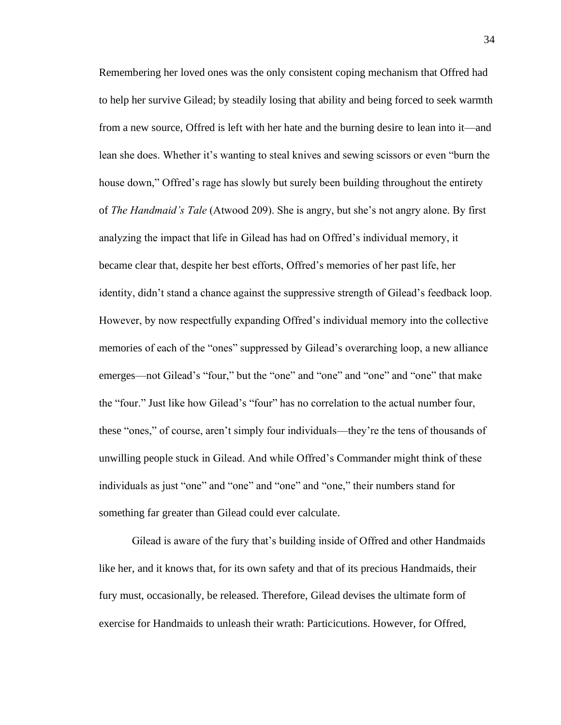Remembering her loved ones was the only consistent coping mechanism that Offred had to help her survive Gilead; by steadily losing that ability and being forced to seek warmth from a new source, Offred is left with her hate and the burning desire to lean into it—and lean she does. Whether it's wanting to steal knives and sewing scissors or even "burn the house down," Offred's rage has slowly but surely been building throughout the entirety of *The Handmaid's Tale* (Atwood 209). She is angry, but she's not angry alone. By first analyzing the impact that life in Gilead has had on Offred's individual memory, it became clear that, despite her best efforts, Offred's memories of her past life, her identity, didn't stand a chance against the suppressive strength of Gilead's feedback loop. However, by now respectfully expanding Offred's individual memory into the collective memories of each of the "ones" suppressed by Gilead's overarching loop, a new alliance emerges—not Gilead's "four," but the "one" and "one" and "one" and "one" that make the "four." Just like how Gilead's "four" has no correlation to the actual number four, these "ones," of course, aren't simply four individuals—they're the tens of thousands of unwilling people stuck in Gilead. And while Offred's Commander might think of these individuals as just "one" and "one" and "one" and "one," their numbers stand for something far greater than Gilead could ever calculate.

Gilead is aware of the fury that's building inside of Offred and other Handmaids like her, and it knows that, for its own safety and that of its precious Handmaids, their fury must, occasionally, be released. Therefore, Gilead devises the ultimate form of exercise for Handmaids to unleash their wrath: Particicutions. However, for Offred,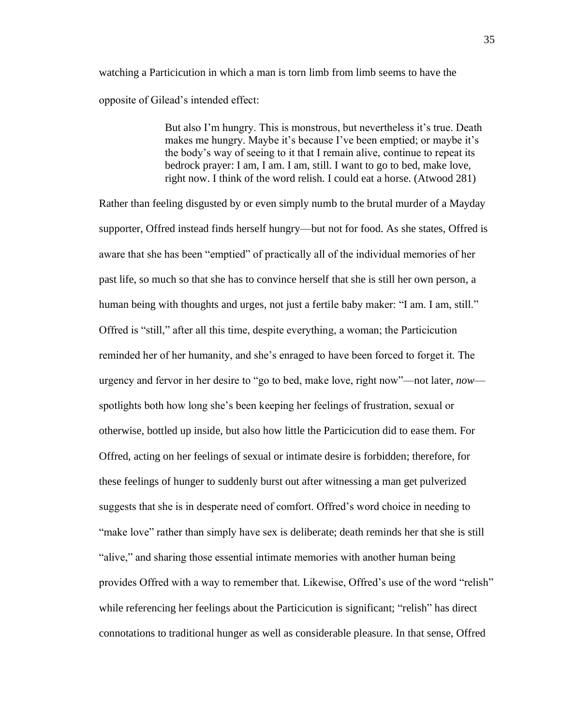watching a Particicution in which a man is torn limb from limb seems to have the opposite of Gilead's intended effect:

> But also I'm hungry. This is monstrous, but nevertheless it's true. Death makes me hungry. Maybe it's because I've been emptied; or maybe it's the body's way of seeing to it that I remain alive, continue to repeat its bedrock prayer: I am, I am. I am, still. I want to go to bed, make love, right now. I think of the word relish. I could eat a horse. (Atwood 281)

Rather than feeling disgusted by or even simply numb to the brutal murder of a Mayday supporter, Offred instead finds herself hungry—but not for food. As she states, Offred is aware that she has been "emptied" of practically all of the individual memories of her past life, so much so that she has to convince herself that she is still her own person, a human being with thoughts and urges, not just a fertile baby maker: "I am. I am, still." Offred is "still," after all this time, despite everything, a woman; the Particicution reminded her of her humanity, and she's enraged to have been forced to forget it. The urgency and fervor in her desire to "go to bed, make love, right now"—not later, *now* spotlights both how long she's been keeping her feelings of frustration, sexual or otherwise, bottled up inside, but also how little the Particicution did to ease them. For Offred, acting on her feelings of sexual or intimate desire is forbidden; therefore, for these feelings of hunger to suddenly burst out after witnessing a man get pulverized suggests that she is in desperate need of comfort. Offred's word choice in needing to "make love" rather than simply have sex is deliberate; death reminds her that she is still "alive," and sharing those essential intimate memories with another human being provides Offred with a way to remember that. Likewise, Offred's use of the word "relish" while referencing her feelings about the Particicution is significant; "relish" has direct connotations to traditional hunger as well as considerable pleasure. In that sense, Offred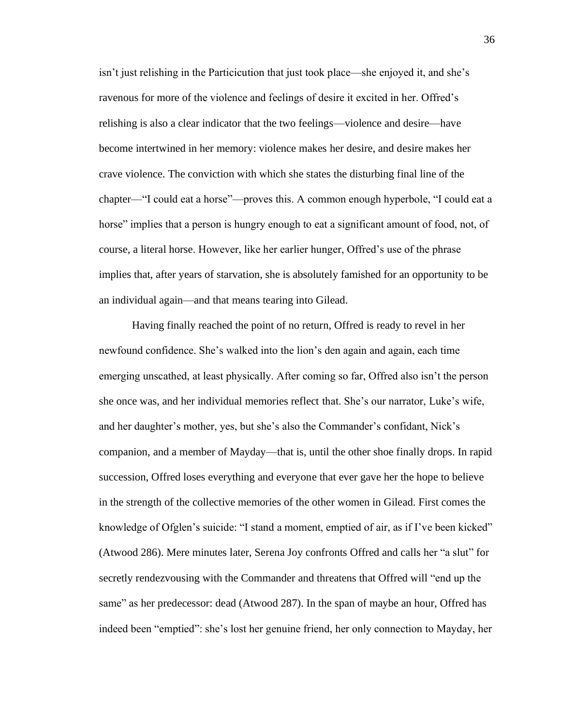isn't just relishing in the Particicution that just took place—she enjoyed it, and she's ravenous for more of the violence and feelings of desire it excited in her. Offred's relishing is also a clear indicator that the two feelings—violence and desire—have become intertwined in her memory: violence makes her desire, and desire makes her crave violence. The conviction with which she states the disturbing final line of the chapter—"I could eat a horse"—proves this. A common enough hyperbole, "I could eat a horse" implies that a person is hungry enough to eat a significant amount of food, not, of course, a literal horse. However, like her earlier hunger, Offred's use of the phrase implies that, after years of starvation, she is absolutely famished for an opportunity to be an individual again—and that means tearing into Gilead.

Having finally reached the point of no return, Offred is ready to revel in her newfound confidence. She's walked into the lion's den again and again, each time emerging unscathed, at least physically. After coming so far, Offred also isn't the person she once was, and her individual memories reflect that. She's our narrator, Luke's wife, and her daughter's mother, yes, but she's also the Commander's confidant, Nick's companion, and a member of Mayday—that is, until the other shoe finally drops. In rapid succession, Offred loses everything and everyone that ever gave her the hope to believe in the strength of the collective memories of the other women in Gilead. First comes the knowledge of Ofglen's suicide: "I stand a moment, emptied of air, as if I've been kicked" (Atwood 286). Mere minutes later, Serena Joy confronts Offred and calls her "a slut" for secretly rendezvousing with the Commander and threatens that Offred will "end up the same" as her predecessor: dead (Atwood 287). In the span of maybe an hour, Offred has indeed been "emptied": she's lost her genuine friend, her only connection to Mayday, her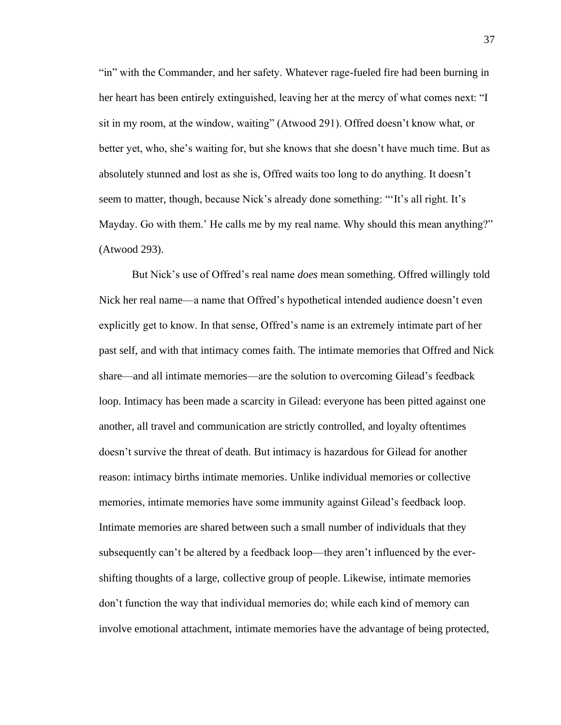"in" with the Commander, and her safety. Whatever rage-fueled fire had been burning in her heart has been entirely extinguished, leaving her at the mercy of what comes next: "I sit in my room, at the window, waiting" (Atwood 291). Offred doesn't know what, or better yet, who, she's waiting for, but she knows that she doesn't have much time. But as absolutely stunned and lost as she is, Offred waits too long to do anything. It doesn't seem to matter, though, because Nick's already done something: "'It's all right. It's Mayday. Go with them.' He calls me by my real name. Why should this mean anything?" (Atwood 293).

But Nick's use of Offred's real name *does* mean something. Offred willingly told Nick her real name—a name that Offred's hypothetical intended audience doesn't even explicitly get to know. In that sense, Offred's name is an extremely intimate part of her past self, and with that intimacy comes faith. The intimate memories that Offred and Nick share—and all intimate memories—are the solution to overcoming Gilead's feedback loop. Intimacy has been made a scarcity in Gilead: everyone has been pitted against one another, all travel and communication are strictly controlled, and loyalty oftentimes doesn't survive the threat of death. But intimacy is hazardous for Gilead for another reason: intimacy births intimate memories. Unlike individual memories or collective memories, intimate memories have some immunity against Gilead's feedback loop. Intimate memories are shared between such a small number of individuals that they subsequently can't be altered by a feedback loop—they aren't influenced by the evershifting thoughts of a large, collective group of people. Likewise, intimate memories don't function the way that individual memories do; while each kind of memory can involve emotional attachment, intimate memories have the advantage of being protected,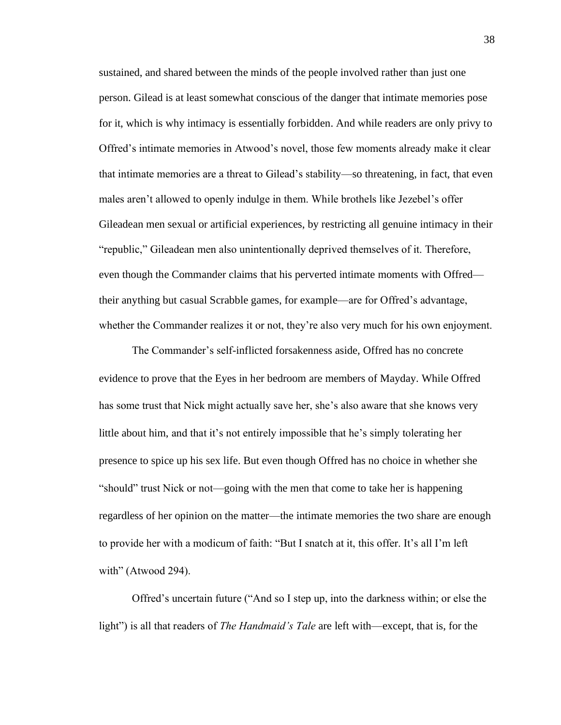sustained, and shared between the minds of the people involved rather than just one person. Gilead is at least somewhat conscious of the danger that intimate memories pose for it, which is why intimacy is essentially forbidden. And while readers are only privy to Offred's intimate memories in Atwood's novel, those few moments already make it clear that intimate memories are a threat to Gilead's stability—so threatening, in fact, that even males aren't allowed to openly indulge in them. While brothels like Jezebel's offer Gileadean men sexual or artificial experiences, by restricting all genuine intimacy in their "republic," Gileadean men also unintentionally deprived themselves of it. Therefore, even though the Commander claims that his perverted intimate moments with Offred their anything but casual Scrabble games, for example—are for Offred's advantage, whether the Commander realizes it or not, they're also very much for his own enjoyment.

The Commander's self-inflicted forsakenness aside, Offred has no concrete evidence to prove that the Eyes in her bedroom are members of Mayday. While Offred has some trust that Nick might actually save her, she's also aware that she knows very little about him, and that it's not entirely impossible that he's simply tolerating her presence to spice up his sex life. But even though Offred has no choice in whether she "should" trust Nick or not—going with the men that come to take her is happening regardless of her opinion on the matter—the intimate memories the two share are enough to provide her with a modicum of faith: "But I snatch at it, this offer. It's all I'm left with" (Atwood 294).

Offred's uncertain future ("And so I step up, into the darkness within; or else the light") is all that readers of *The Handmaid's Tale* are left with—except, that is, for the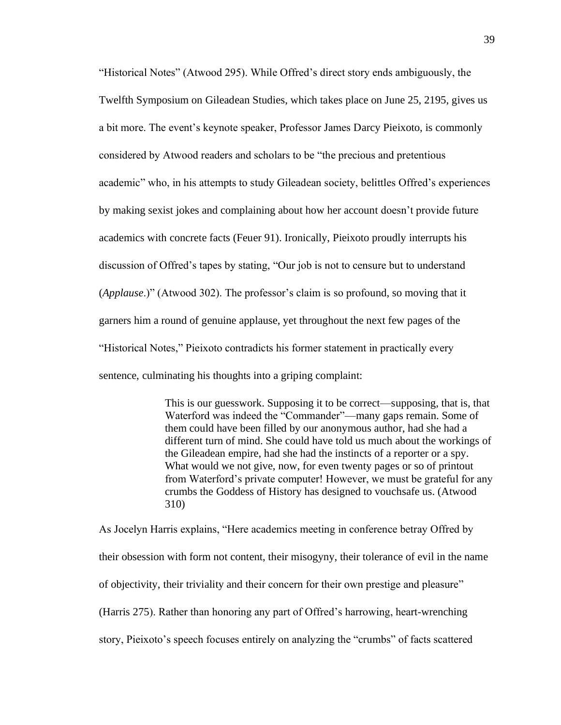"Historical Notes" (Atwood 295). While Offred's direct story ends ambiguously, the Twelfth Symposium on Gileadean Studies, which takes place on June 25, 2195, gives us a bit more. The event's keynote speaker, Professor James Darcy Pieixoto, is commonly considered by Atwood readers and scholars to be "the precious and pretentious academic" who, in his attempts to study Gileadean society, belittles Offred's experiences by making sexist jokes and complaining about how her account doesn't provide future academics with concrete facts (Feuer 91). Ironically, Pieixoto proudly interrupts his discussion of Offred's tapes by stating, "Our job is not to censure but to understand (*Applause*.)" (Atwood 302). The professor's claim is so profound, so moving that it garners him a round of genuine applause, yet throughout the next few pages of the "Historical Notes," Pieixoto contradicts his former statement in practically every sentence, culminating his thoughts into a griping complaint:

> This is our guesswork. Supposing it to be correct—supposing, that is, that Waterford was indeed the "Commander"—many gaps remain. Some of them could have been filled by our anonymous author, had she had a different turn of mind. She could have told us much about the workings of the Gileadean empire, had she had the instincts of a reporter or a spy. What would we not give, now, for even twenty pages or so of printout from Waterford's private computer! However, we must be grateful for any crumbs the Goddess of History has designed to vouchsafe us. (Atwood 310)

As Jocelyn Harris explains, "Here academics meeting in conference betray Offred by their obsession with form not content, their misogyny, their tolerance of evil in the name of objectivity, their triviality and their concern for their own prestige and pleasure" (Harris 275). Rather than honoring any part of Offred's harrowing, heart-wrenching story, Pieixoto's speech focuses entirely on analyzing the "crumbs" of facts scattered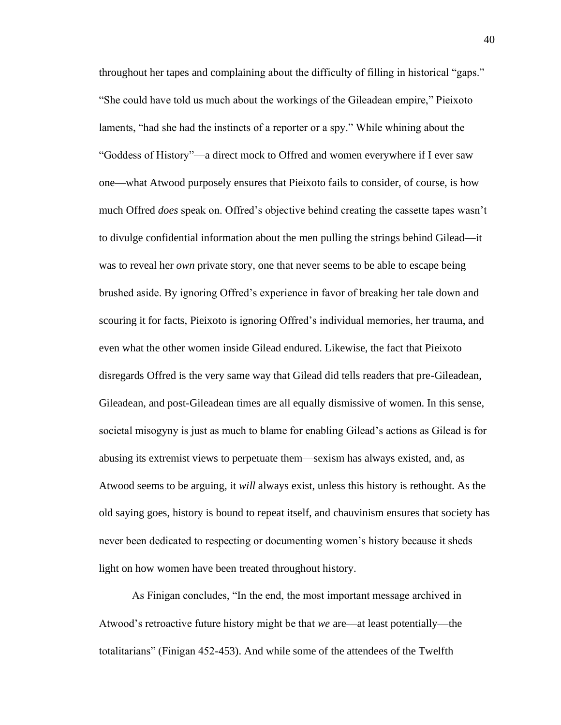throughout her tapes and complaining about the difficulty of filling in historical "gaps." "She could have told us much about the workings of the Gileadean empire," Pieixoto laments, "had she had the instincts of a reporter or a spy." While whining about the "Goddess of History"—a direct mock to Offred and women everywhere if I ever saw one—what Atwood purposely ensures that Pieixoto fails to consider, of course, is how much Offred *does* speak on. Offred's objective behind creating the cassette tapes wasn't to divulge confidential information about the men pulling the strings behind Gilead—it was to reveal her *own* private story, one that never seems to be able to escape being brushed aside. By ignoring Offred's experience in favor of breaking her tale down and scouring it for facts, Pieixoto is ignoring Offred's individual memories, her trauma, and even what the other women inside Gilead endured. Likewise, the fact that Pieixoto disregards Offred is the very same way that Gilead did tells readers that pre-Gileadean, Gileadean, and post-Gileadean times are all equally dismissive of women. In this sense, societal misogyny is just as much to blame for enabling Gilead's actions as Gilead is for abusing its extremist views to perpetuate them—sexism has always existed, and, as Atwood seems to be arguing, it *will* always exist, unless this history is rethought. As the old saying goes, history is bound to repeat itself, and chauvinism ensures that society has never been dedicated to respecting or documenting women's history because it sheds light on how women have been treated throughout history.

As Finigan concludes, "In the end, the most important message archived in Atwood's retroactive future history might be that *we* are—at least potentially—the totalitarians" (Finigan 452-453). And while some of the attendees of the Twelfth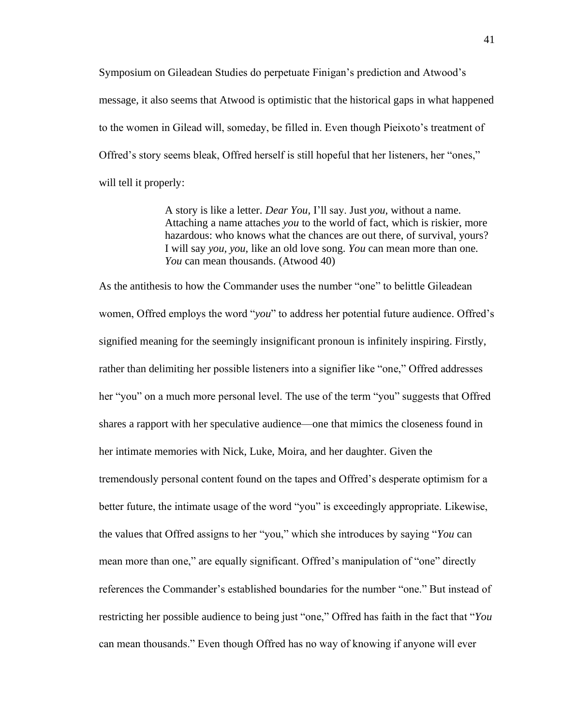Symposium on Gileadean Studies do perpetuate Finigan's prediction and Atwood's message, it also seems that Atwood is optimistic that the historical gaps in what happened to the women in Gilead will, someday, be filled in. Even though Pieixoto's treatment of Offred's story seems bleak, Offred herself is still hopeful that her listeners, her "ones," will tell it properly:

> A story is like a letter. *Dear You,* I'll say. Just *you,* without a name. Attaching a name attaches *you* to the world of fact, which is riskier, more hazardous: who knows what the chances are out there, of survival, yours? I will say *you, you,* like an old love song. *You* can mean more than one. *You* can mean thousands. (Atwood 40)

As the antithesis to how the Commander uses the number "one" to belittle Gileadean women, Offred employs the word "*you*" to address her potential future audience. Offred's signified meaning for the seemingly insignificant pronoun is infinitely inspiring. Firstly, rather than delimiting her possible listeners into a signifier like "one," Offred addresses her "you" on a much more personal level. The use of the term "you" suggests that Offred shares a rapport with her speculative audience—one that mimics the closeness found in her intimate memories with Nick, Luke, Moira, and her daughter. Given the tremendously personal content found on the tapes and Offred's desperate optimism for a better future, the intimate usage of the word "you" is exceedingly appropriate. Likewise, the values that Offred assigns to her "you," which she introduces by saying "*You* can mean more than one," are equally significant. Offred's manipulation of "one" directly references the Commander's established boundaries for the number "one." But instead of restricting her possible audience to being just "one," Offred has faith in the fact that "*You* can mean thousands." Even though Offred has no way of knowing if anyone will ever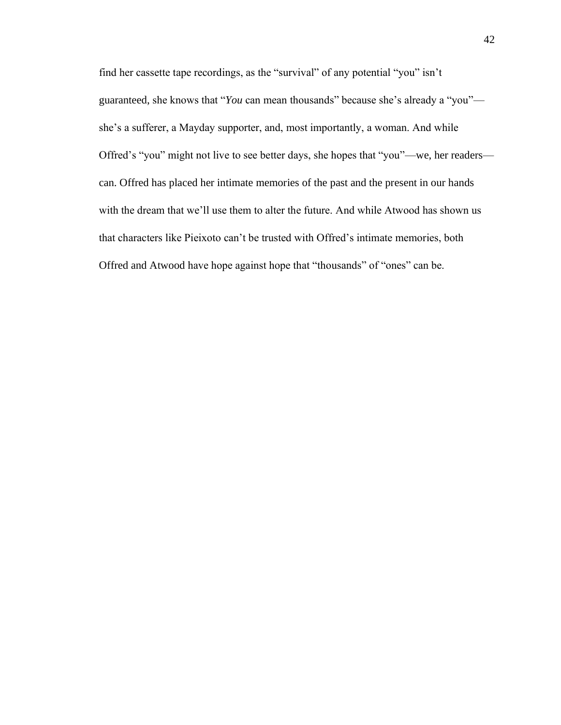find her cassette tape recordings, as the "survival" of any potential "you" isn't guaranteed, she knows that "*You* can mean thousands" because she's already a "you" she's a sufferer, a Mayday supporter, and, most importantly, a woman. And while Offred's "you" might not live to see better days, she hopes that "you"—we, her readers can. Offred has placed her intimate memories of the past and the present in our hands with the dream that we'll use them to alter the future. And while Atwood has shown us that characters like Pieixoto can't be trusted with Offred's intimate memories, both Offred and Atwood have hope against hope that "thousands" of "ones" can be.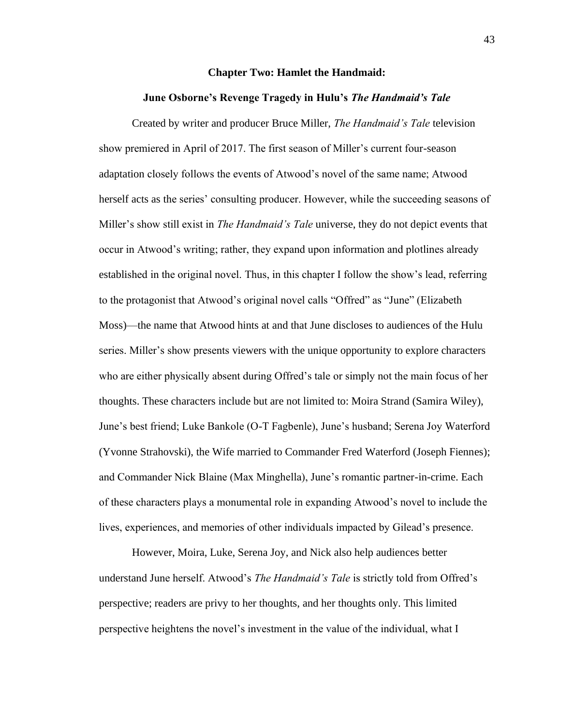## **Chapter Two: Hamlet the Handmaid:**

## **June Osborne's Revenge Tragedy in Hulu's** *The Handmaid's Tale*

Created by writer and producer Bruce Miller, *The Handmaid's Tale* television show premiered in April of 2017. The first season of Miller's current four-season adaptation closely follows the events of Atwood's novel of the same name; Atwood herself acts as the series' consulting producer. However, while the succeeding seasons of Miller's show still exist in *The Handmaid's Tale* universe, they do not depict events that occur in Atwood's writing; rather, they expand upon information and plotlines already established in the original novel. Thus, in this chapter I follow the show's lead, referring to the protagonist that Atwood's original novel calls "Offred" as "June" (Elizabeth Moss)—the name that Atwood hints at and that June discloses to audiences of the Hulu series. Miller's show presents viewers with the unique opportunity to explore characters who are either physically absent during Offred's tale or simply not the main focus of her thoughts. These characters include but are not limited to: Moira Strand (Samira Wiley), June's best friend; Luke Bankole (O-T Fagbenle), June's husband; Serena Joy Waterford (Yvonne Strahovski), the Wife married to Commander Fred Waterford (Joseph Fiennes); and Commander Nick Blaine (Max Minghella), June's romantic partner-in-crime. Each of these characters plays a monumental role in expanding Atwood's novel to include the lives, experiences, and memories of other individuals impacted by Gilead's presence.

However, Moira, Luke, Serena Joy, and Nick also help audiences better understand June herself. Atwood's *The Handmaid's Tale* is strictly told from Offred's perspective; readers are privy to her thoughts, and her thoughts only. This limited perspective heightens the novel's investment in the value of the individual, what I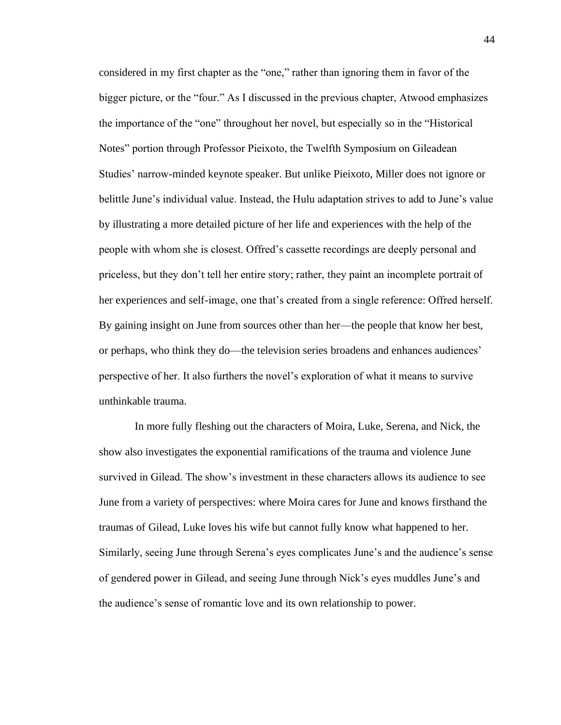considered in my first chapter as the "one," rather than ignoring them in favor of the bigger picture, or the "four." As I discussed in the previous chapter, Atwood emphasizes the importance of the "one" throughout her novel, but especially so in the "Historical Notes" portion through Professor Pieixoto, the Twelfth Symposium on Gileadean Studies' narrow-minded keynote speaker. But unlike Pieixoto, Miller does not ignore or belittle June's individual value. Instead, the Hulu adaptation strives to add to June's value by illustrating a more detailed picture of her life and experiences with the help of the people with whom she is closest. Offred's cassette recordings are deeply personal and priceless, but they don't tell her entire story; rather, they paint an incomplete portrait of her experiences and self-image, one that's created from a single reference: Offred herself. By gaining insight on June from sources other than her—the people that know her best, or perhaps, who think they do—the television series broadens and enhances audiences' perspective of her. It also furthers the novel's exploration of what it means to survive unthinkable trauma.

In more fully fleshing out the characters of Moira, Luke, Serena, and Nick, the show also investigates the exponential ramifications of the trauma and violence June survived in Gilead. The show's investment in these characters allows its audience to see June from a variety of perspectives: where Moira cares for June and knows firsthand the traumas of Gilead, Luke loves his wife but cannot fully know what happened to her. Similarly, seeing June through Serena's eyes complicates June's and the audience's sense of gendered power in Gilead, and seeing June through Nick's eyes muddles June's and the audience's sense of romantic love and its own relationship to power.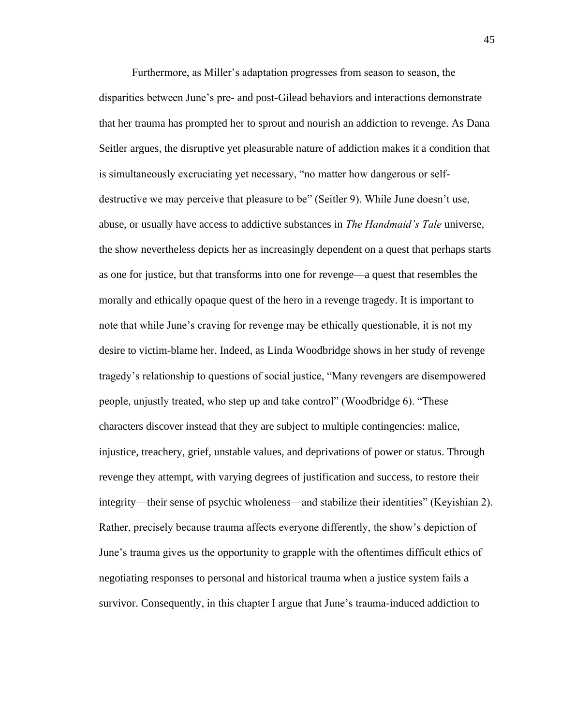Furthermore, as Miller's adaptation progresses from season to season, the disparities between June's pre- and post-Gilead behaviors and interactions demonstrate that her trauma has prompted her to sprout and nourish an addiction to revenge. As Dana Seitler argues, the disruptive yet pleasurable nature of addiction makes it a condition that is simultaneously excruciating yet necessary, "no matter how dangerous or selfdestructive we may perceive that pleasure to be" (Seitler 9). While June doesn't use, abuse, or usually have access to addictive substances in *The Handmaid's Tale* universe*,*  the show nevertheless depicts her as increasingly dependent on a quest that perhaps starts as one for justice, but that transforms into one for revenge—a quest that resembles the morally and ethically opaque quest of the hero in a revenge tragedy. It is important to note that while June's craving for revenge may be ethically questionable, it is not my desire to victim-blame her. Indeed, as Linda Woodbridge shows in her study of revenge tragedy's relationship to questions of social justice, "Many revengers are disempowered people, unjustly treated, who step up and take control" (Woodbridge 6). "These characters discover instead that they are subject to multiple contingencies: malice, injustice, treachery, grief, unstable values, and deprivations of power or status. Through revenge they attempt, with varying degrees of justification and success, to restore their integrity—their sense of psychic wholeness—and stabilize their identities" (Keyishian 2). Rather, precisely because trauma affects everyone differently, the show's depiction of June's trauma gives us the opportunity to grapple with the oftentimes difficult ethics of negotiating responses to personal and historical trauma when a justice system fails a survivor. Consequently, in this chapter I argue that June's trauma-induced addiction to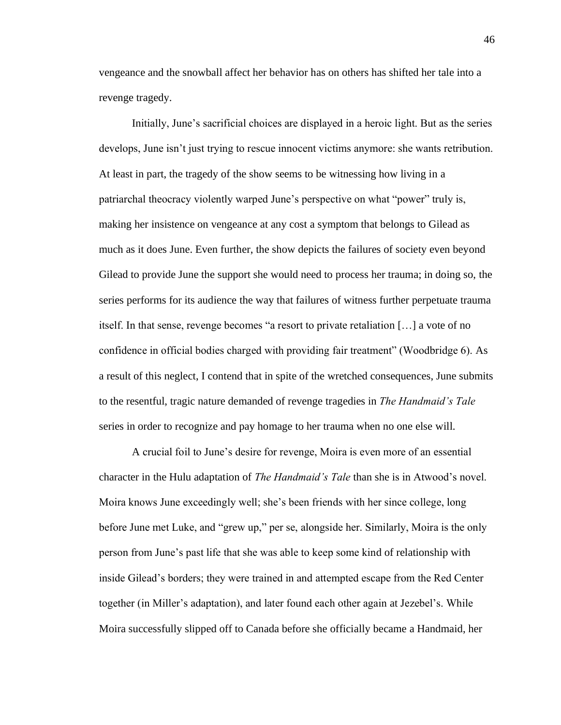vengeance and the snowball affect her behavior has on others has shifted her tale into a revenge tragedy.

Initially, June's sacrificial choices are displayed in a heroic light. But as the series develops, June isn't just trying to rescue innocent victims anymore: she wants retribution. At least in part, the tragedy of the show seems to be witnessing how living in a patriarchal theocracy violently warped June's perspective on what "power" truly is, making her insistence on vengeance at any cost a symptom that belongs to Gilead as much as it does June. Even further, the show depicts the failures of society even beyond Gilead to provide June the support she would need to process her trauma; in doing so, the series performs for its audience the way that failures of witness further perpetuate trauma itself. In that sense, revenge becomes "a resort to private retaliation […] a vote of no confidence in official bodies charged with providing fair treatment" (Woodbridge 6). As a result of this neglect, I contend that in spite of the wretched consequences, June submits to the resentful, tragic nature demanded of revenge tragedies in *The Handmaid's Tale* series in order to recognize and pay homage to her trauma when no one else will.

A crucial foil to June's desire for revenge, Moira is even more of an essential character in the Hulu adaptation of *The Handmaid's Tale* than she is in Atwood's novel. Moira knows June exceedingly well; she's been friends with her since college, long before June met Luke, and "grew up," per se, alongside her. Similarly, Moira is the only person from June's past life that she was able to keep some kind of relationship with inside Gilead's borders; they were trained in and attempted escape from the Red Center together (in Miller's adaptation), and later found each other again at Jezebel's. While Moira successfully slipped off to Canada before she officially became a Handmaid, her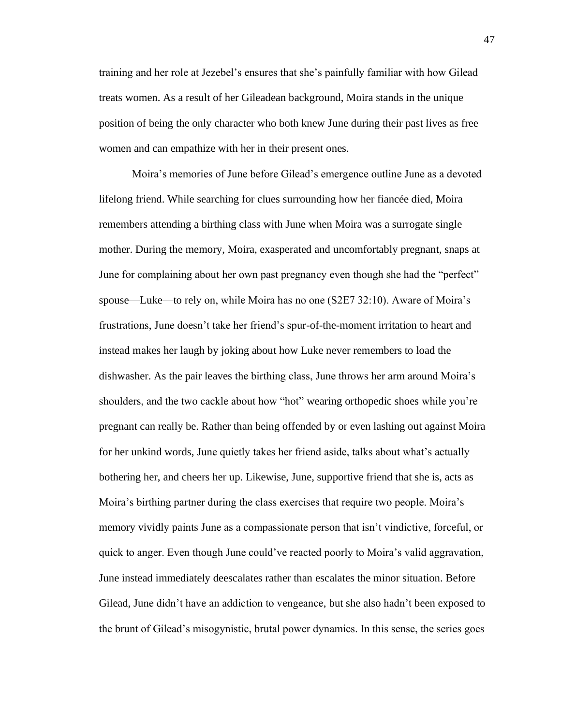training and her role at Jezebel's ensures that she's painfully familiar with how Gilead treats women. As a result of her Gileadean background, Moira stands in the unique position of being the only character who both knew June during their past lives as free women and can empathize with her in their present ones.

Moira's memories of June before Gilead's emergence outline June as a devoted lifelong friend. While searching for clues surrounding how her fiancée died, Moira remembers attending a birthing class with June when Moira was a surrogate single mother. During the memory, Moira, exasperated and uncomfortably pregnant, snaps at June for complaining about her own past pregnancy even though she had the "perfect" spouse—Luke—to rely on, while Moira has no one (S2E7 32:10). Aware of Moira's frustrations, June doesn't take her friend's spur-of-the-moment irritation to heart and instead makes her laugh by joking about how Luke never remembers to load the dishwasher. As the pair leaves the birthing class, June throws her arm around Moira's shoulders, and the two cackle about how "hot" wearing orthopedic shoes while you're pregnant can really be. Rather than being offended by or even lashing out against Moira for her unkind words, June quietly takes her friend aside, talks about what's actually bothering her, and cheers her up. Likewise, June, supportive friend that she is, acts as Moira's birthing partner during the class exercises that require two people. Moira's memory vividly paints June as a compassionate person that isn't vindictive, forceful, or quick to anger. Even though June could've reacted poorly to Moira's valid aggravation, June instead immediately deescalates rather than escalates the minor situation. Before Gilead, June didn't have an addiction to vengeance, but she also hadn't been exposed to the brunt of Gilead's misogynistic, brutal power dynamics. In this sense, the series goes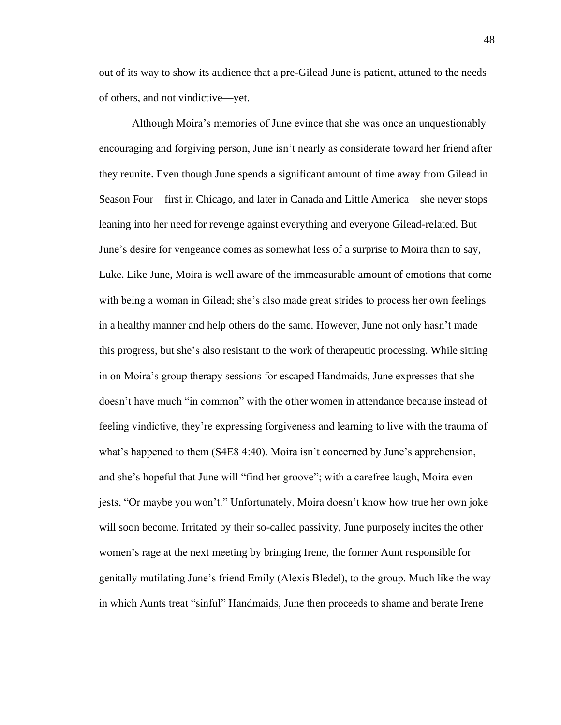out of its way to show its audience that a pre-Gilead June is patient, attuned to the needs of others, and not vindictive—yet.

Although Moira's memories of June evince that she was once an unquestionably encouraging and forgiving person, June isn't nearly as considerate toward her friend after they reunite. Even though June spends a significant amount of time away from Gilead in Season Four—first in Chicago, and later in Canada and Little America—she never stops leaning into her need for revenge against everything and everyone Gilead-related. But June's desire for vengeance comes as somewhat less of a surprise to Moira than to say, Luke. Like June, Moira is well aware of the immeasurable amount of emotions that come with being a woman in Gilead; she's also made great strides to process her own feelings in a healthy manner and help others do the same. However, June not only hasn't made this progress, but she's also resistant to the work of therapeutic processing. While sitting in on Moira's group therapy sessions for escaped Handmaids, June expresses that she doesn't have much "in common" with the other women in attendance because instead of feeling vindictive, they're expressing forgiveness and learning to live with the trauma of what's happened to them (S4E8 4:40). Moira isn't concerned by June's apprehension, and she's hopeful that June will "find her groove"; with a carefree laugh, Moira even jests, "Or maybe you won't." Unfortunately, Moira doesn't know how true her own joke will soon become. Irritated by their so-called passivity, June purposely incites the other women's rage at the next meeting by bringing Irene, the former Aunt responsible for genitally mutilating June's friend Emily (Alexis Bledel), to the group. Much like the way in which Aunts treat "sinful" Handmaids, June then proceeds to shame and berate Irene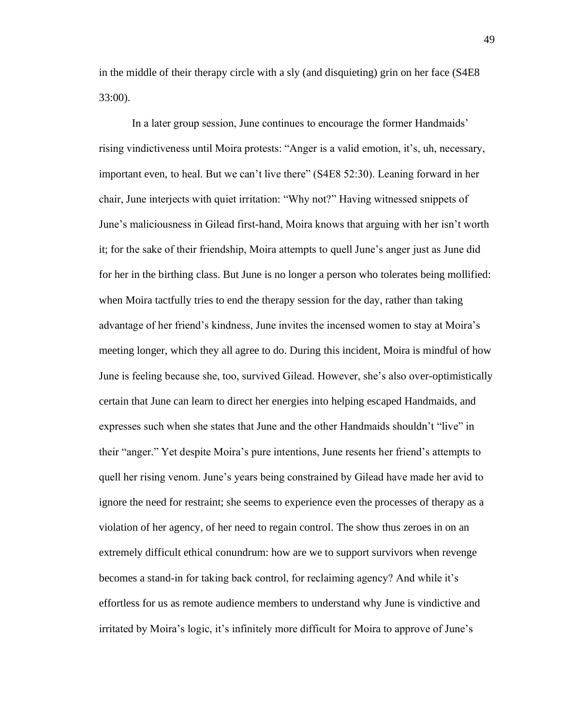in the middle of their therapy circle with a sly (and disquieting) grin on her face (S4E8 33:00).

In a later group session, June continues to encourage the former Handmaids' rising vindictiveness until Moira protests: "Anger is a valid emotion, it's, uh, necessary, important even, to heal. But we can't live there" (S4E8 52:30). Leaning forward in her chair, June interjects with quiet irritation: "Why not?" Having witnessed snippets of June's maliciousness in Gilead first-hand, Moira knows that arguing with her isn't worth it; for the sake of their friendship, Moira attempts to quell June's anger just as June did for her in the birthing class. But June is no longer a person who tolerates being mollified: when Moira tactfully tries to end the therapy session for the day, rather than taking advantage of her friend's kindness, June invites the incensed women to stay at Moira's meeting longer, which they all agree to do. During this incident, Moira is mindful of how June is feeling because she, too, survived Gilead. However, she's also over-optimistically certain that June can learn to direct her energies into helping escaped Handmaids, and expresses such when she states that June and the other Handmaids shouldn't "live" in their "anger." Yet despite Moira's pure intentions, June resents her friend's attempts to quell her rising venom. June's years being constrained by Gilead have made her avid to ignore the need for restraint; she seems to experience even the processes of therapy as a violation of her agency, of her need to regain control. The show thus zeroes in on an extremely difficult ethical conundrum: how are we to support survivors when revenge becomes a stand-in for taking back control, for reclaiming agency? And while it's effortless for us as remote audience members to understand why June is vindictive and irritated by Moira's logic, it's infinitely more difficult for Moira to approve of June's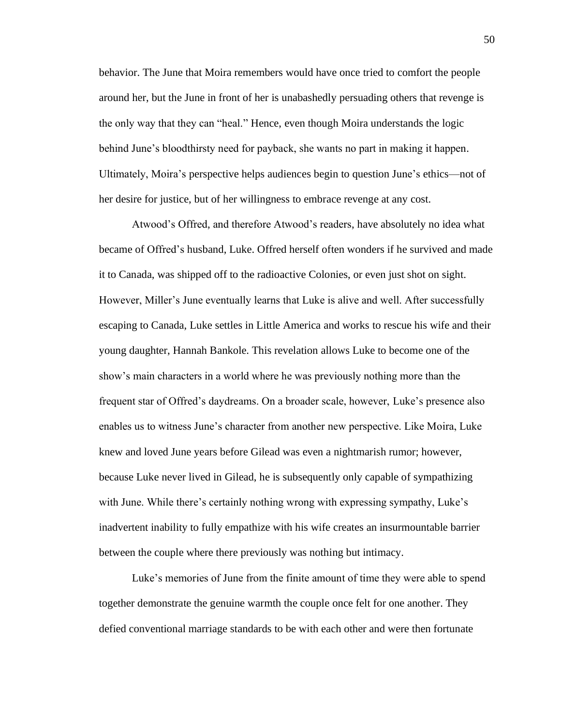behavior. The June that Moira remembers would have once tried to comfort the people around her, but the June in front of her is unabashedly persuading others that revenge is the only way that they can "heal." Hence, even though Moira understands the logic behind June's bloodthirsty need for payback, she wants no part in making it happen. Ultimately, Moira's perspective helps audiences begin to question June's ethics—not of her desire for justice, but of her willingness to embrace revenge at any cost.

Atwood's Offred, and therefore Atwood's readers, have absolutely no idea what became of Offred's husband, Luke. Offred herself often wonders if he survived and made it to Canada, was shipped off to the radioactive Colonies, or even just shot on sight. However, Miller's June eventually learns that Luke is alive and well. After successfully escaping to Canada, Luke settles in Little America and works to rescue his wife and their young daughter, Hannah Bankole. This revelation allows Luke to become one of the show's main characters in a world where he was previously nothing more than the frequent star of Offred's daydreams. On a broader scale, however, Luke's presence also enables us to witness June's character from another new perspective. Like Moira, Luke knew and loved June years before Gilead was even a nightmarish rumor; however, because Luke never lived in Gilead, he is subsequently only capable of sympathizing with June. While there's certainly nothing wrong with expressing sympathy, Luke's inadvertent inability to fully empathize with his wife creates an insurmountable barrier between the couple where there previously was nothing but intimacy.

Luke's memories of June from the finite amount of time they were able to spend together demonstrate the genuine warmth the couple once felt for one another. They defied conventional marriage standards to be with each other and were then fortunate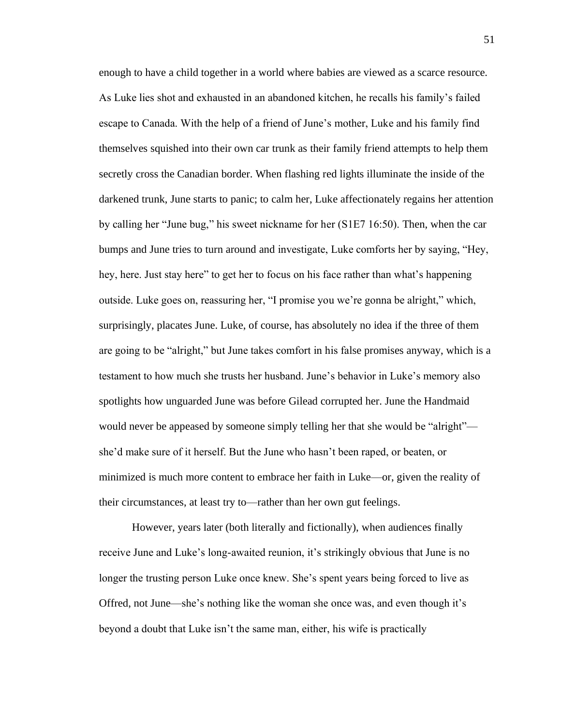enough to have a child together in a world where babies are viewed as a scarce resource. As Luke lies shot and exhausted in an abandoned kitchen, he recalls his family's failed escape to Canada. With the help of a friend of June's mother, Luke and his family find themselves squished into their own car trunk as their family friend attempts to help them secretly cross the Canadian border. When flashing red lights illuminate the inside of the darkened trunk, June starts to panic; to calm her, Luke affectionately regains her attention by calling her "June bug," his sweet nickname for her (S1E7 16:50). Then, when the car bumps and June tries to turn around and investigate, Luke comforts her by saying, "Hey, hey, here. Just stay here" to get her to focus on his face rather than what's happening outside. Luke goes on, reassuring her, "I promise you we're gonna be alright," which, surprisingly, placates June. Luke, of course, has absolutely no idea if the three of them are going to be "alright," but June takes comfort in his false promises anyway, which is a testament to how much she trusts her husband. June's behavior in Luke's memory also spotlights how unguarded June was before Gilead corrupted her. June the Handmaid would never be appeased by someone simply telling her that she would be "alright" she'd make sure of it herself. But the June who hasn't been raped, or beaten, or minimized is much more content to embrace her faith in Luke—or, given the reality of their circumstances, at least try to—rather than her own gut feelings.

However, years later (both literally and fictionally), when audiences finally receive June and Luke's long-awaited reunion, it's strikingly obvious that June is no longer the trusting person Luke once knew. She's spent years being forced to live as Offred, not June—she's nothing like the woman she once was, and even though it's beyond a doubt that Luke isn't the same man, either, his wife is practically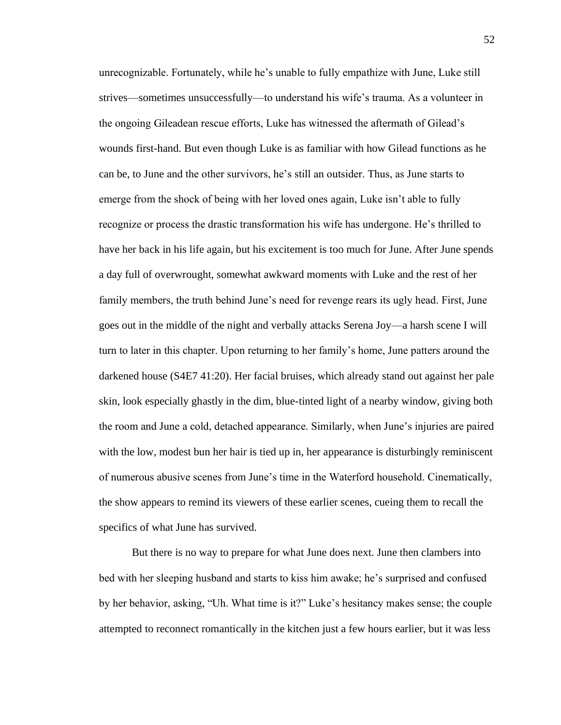unrecognizable. Fortunately, while he's unable to fully empathize with June, Luke still strives—sometimes unsuccessfully—to understand his wife's trauma. As a volunteer in the ongoing Gileadean rescue efforts, Luke has witnessed the aftermath of Gilead's wounds first-hand. But even though Luke is as familiar with how Gilead functions as he can be, to June and the other survivors, he's still an outsider. Thus, as June starts to emerge from the shock of being with her loved ones again, Luke isn't able to fully recognize or process the drastic transformation his wife has undergone. He's thrilled to have her back in his life again, but his excitement is too much for June. After June spends a day full of overwrought, somewhat awkward moments with Luke and the rest of her family members, the truth behind June's need for revenge rears its ugly head. First, June goes out in the middle of the night and verbally attacks Serena Joy—a harsh scene I will turn to later in this chapter. Upon returning to her family's home, June patters around the darkened house (S4E7 41:20). Her facial bruises, which already stand out against her pale skin, look especially ghastly in the dim, blue-tinted light of a nearby window, giving both the room and June a cold, detached appearance. Similarly, when June's injuries are paired with the low, modest bun her hair is tied up in, her appearance is disturbingly reminiscent of numerous abusive scenes from June's time in the Waterford household. Cinematically, the show appears to remind its viewers of these earlier scenes, cueing them to recall the specifics of what June has survived.

But there is no way to prepare for what June does next. June then clambers into bed with her sleeping husband and starts to kiss him awake; he's surprised and confused by her behavior, asking, "Uh. What time is it?" Luke's hesitancy makes sense; the couple attempted to reconnect romantically in the kitchen just a few hours earlier, but it was less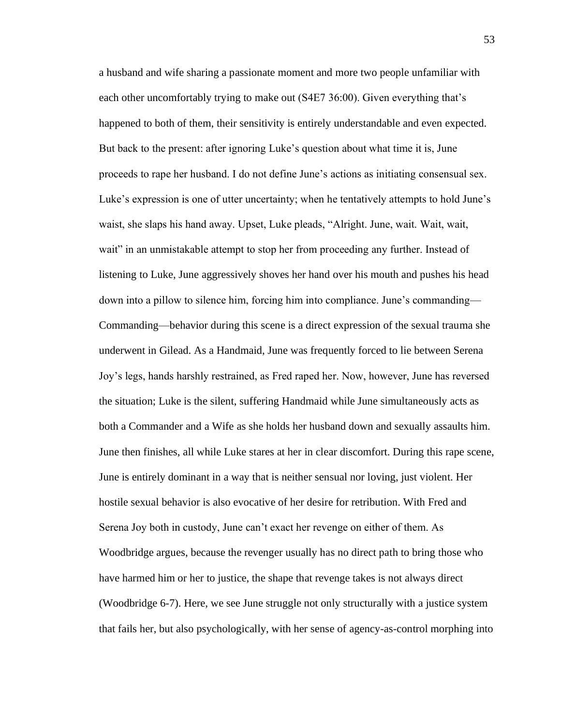a husband and wife sharing a passionate moment and more two people unfamiliar with each other uncomfortably trying to make out (S4E7 36:00). Given everything that's happened to both of them, their sensitivity is entirely understandable and even expected. But back to the present: after ignoring Luke's question about what time it is, June proceeds to rape her husband. I do not define June's actions as initiating consensual sex. Luke's expression is one of utter uncertainty; when he tentatively attempts to hold June's waist, she slaps his hand away. Upset, Luke pleads, "Alright. June, wait. Wait, wait, wait" in an unmistakable attempt to stop her from proceeding any further. Instead of listening to Luke, June aggressively shoves her hand over his mouth and pushes his head down into a pillow to silence him, forcing him into compliance. June's commanding— Commanding—behavior during this scene is a direct expression of the sexual trauma she underwent in Gilead. As a Handmaid, June was frequently forced to lie between Serena Joy's legs, hands harshly restrained, as Fred raped her. Now, however, June has reversed the situation; Luke is the silent, suffering Handmaid while June simultaneously acts as both a Commander and a Wife as she holds her husband down and sexually assaults him. June then finishes, all while Luke stares at her in clear discomfort. During this rape scene, June is entirely dominant in a way that is neither sensual nor loving, just violent. Her hostile sexual behavior is also evocative of her desire for retribution. With Fred and Serena Joy both in custody, June can't exact her revenge on either of them. As Woodbridge argues, because the revenger usually has no direct path to bring those who have harmed him or her to justice, the shape that revenge takes is not always direct (Woodbridge 6-7). Here, we see June struggle not only structurally with a justice system that fails her, but also psychologically, with her sense of agency-as-control morphing into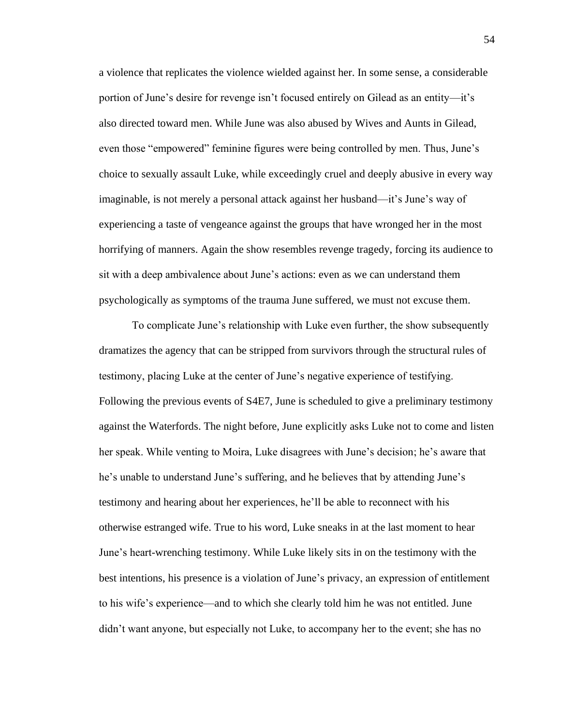a violence that replicates the violence wielded against her. In some sense, a considerable portion of June's desire for revenge isn't focused entirely on Gilead as an entity—it's also directed toward men. While June was also abused by Wives and Aunts in Gilead, even those "empowered" feminine figures were being controlled by men. Thus, June's choice to sexually assault Luke, while exceedingly cruel and deeply abusive in every way imaginable, is not merely a personal attack against her husband—it's June's way of experiencing a taste of vengeance against the groups that have wronged her in the most horrifying of manners. Again the show resembles revenge tragedy, forcing its audience to sit with a deep ambivalence about June's actions: even as we can understand them psychologically as symptoms of the trauma June suffered, we must not excuse them.

To complicate June's relationship with Luke even further, the show subsequently dramatizes the agency that can be stripped from survivors through the structural rules of testimony, placing Luke at the center of June's negative experience of testifying. Following the previous events of S4E7, June is scheduled to give a preliminary testimony against the Waterfords. The night before, June explicitly asks Luke not to come and listen her speak. While venting to Moira, Luke disagrees with June's decision; he's aware that he's unable to understand June's suffering, and he believes that by attending June's testimony and hearing about her experiences, he'll be able to reconnect with his otherwise estranged wife. True to his word, Luke sneaks in at the last moment to hear June's heart-wrenching testimony. While Luke likely sits in on the testimony with the best intentions, his presence is a violation of June's privacy, an expression of entitlement to his wife's experience—and to which she clearly told him he was not entitled. June didn't want anyone, but especially not Luke, to accompany her to the event; she has no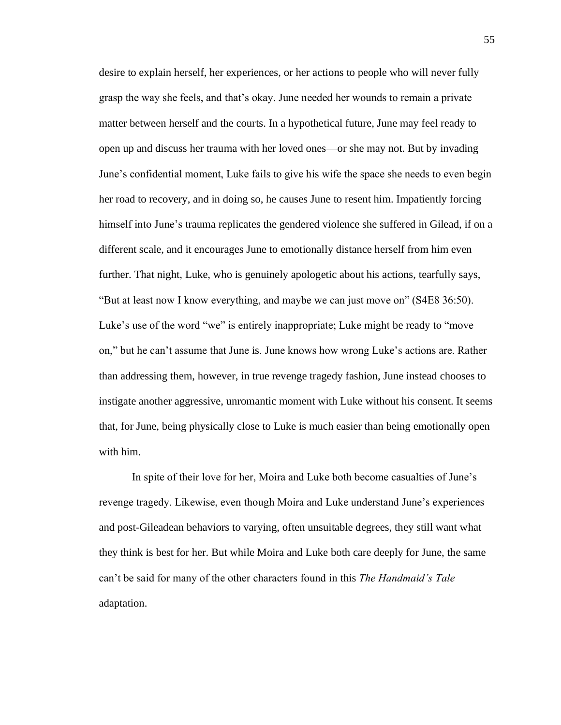desire to explain herself, her experiences, or her actions to people who will never fully grasp the way she feels, and that's okay. June needed her wounds to remain a private matter between herself and the courts. In a hypothetical future, June may feel ready to open up and discuss her trauma with her loved ones—or she may not. But by invading June's confidential moment, Luke fails to give his wife the space she needs to even begin her road to recovery, and in doing so, he causes June to resent him. Impatiently forcing himself into June's trauma replicates the gendered violence she suffered in Gilead, if on a different scale, and it encourages June to emotionally distance herself from him even further. That night, Luke, who is genuinely apologetic about his actions, tearfully says, "But at least now I know everything, and maybe we can just move on" (S4E8 36:50). Luke's use of the word "we" is entirely inappropriate; Luke might be ready to "move on," but he can't assume that June is. June knows how wrong Luke's actions are. Rather than addressing them, however, in true revenge tragedy fashion, June instead chooses to instigate another aggressive, unromantic moment with Luke without his consent. It seems that, for June, being physically close to Luke is much easier than being emotionally open with him.

In spite of their love for her, Moira and Luke both become casualties of June's revenge tragedy. Likewise, even though Moira and Luke understand June's experiences and post-Gileadean behaviors to varying, often unsuitable degrees, they still want what they think is best for her. But while Moira and Luke both care deeply for June, the same can't be said for many of the other characters found in this *The Handmaid's Tale* adaptation.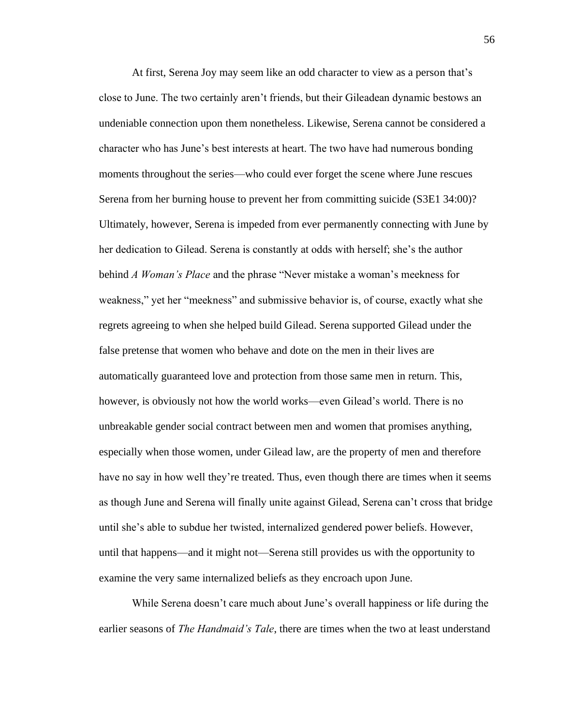At first, Serena Joy may seem like an odd character to view as a person that's close to June. The two certainly aren't friends, but their Gileadean dynamic bestows an undeniable connection upon them nonetheless. Likewise, Serena cannot be considered a character who has June's best interests at heart. The two have had numerous bonding moments throughout the series—who could ever forget the scene where June rescues Serena from her burning house to prevent her from committing suicide (S3E1 34:00)? Ultimately, however, Serena is impeded from ever permanently connecting with June by her dedication to Gilead. Serena is constantly at odds with herself; she's the author behind *A Woman's Place* and the phrase "Never mistake a woman's meekness for weakness," yet her "meekness" and submissive behavior is, of course, exactly what she regrets agreeing to when she helped build Gilead. Serena supported Gilead under the false pretense that women who behave and dote on the men in their lives are automatically guaranteed love and protection from those same men in return. This, however, is obviously not how the world works—even Gilead's world. There is no unbreakable gender social contract between men and women that promises anything, especially when those women, under Gilead law, are the property of men and therefore have no say in how well they're treated. Thus, even though there are times when it seems as though June and Serena will finally unite against Gilead, Serena can't cross that bridge until she's able to subdue her twisted, internalized gendered power beliefs. However, until that happens—and it might not—Serena still provides us with the opportunity to examine the very same internalized beliefs as they encroach upon June.

While Serena doesn't care much about June's overall happiness or life during the earlier seasons of *The Handmaid's Tale*, there are times when the two at least understand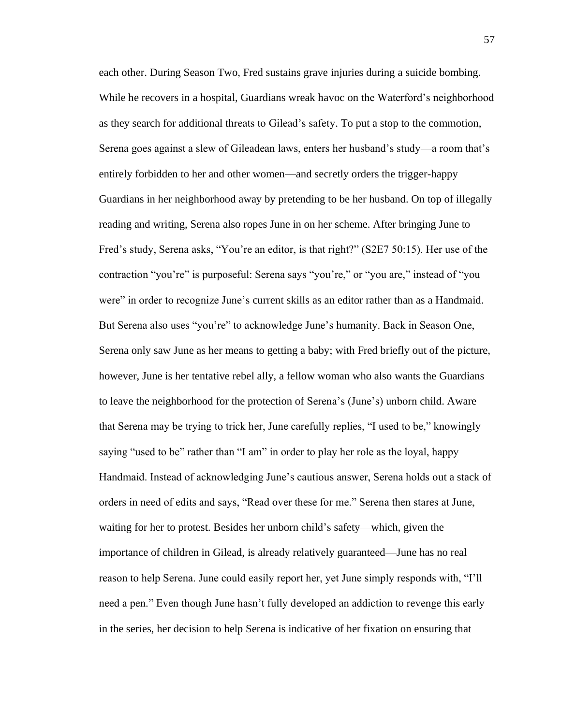each other. During Season Two, Fred sustains grave injuries during a suicide bombing. While he recovers in a hospital, Guardians wreak havoc on the Waterford's neighborhood as they search for additional threats to Gilead's safety. To put a stop to the commotion, Serena goes against a slew of Gileadean laws, enters her husband's study—a room that's entirely forbidden to her and other women—and secretly orders the trigger-happy Guardians in her neighborhood away by pretending to be her husband. On top of illegally reading and writing, Serena also ropes June in on her scheme. After bringing June to Fred's study, Serena asks, "You're an editor, is that right?" (S2E7 50:15). Her use of the contraction "you're" is purposeful: Serena says "you're," or "you are," instead of "you were" in order to recognize June's current skills as an editor rather than as a Handmaid. But Serena also uses "you're" to acknowledge June's humanity. Back in Season One, Serena only saw June as her means to getting a baby; with Fred briefly out of the picture, however, June is her tentative rebel ally, a fellow woman who also wants the Guardians to leave the neighborhood for the protection of Serena's (June's) unborn child. Aware that Serena may be trying to trick her, June carefully replies, "I used to be," knowingly saying "used to be" rather than "I am" in order to play her role as the loyal, happy Handmaid. Instead of acknowledging June's cautious answer, Serena holds out a stack of orders in need of edits and says, "Read over these for me." Serena then stares at June, waiting for her to protest. Besides her unborn child's safety—which, given the importance of children in Gilead, is already relatively guaranteed—June has no real reason to help Serena. June could easily report her, yet June simply responds with, "I'll need a pen." Even though June hasn't fully developed an addiction to revenge this early in the series, her decision to help Serena is indicative of her fixation on ensuring that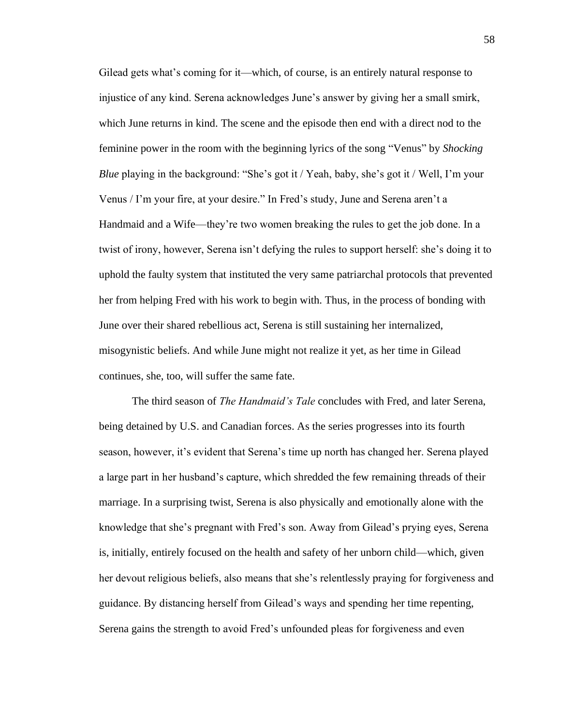Gilead gets what's coming for it—which, of course, is an entirely natural response to injustice of any kind. Serena acknowledges June's answer by giving her a small smirk, which June returns in kind. The scene and the episode then end with a direct nod to the feminine power in the room with the beginning lyrics of the song "Venus" by *Shocking Blue* playing in the background: "She's got it / Yeah, baby, she's got it / Well, I'm your Venus / I'm your fire, at your desire." In Fred's study, June and Serena aren't a Handmaid and a Wife—they're two women breaking the rules to get the job done. In a twist of irony, however, Serena isn't defying the rules to support herself: she's doing it to uphold the faulty system that instituted the very same patriarchal protocols that prevented her from helping Fred with his work to begin with. Thus, in the process of bonding with June over their shared rebellious act, Serena is still sustaining her internalized, misogynistic beliefs. And while June might not realize it yet, as her time in Gilead continues, she, too, will suffer the same fate.

The third season of *The Handmaid's Tale* concludes with Fred, and later Serena, being detained by U.S. and Canadian forces. As the series progresses into its fourth season, however, it's evident that Serena's time up north has changed her. Serena played a large part in her husband's capture, which shredded the few remaining threads of their marriage. In a surprising twist, Serena is also physically and emotionally alone with the knowledge that she's pregnant with Fred's son. Away from Gilead's prying eyes, Serena is, initially, entirely focused on the health and safety of her unborn child—which, given her devout religious beliefs, also means that she's relentlessly praying for forgiveness and guidance. By distancing herself from Gilead's ways and spending her time repenting, Serena gains the strength to avoid Fred's unfounded pleas for forgiveness and even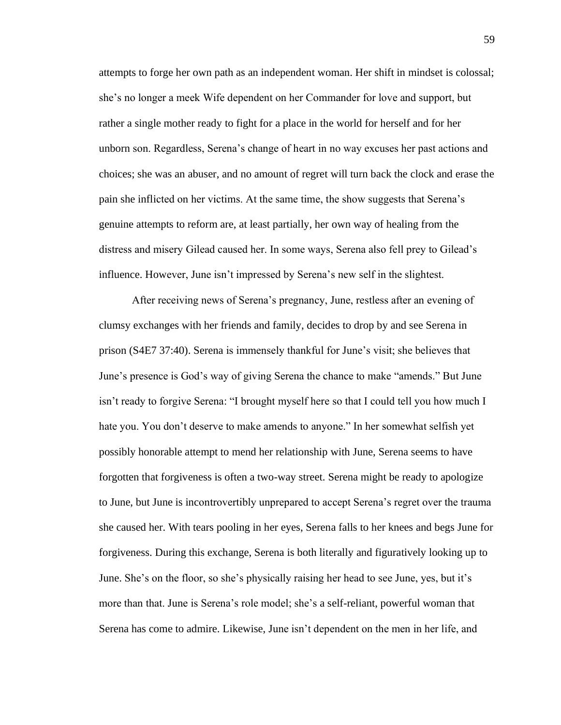attempts to forge her own path as an independent woman. Her shift in mindset is colossal; she's no longer a meek Wife dependent on her Commander for love and support, but rather a single mother ready to fight for a place in the world for herself and for her unborn son. Regardless, Serena's change of heart in no way excuses her past actions and choices; she was an abuser, and no amount of regret will turn back the clock and erase the pain she inflicted on her victims. At the same time, the show suggests that Serena's genuine attempts to reform are, at least partially, her own way of healing from the distress and misery Gilead caused her. In some ways, Serena also fell prey to Gilead's influence. However, June isn't impressed by Serena's new self in the slightest.

After receiving news of Serena's pregnancy, June, restless after an evening of clumsy exchanges with her friends and family, decides to drop by and see Serena in prison (S4E7 37:40). Serena is immensely thankful for June's visit; she believes that June's presence is God's way of giving Serena the chance to make "amends." But June isn't ready to forgive Serena: "I brought myself here so that I could tell you how much I hate you. You don't deserve to make amends to anyone." In her somewhat selfish yet possibly honorable attempt to mend her relationship with June, Serena seems to have forgotten that forgiveness is often a two-way street. Serena might be ready to apologize to June, but June is incontrovertibly unprepared to accept Serena's regret over the trauma she caused her. With tears pooling in her eyes, Serena falls to her knees and begs June for forgiveness. During this exchange, Serena is both literally and figuratively looking up to June. She's on the floor, so she's physically raising her head to see June, yes, but it's more than that. June is Serena's role model; she's a self-reliant, powerful woman that Serena has come to admire. Likewise, June isn't dependent on the men in her life, and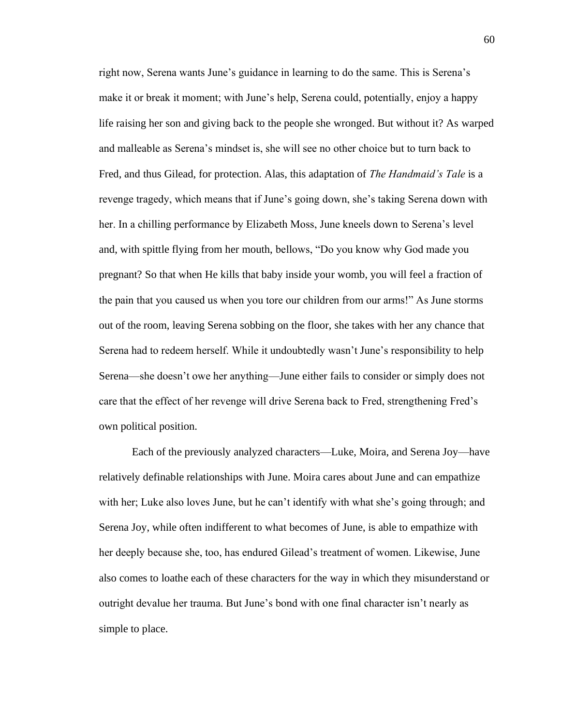right now, Serena wants June's guidance in learning to do the same. This is Serena's make it or break it moment; with June's help, Serena could, potentially, enjoy a happy life raising her son and giving back to the people she wronged. But without it? As warped and malleable as Serena's mindset is, she will see no other choice but to turn back to Fred, and thus Gilead, for protection. Alas, this adaptation of *The Handmaid's Tale* is a revenge tragedy, which means that if June's going down, she's taking Serena down with her. In a chilling performance by Elizabeth Moss, June kneels down to Serena's level and, with spittle flying from her mouth, bellows, "Do you know why God made you pregnant? So that when He kills that baby inside your womb, you will feel a fraction of the pain that you caused us when you tore our children from our arms!" As June storms out of the room, leaving Serena sobbing on the floor, she takes with her any chance that Serena had to redeem herself. While it undoubtedly wasn't June's responsibility to help Serena—she doesn't owe her anything—June either fails to consider or simply does not care that the effect of her revenge will drive Serena back to Fred, strengthening Fred's own political position.

Each of the previously analyzed characters—Luke, Moira, and Serena Joy—have relatively definable relationships with June. Moira cares about June and can empathize with her; Luke also loves June, but he can't identify with what she's going through; and Serena Joy, while often indifferent to what becomes of June, is able to empathize with her deeply because she, too, has endured Gilead's treatment of women. Likewise, June also comes to loathe each of these characters for the way in which they misunderstand or outright devalue her trauma. But June's bond with one final character isn't nearly as simple to place.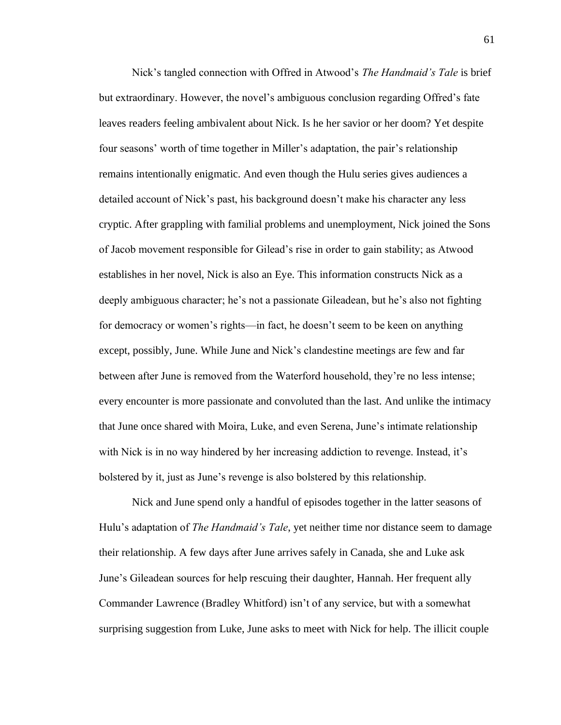Nick's tangled connection with Offred in Atwood's *The Handmaid's Tale* is brief but extraordinary. However, the novel's ambiguous conclusion regarding Offred's fate leaves readers feeling ambivalent about Nick. Is he her savior or her doom? Yet despite four seasons' worth of time together in Miller's adaptation, the pair's relationship remains intentionally enigmatic. And even though the Hulu series gives audiences a detailed account of Nick's past, his background doesn't make his character any less cryptic. After grappling with familial problems and unemployment, Nick joined the Sons of Jacob movement responsible for Gilead's rise in order to gain stability; as Atwood establishes in her novel, Nick is also an Eye. This information constructs Nick as a deeply ambiguous character; he's not a passionate Gileadean, but he's also not fighting for democracy or women's rights—in fact, he doesn't seem to be keen on anything except, possibly, June. While June and Nick's clandestine meetings are few and far between after June is removed from the Waterford household, they're no less intense; every encounter is more passionate and convoluted than the last. And unlike the intimacy that June once shared with Moira, Luke, and even Serena, June's intimate relationship with Nick is in no way hindered by her increasing addiction to revenge. Instead, it's bolstered by it, just as June's revenge is also bolstered by this relationship.

Nick and June spend only a handful of episodes together in the latter seasons of Hulu's adaptation of *The Handmaid's Tale*, yet neither time nor distance seem to damage their relationship. A few days after June arrives safely in Canada, she and Luke ask June's Gileadean sources for help rescuing their daughter, Hannah. Her frequent ally Commander Lawrence (Bradley Whitford) isn't of any service, but with a somewhat surprising suggestion from Luke, June asks to meet with Nick for help. The illicit couple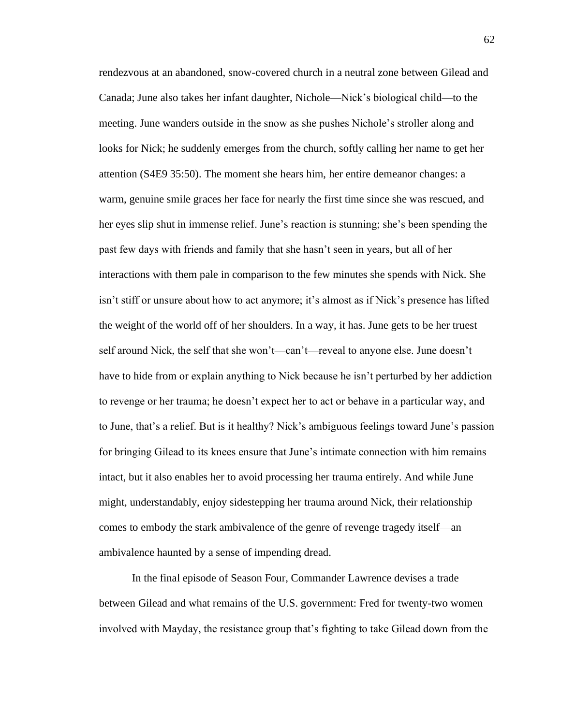rendezvous at an abandoned, snow-covered church in a neutral zone between Gilead and Canada; June also takes her infant daughter, Nichole—Nick's biological child—to the meeting. June wanders outside in the snow as she pushes Nichole's stroller along and looks for Nick; he suddenly emerges from the church, softly calling her name to get her attention (S4E9 35:50). The moment she hears him, her entire demeanor changes: a warm, genuine smile graces her face for nearly the first time since she was rescued, and her eyes slip shut in immense relief. June's reaction is stunning; she's been spending the past few days with friends and family that she hasn't seen in years, but all of her interactions with them pale in comparison to the few minutes she spends with Nick. She isn't stiff or unsure about how to act anymore; it's almost as if Nick's presence has lifted the weight of the world off of her shoulders. In a way, it has. June gets to be her truest self around Nick, the self that she won't—can't—reveal to anyone else. June doesn't have to hide from or explain anything to Nick because he isn't perturbed by her addiction to revenge or her trauma; he doesn't expect her to act or behave in a particular way, and to June, that's a relief. But is it healthy? Nick's ambiguous feelings toward June's passion for bringing Gilead to its knees ensure that June's intimate connection with him remains intact, but it also enables her to avoid processing her trauma entirely. And while June might, understandably, enjoy sidestepping her trauma around Nick, their relationship comes to embody the stark ambivalence of the genre of revenge tragedy itself—an ambivalence haunted by a sense of impending dread.

In the final episode of Season Four, Commander Lawrence devises a trade between Gilead and what remains of the U.S. government: Fred for twenty-two women involved with Mayday, the resistance group that's fighting to take Gilead down from the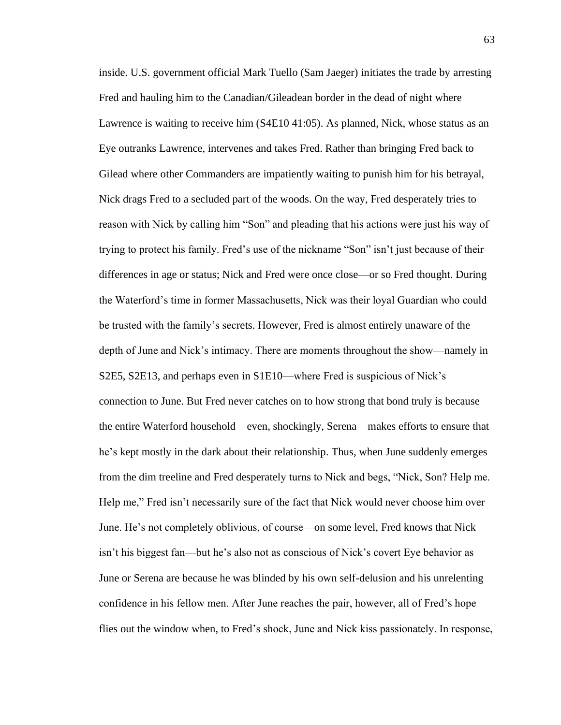inside. U.S. government official Mark Tuello (Sam Jaeger) initiates the trade by arresting Fred and hauling him to the Canadian/Gileadean border in the dead of night where Lawrence is waiting to receive him (S4E10 41:05). As planned, Nick, whose status as an Eye outranks Lawrence, intervenes and takes Fred. Rather than bringing Fred back to Gilead where other Commanders are impatiently waiting to punish him for his betrayal, Nick drags Fred to a secluded part of the woods. On the way, Fred desperately tries to reason with Nick by calling him "Son" and pleading that his actions were just his way of trying to protect his family. Fred's use of the nickname "Son" isn't just because of their differences in age or status; Nick and Fred were once close—or so Fred thought. During the Waterford's time in former Massachusetts, Nick was their loyal Guardian who could be trusted with the family's secrets. However, Fred is almost entirely unaware of the depth of June and Nick's intimacy. There are moments throughout the show—namely in S2E5, S2E13, and perhaps even in S1E10—where Fred is suspicious of Nick's connection to June. But Fred never catches on to how strong that bond truly is because the entire Waterford household—even, shockingly, Serena—makes efforts to ensure that he's kept mostly in the dark about their relationship. Thus, when June suddenly emerges from the dim treeline and Fred desperately turns to Nick and begs, "Nick, Son? Help me. Help me," Fred isn't necessarily sure of the fact that Nick would never choose him over June. He's not completely oblivious, of course—on some level, Fred knows that Nick isn't his biggest fan—but he's also not as conscious of Nick's covert Eye behavior as June or Serena are because he was blinded by his own self-delusion and his unrelenting confidence in his fellow men. After June reaches the pair, however, all of Fred's hope flies out the window when, to Fred's shock, June and Nick kiss passionately. In response,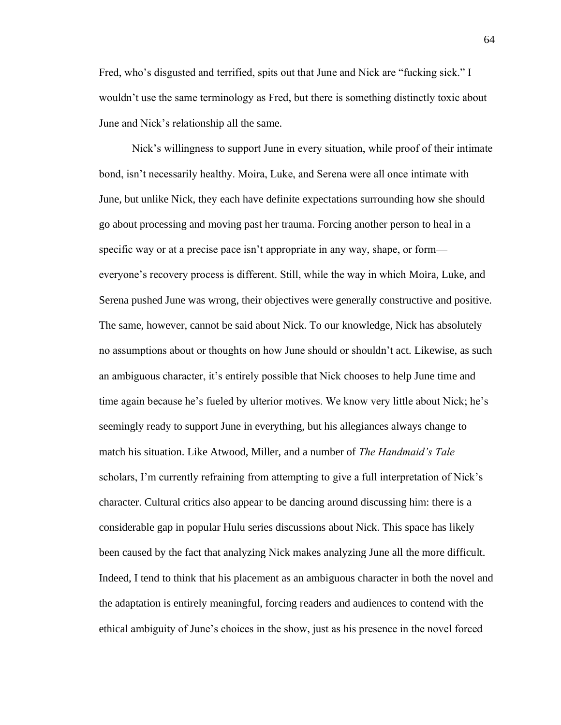Fred, who's disgusted and terrified, spits out that June and Nick are "fucking sick." I wouldn't use the same terminology as Fred, but there is something distinctly toxic about June and Nick's relationship all the same.

Nick's willingness to support June in every situation, while proof of their intimate bond, isn't necessarily healthy. Moira, Luke, and Serena were all once intimate with June, but unlike Nick, they each have definite expectations surrounding how she should go about processing and moving past her trauma. Forcing another person to heal in a specific way or at a precise pace isn't appropriate in any way, shape, or form everyone's recovery process is different. Still, while the way in which Moira, Luke, and Serena pushed June was wrong, their objectives were generally constructive and positive. The same, however, cannot be said about Nick. To our knowledge, Nick has absolutely no assumptions about or thoughts on how June should or shouldn't act. Likewise, as such an ambiguous character, it's entirely possible that Nick chooses to help June time and time again because he's fueled by ulterior motives. We know very little about Nick; he's seemingly ready to support June in everything, but his allegiances always change to match his situation. Like Atwood, Miller, and a number of *The Handmaid's Tale* scholars, I'm currently refraining from attempting to give a full interpretation of Nick's character. Cultural critics also appear to be dancing around discussing him: there is a considerable gap in popular Hulu series discussions about Nick. This space has likely been caused by the fact that analyzing Nick makes analyzing June all the more difficult. Indeed, I tend to think that his placement as an ambiguous character in both the novel and the adaptation is entirely meaningful, forcing readers and audiences to contend with the ethical ambiguity of June's choices in the show, just as his presence in the novel forced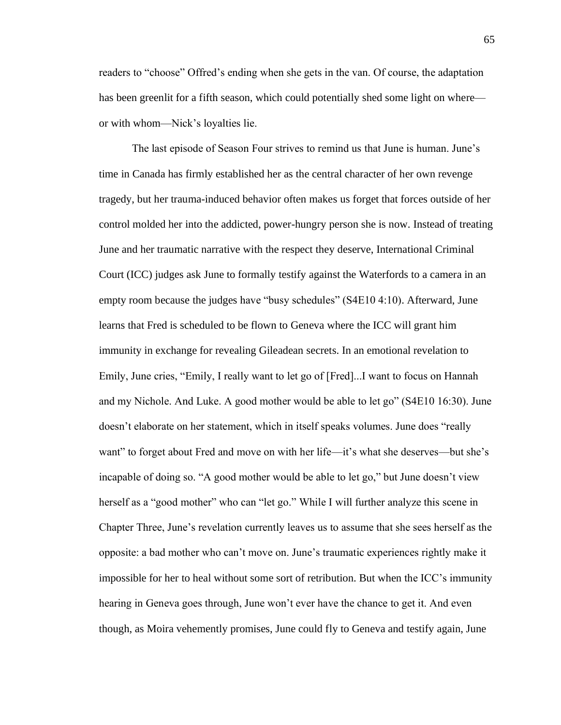readers to "choose" Offred's ending when she gets in the van. Of course, the adaptation has been greenlit for a fifth season, which could potentially shed some light on where or with whom—Nick's loyalties lie.

The last episode of Season Four strives to remind us that June is human. June's time in Canada has firmly established her as the central character of her own revenge tragedy, but her trauma-induced behavior often makes us forget that forces outside of her control molded her into the addicted, power-hungry person she is now. Instead of treating June and her traumatic narrative with the respect they deserve, International Criminal Court (ICC) judges ask June to formally testify against the Waterfords to a camera in an empty room because the judges have "busy schedules" (S4E10 4:10). Afterward, June learns that Fred is scheduled to be flown to Geneva where the ICC will grant him immunity in exchange for revealing Gileadean secrets. In an emotional revelation to Emily, June cries, "Emily, I really want to let go of [Fred]...I want to focus on Hannah and my Nichole. And Luke. A good mother would be able to let go" (S4E10 16:30). June doesn't elaborate on her statement, which in itself speaks volumes. June does "really want" to forget about Fred and move on with her life—it's what she deserves—but she's incapable of doing so. "A good mother would be able to let go," but June doesn't view herself as a "good mother" who can "let go." While I will further analyze this scene in Chapter Three, June's revelation currently leaves us to assume that she sees herself as the opposite: a bad mother who can't move on. June's traumatic experiences rightly make it impossible for her to heal without some sort of retribution. But when the ICC's immunity hearing in Geneva goes through, June won't ever have the chance to get it. And even though, as Moira vehemently promises, June could fly to Geneva and testify again, June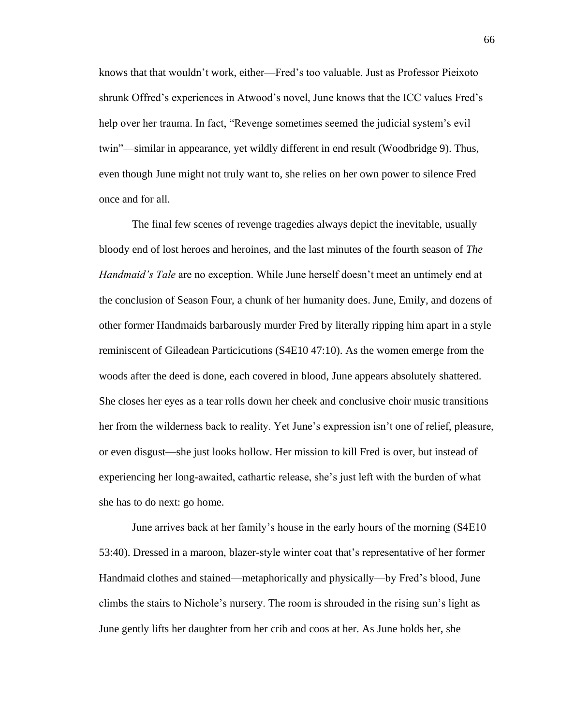knows that that wouldn't work, either—Fred's too valuable. Just as Professor Pieixoto shrunk Offred's experiences in Atwood's novel, June knows that the ICC values Fred's help over her trauma. In fact, "Revenge sometimes seemed the judicial system's evil twin"—similar in appearance, yet wildly different in end result (Woodbridge 9). Thus, even though June might not truly want to, she relies on her own power to silence Fred once and for all.

The final few scenes of revenge tragedies always depict the inevitable, usually bloody end of lost heroes and heroines, and the last minutes of the fourth season of *The Handmaid's Tale* are no exception. While June herself doesn't meet an untimely end at the conclusion of Season Four, a chunk of her humanity does. June, Emily, and dozens of other former Handmaids barbarously murder Fred by literally ripping him apart in a style reminiscent of Gileadean Particicutions (S4E10 47:10). As the women emerge from the woods after the deed is done, each covered in blood, June appears absolutely shattered. She closes her eyes as a tear rolls down her cheek and conclusive choir music transitions her from the wilderness back to reality. Yet June's expression isn't one of relief, pleasure, or even disgust—she just looks hollow. Her mission to kill Fred is over, but instead of experiencing her long-awaited, cathartic release, she's just left with the burden of what she has to do next: go home.

June arrives back at her family's house in the early hours of the morning (S4E10 53:40). Dressed in a maroon, blazer-style winter coat that's representative of her former Handmaid clothes and stained—metaphorically and physically—by Fred's blood, June climbs the stairs to Nichole's nursery. The room is shrouded in the rising sun's light as June gently lifts her daughter from her crib and coos at her. As June holds her, she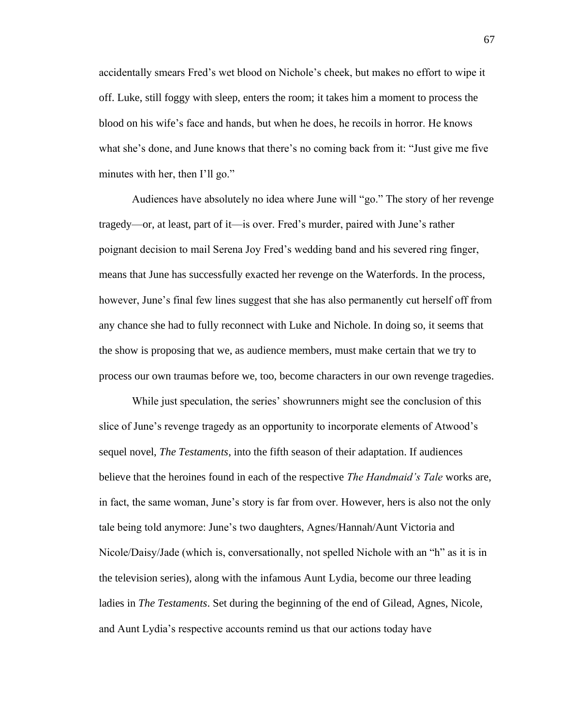accidentally smears Fred's wet blood on Nichole's cheek, but makes no effort to wipe it off. Luke, still foggy with sleep, enters the room; it takes him a moment to process the blood on his wife's face and hands, but when he does, he recoils in horror. He knows what she's done, and June knows that there's no coming back from it: "Just give me five minutes with her, then I'll go."

Audiences have absolutely no idea where June will "go." The story of her revenge tragedy—or, at least, part of it—is over. Fred's murder, paired with June's rather poignant decision to mail Serena Joy Fred's wedding band and his severed ring finger, means that June has successfully exacted her revenge on the Waterfords. In the process, however, June's final few lines suggest that she has also permanently cut herself off from any chance she had to fully reconnect with Luke and Nichole. In doing so, it seems that the show is proposing that we, as audience members, must make certain that we try to process our own traumas before we, too, become characters in our own revenge tragedies.

While just speculation, the series' showrunners might see the conclusion of this slice of June's revenge tragedy as an opportunity to incorporate elements of Atwood's sequel novel, *The Testaments*, into the fifth season of their adaptation. If audiences believe that the heroines found in each of the respective *The Handmaid's Tale* works are, in fact, the same woman, June's story is far from over. However, hers is also not the only tale being told anymore: June's two daughters, Agnes/Hannah/Aunt Victoria and Nicole/Daisy/Jade (which is, conversationally, not spelled Nichole with an "h" as it is in the television series), along with the infamous Aunt Lydia, become our three leading ladies in *The Testaments*. Set during the beginning of the end of Gilead, Agnes, Nicole, and Aunt Lydia's respective accounts remind us that our actions today have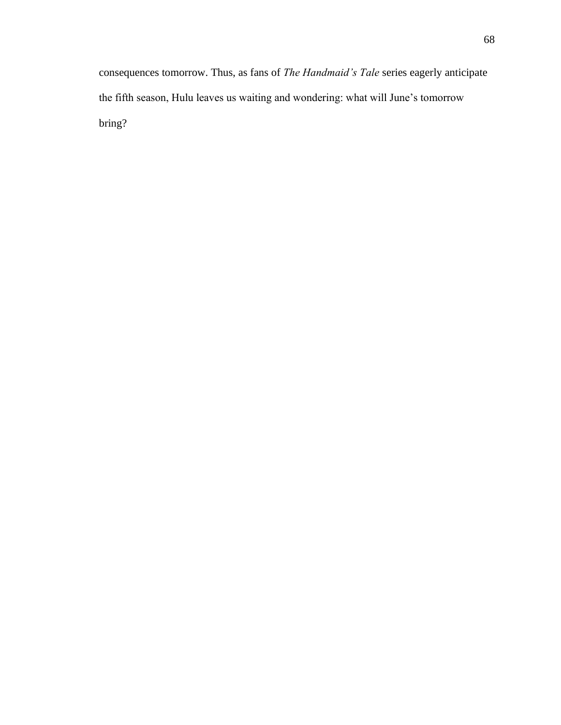consequences tomorrow. Thus, as fans of *The Handmaid's Tale* series eagerly anticipate the fifth season, Hulu leaves us waiting and wondering: what will June's tomorrow bring?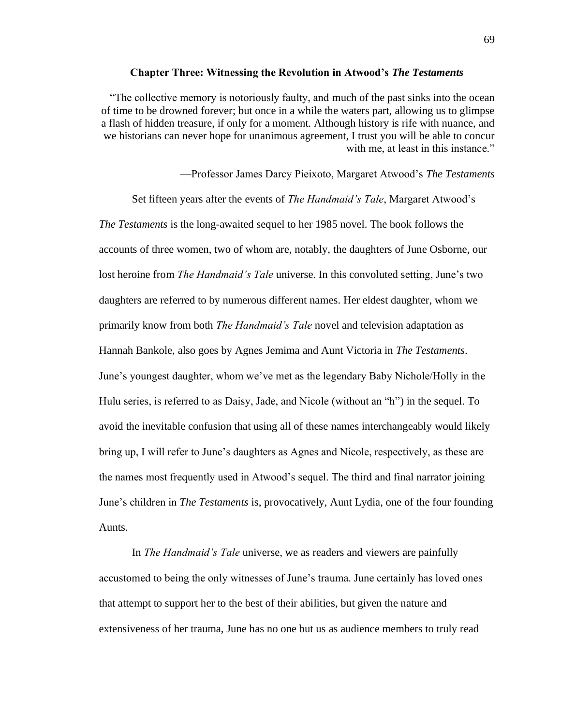## **Chapter Three: Witnessing the Revolution in Atwood's** *The Testaments*

"The collective memory is notoriously faulty, and much of the past sinks into the ocean of time to be drowned forever; but once in a while the waters part, allowing us to glimpse a flash of hidden treasure, if only for a moment. Although history is rife with nuance, and we historians can never hope for unanimous agreement, I trust you will be able to concur with me, at least in this instance."

—Professor James Darcy Pieixoto, Margaret Atwood's *The Testaments*

Set fifteen years after the events of *The Handmaid's Tale*, Margaret Atwood's *The Testaments* is the long-awaited sequel to her 1985 novel. The book follows the accounts of three women, two of whom are, notably, the daughters of June Osborne, our lost heroine from *The Handmaid's Tale* universe. In this convoluted setting, June's two daughters are referred to by numerous different names. Her eldest daughter, whom we primarily know from both *The Handmaid's Tale* novel and television adaptation as Hannah Bankole, also goes by Agnes Jemima and Aunt Victoria in *The Testaments*. June's youngest daughter, whom we've met as the legendary Baby Nichole/Holly in the Hulu series, is referred to as Daisy, Jade, and Nicole (without an "h") in the sequel. To avoid the inevitable confusion that using all of these names interchangeably would likely bring up, I will refer to June's daughters as Agnes and Nicole, respectively, as these are the names most frequently used in Atwood's sequel. The third and final narrator joining June's children in *The Testaments* is, provocatively, Aunt Lydia, one of the four founding Aunts.

In *The Handmaid's Tale* universe, we as readers and viewers are painfully accustomed to being the only witnesses of June's trauma. June certainly has loved ones that attempt to support her to the best of their abilities, but given the nature and extensiveness of her trauma, June has no one but us as audience members to truly read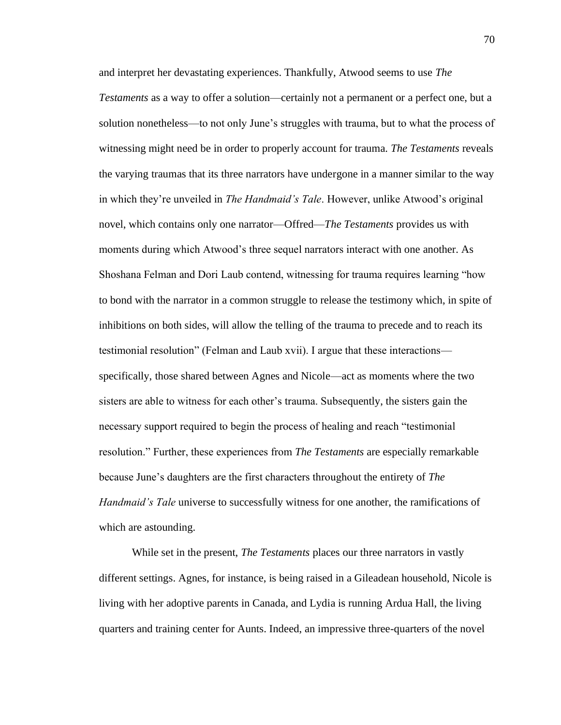and interpret her devastating experiences. Thankfully, Atwood seems to use *The Testaments* as a way to offer a solution—certainly not a permanent or a perfect one, but a solution nonetheless—to not only June's struggles with trauma, but to what the process of witnessing might need be in order to properly account for trauma. *The Testaments* reveals the varying traumas that its three narrators have undergone in a manner similar to the way in which they're unveiled in *The Handmaid's Tale*. However, unlike Atwood's original novel, which contains only one narrator—Offred—*The Testaments* provides us with moments during which Atwood's three sequel narrators interact with one another. As Shoshana Felman and Dori Laub contend, witnessing for trauma requires learning "how to bond with the narrator in a common struggle to release the testimony which, in spite of inhibitions on both sides, will allow the telling of the trauma to precede and to reach its testimonial resolution" (Felman and Laub xvii). I argue that these interactions specifically, those shared between Agnes and Nicole—act as moments where the two sisters are able to witness for each other's trauma. Subsequently, the sisters gain the necessary support required to begin the process of healing and reach "testimonial resolution." Further, these experiences from *The Testaments* are especially remarkable because June's daughters are the first characters throughout the entirety of *The Handmaid's Tale* universe to successfully witness for one another, the ramifications of which are astounding.

While set in the present, *The Testaments* places our three narrators in vastly different settings. Agnes, for instance, is being raised in a Gileadean household, Nicole is living with her adoptive parents in Canada, and Lydia is running Ardua Hall, the living quarters and training center for Aunts. Indeed, an impressive three-quarters of the novel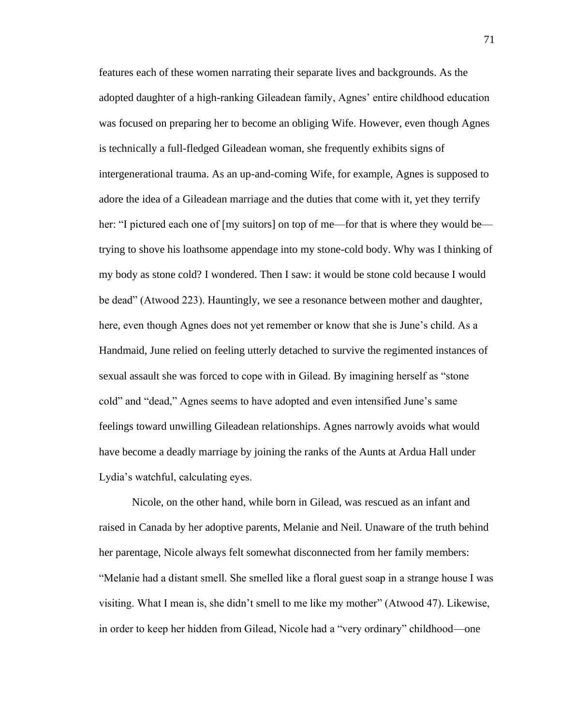features each of these women narrating their separate lives and backgrounds. As the adopted daughter of a high-ranking Gileadean family, Agnes' entire childhood education was focused on preparing her to become an obliging Wife. However, even though Agnes is technically a full-fledged Gileadean woman, she frequently exhibits signs of intergenerational trauma. As an up-and-coming Wife, for example, Agnes is supposed to adore the idea of a Gileadean marriage and the duties that come with it, yet they terrify her: "I pictured each one of [my suitors] on top of me—for that is where they would be trying to shove his loathsome appendage into my stone-cold body. Why was I thinking of my body as stone cold? I wondered. Then I saw: it would be stone cold because I would be dead" (Atwood 223). Hauntingly, we see a resonance between mother and daughter, here, even though Agnes does not yet remember or know that she is June's child. As a Handmaid, June relied on feeling utterly detached to survive the regimented instances of sexual assault she was forced to cope with in Gilead. By imagining herself as "stone cold" and "dead," Agnes seems to have adopted and even intensified June's same feelings toward unwilling Gileadean relationships. Agnes narrowly avoids what would have become a deadly marriage by joining the ranks of the Aunts at Ardua Hall under Lydia's watchful, calculating eyes.

Nicole, on the other hand, while born in Gilead, was rescued as an infant and raised in Canada by her adoptive parents, Melanie and Neil. Unaware of the truth behind her parentage, Nicole always felt somewhat disconnected from her family members: "Melanie had a distant smell. She smelled like a floral guest soap in a strange house I was visiting. What I mean is, she didn't smell to me like my mother" (Atwood 47). Likewise, in order to keep her hidden from Gilead, Nicole had a "very ordinary" childhood—one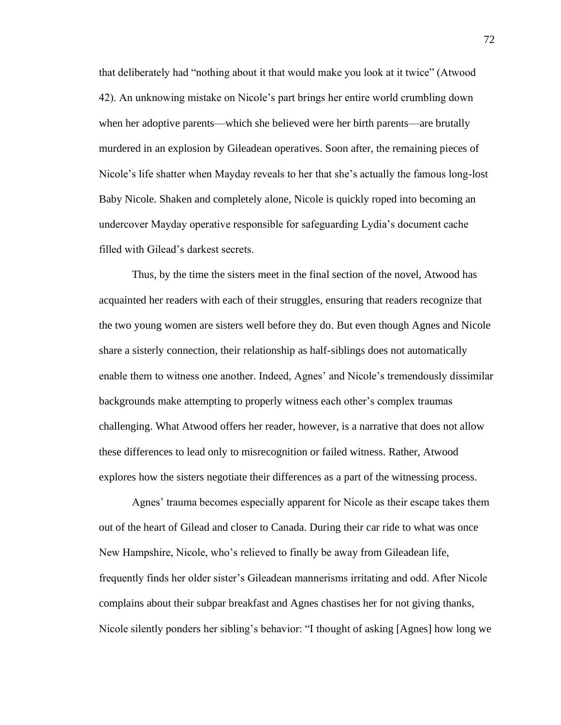that deliberately had "nothing about it that would make you look at it twice" (Atwood 42). An unknowing mistake on Nicole's part brings her entire world crumbling down when her adoptive parents—which she believed were her birth parents—are brutally murdered in an explosion by Gileadean operatives. Soon after, the remaining pieces of Nicole's life shatter when Mayday reveals to her that she's actually the famous long-lost Baby Nicole. Shaken and completely alone, Nicole is quickly roped into becoming an undercover Mayday operative responsible for safeguarding Lydia's document cache filled with Gilead's darkest secrets.

Thus, by the time the sisters meet in the final section of the novel, Atwood has acquainted her readers with each of their struggles, ensuring that readers recognize that the two young women are sisters well before they do. But even though Agnes and Nicole share a sisterly connection, their relationship as half-siblings does not automatically enable them to witness one another. Indeed, Agnes' and Nicole's tremendously dissimilar backgrounds make attempting to properly witness each other's complex traumas challenging. What Atwood offers her reader, however, is a narrative that does not allow these differences to lead only to misrecognition or failed witness. Rather, Atwood explores how the sisters negotiate their differences as a part of the witnessing process.

Agnes' trauma becomes especially apparent for Nicole as their escape takes them out of the heart of Gilead and closer to Canada. During their car ride to what was once New Hampshire, Nicole, who's relieved to finally be away from Gileadean life, frequently finds her older sister's Gileadean mannerisms irritating and odd. After Nicole complains about their subpar breakfast and Agnes chastises her for not giving thanks, Nicole silently ponders her sibling's behavior: "I thought of asking [Agnes] how long we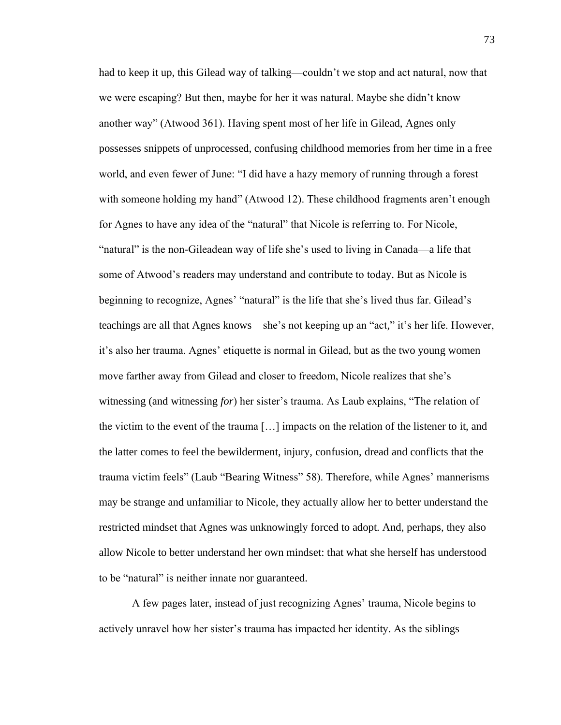had to keep it up, this Gilead way of talking—couldn't we stop and act natural, now that we were escaping? But then, maybe for her it was natural. Maybe she didn't know another way" (Atwood 361). Having spent most of her life in Gilead, Agnes only possesses snippets of unprocessed, confusing childhood memories from her time in a free world, and even fewer of June: "I did have a hazy memory of running through a forest with someone holding my hand" (Atwood 12). These childhood fragments aren't enough for Agnes to have any idea of the "natural" that Nicole is referring to. For Nicole, "natural" is the non-Gileadean way of life she's used to living in Canada—a life that some of Atwood's readers may understand and contribute to today. But as Nicole is beginning to recognize, Agnes' "natural" is the life that she's lived thus far. Gilead's teachings are all that Agnes knows—she's not keeping up an "act," it's her life. However, it's also her trauma. Agnes' etiquette is normal in Gilead, but as the two young women move farther away from Gilead and closer to freedom, Nicole realizes that she's witnessing (and witnessing *for*) her sister's trauma. As Laub explains, "The relation of the victim to the event of the trauma […] impacts on the relation of the listener to it, and the latter comes to feel the bewilderment, injury, confusion, dread and conflicts that the trauma victim feels" (Laub "Bearing Witness" 58). Therefore, while Agnes' mannerisms may be strange and unfamiliar to Nicole, they actually allow her to better understand the restricted mindset that Agnes was unknowingly forced to adopt. And, perhaps, they also allow Nicole to better understand her own mindset: that what she herself has understood to be "natural" is neither innate nor guaranteed.

A few pages later, instead of just recognizing Agnes' trauma, Nicole begins to actively unravel how her sister's trauma has impacted her identity. As the siblings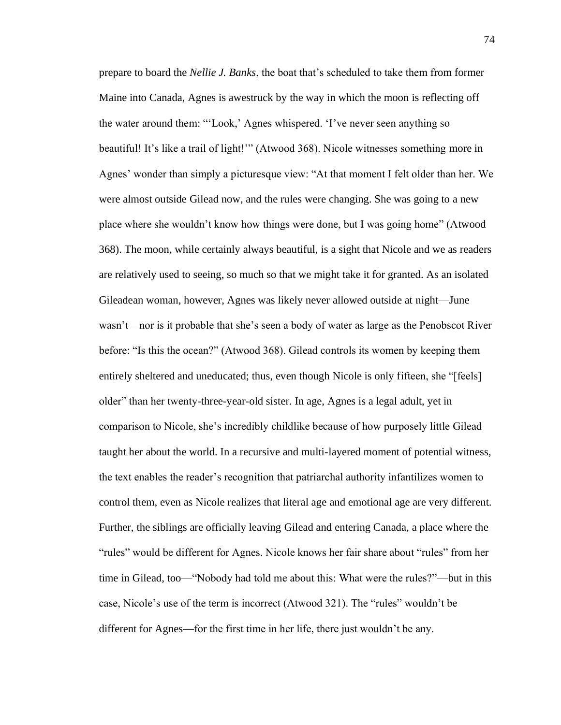prepare to board the *Nellie J. Banks*, the boat that's scheduled to take them from former Maine into Canada, Agnes is awestruck by the way in which the moon is reflecting off the water around them: "'Look,' Agnes whispered. 'I've never seen anything so beautiful! It's like a trail of light!'" (Atwood 368). Nicole witnesses something more in Agnes' wonder than simply a picturesque view: "At that moment I felt older than her. We were almost outside Gilead now, and the rules were changing. She was going to a new place where she wouldn't know how things were done, but I was going home" (Atwood 368). The moon, while certainly always beautiful, is a sight that Nicole and we as readers are relatively used to seeing, so much so that we might take it for granted. As an isolated Gileadean woman, however, Agnes was likely never allowed outside at night—June wasn't—nor is it probable that she's seen a body of water as large as the Penobscot River before: "Is this the ocean?" (Atwood 368). Gilead controls its women by keeping them entirely sheltered and uneducated; thus, even though Nicole is only fifteen, she "[feels] older" than her twenty-three-year-old sister. In age, Agnes is a legal adult, yet in comparison to Nicole, she's incredibly childlike because of how purposely little Gilead taught her about the world. In a recursive and multi-layered moment of potential witness, the text enables the reader's recognition that patriarchal authority infantilizes women to control them, even as Nicole realizes that literal age and emotional age are very different. Further, the siblings are officially leaving Gilead and entering Canada, a place where the "rules" would be different for Agnes. Nicole knows her fair share about "rules" from her time in Gilead, too—"Nobody had told me about this: What were the rules?"—but in this case, Nicole's use of the term is incorrect (Atwood 321). The "rules" wouldn't be different for Agnes—for the first time in her life, there just wouldn't be any.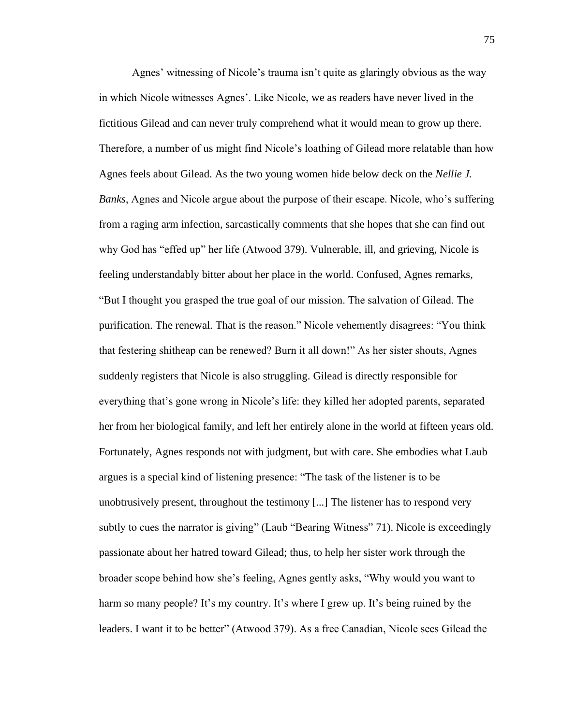Agnes' witnessing of Nicole's trauma isn't quite as glaringly obvious as the way in which Nicole witnesses Agnes'. Like Nicole, we as readers have never lived in the fictitious Gilead and can never truly comprehend what it would mean to grow up there. Therefore, a number of us might find Nicole's loathing of Gilead more relatable than how Agnes feels about Gilead. As the two young women hide below deck on the *Nellie J. Banks*, Agnes and Nicole argue about the purpose of their escape. Nicole, who's suffering from a raging arm infection, sarcastically comments that she hopes that she can find out why God has "effed up" her life (Atwood 379). Vulnerable, ill, and grieving, Nicole is feeling understandably bitter about her place in the world. Confused, Agnes remarks, "But I thought you grasped the true goal of our mission. The salvation of Gilead. The purification. The renewal. That is the reason." Nicole vehemently disagrees: "You think that festering shitheap can be renewed? Burn it all down!" As her sister shouts, Agnes suddenly registers that Nicole is also struggling. Gilead is directly responsible for everything that's gone wrong in Nicole's life: they killed her adopted parents, separated her from her biological family, and left her entirely alone in the world at fifteen years old. Fortunately, Agnes responds not with judgment, but with care. She embodies what Laub argues is a special kind of listening presence: "The task of the listener is to be unobtrusively present, throughout the testimony [...] The listener has to respond very subtly to cues the narrator is giving" (Laub "Bearing Witness" 71). Nicole is exceedingly passionate about her hatred toward Gilead; thus, to help her sister work through the broader scope behind how she's feeling, Agnes gently asks, "Why would you want to harm so many people? It's my country. It's where I grew up. It's being ruined by the leaders. I want it to be better" (Atwood 379). As a free Canadian, Nicole sees Gilead the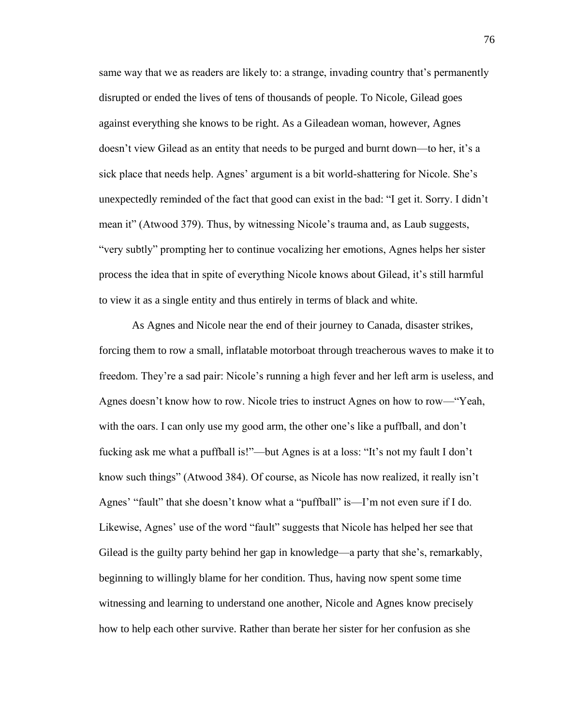same way that we as readers are likely to: a strange, invading country that's permanently disrupted or ended the lives of tens of thousands of people. To Nicole, Gilead goes against everything she knows to be right. As a Gileadean woman, however, Agnes doesn't view Gilead as an entity that needs to be purged and burnt down—to her, it's a sick place that needs help. Agnes' argument is a bit world-shattering for Nicole. She's unexpectedly reminded of the fact that good can exist in the bad: "I get it. Sorry. I didn't mean it" (Atwood 379). Thus, by witnessing Nicole's trauma and, as Laub suggests, "very subtly" prompting her to continue vocalizing her emotions, Agnes helps her sister process the idea that in spite of everything Nicole knows about Gilead, it's still harmful to view it as a single entity and thus entirely in terms of black and white.

As Agnes and Nicole near the end of their journey to Canada, disaster strikes, forcing them to row a small, inflatable motorboat through treacherous waves to make it to freedom. They're a sad pair: Nicole's running a high fever and her left arm is useless, and Agnes doesn't know how to row. Nicole tries to instruct Agnes on how to row—"Yeah, with the oars. I can only use my good arm, the other one's like a puffball, and don't fucking ask me what a puffball is!"—but Agnes is at a loss: "It's not my fault I don't know such things" (Atwood 384). Of course, as Nicole has now realized, it really isn't Agnes' "fault" that she doesn't know what a "puffball" is—I'm not even sure if I do. Likewise, Agnes' use of the word "fault" suggests that Nicole has helped her see that Gilead is the guilty party behind her gap in knowledge—a party that she's, remarkably, beginning to willingly blame for her condition. Thus, having now spent some time witnessing and learning to understand one another, Nicole and Agnes know precisely how to help each other survive. Rather than berate her sister for her confusion as she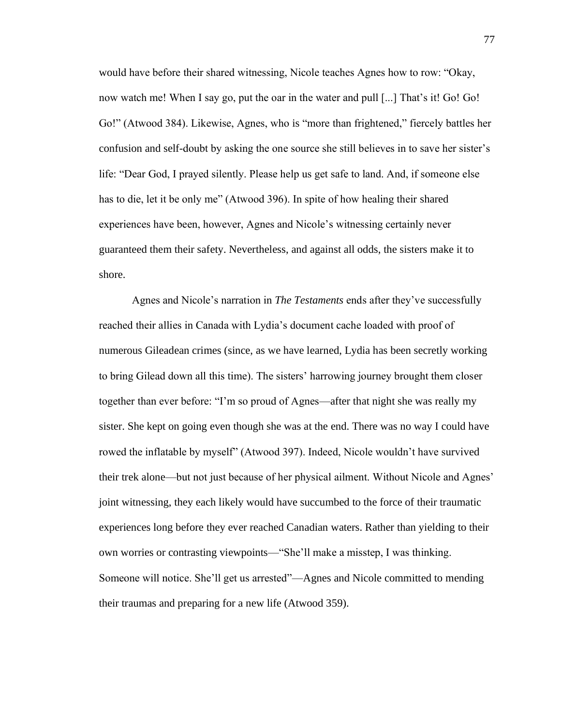would have before their shared witnessing, Nicole teaches Agnes how to row: "Okay, now watch me! When I say go, put the oar in the water and pull [...] That's it! Go! Go! Go!" (Atwood 384). Likewise, Agnes, who is "more than frightened," fiercely battles her confusion and self-doubt by asking the one source she still believes in to save her sister's life: "Dear God, I prayed silently. Please help us get safe to land. And, if someone else has to die, let it be only me" (Atwood 396). In spite of how healing their shared experiences have been, however, Agnes and Nicole's witnessing certainly never guaranteed them their safety. Nevertheless, and against all odds, the sisters make it to shore.

Agnes and Nicole's narration in *The Testaments* ends after they've successfully reached their allies in Canada with Lydia's document cache loaded with proof of numerous Gileadean crimes (since, as we have learned, Lydia has been secretly working to bring Gilead down all this time). The sisters' harrowing journey brought them closer together than ever before: "I'm so proud of Agnes—after that night she was really my sister. She kept on going even though she was at the end. There was no way I could have rowed the inflatable by myself" (Atwood 397). Indeed, Nicole wouldn't have survived their trek alone—but not just because of her physical ailment. Without Nicole and Agnes' joint witnessing, they each likely would have succumbed to the force of their traumatic experiences long before they ever reached Canadian waters. Rather than yielding to their own worries or contrasting viewpoints—"She'll make a misstep, I was thinking. Someone will notice. She'll get us arrested"—Agnes and Nicole committed to mending their traumas and preparing for a new life (Atwood 359).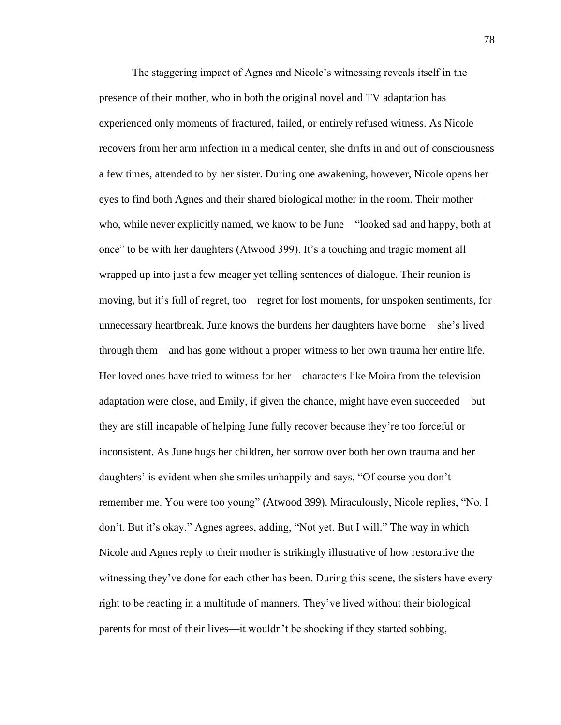The staggering impact of Agnes and Nicole's witnessing reveals itself in the presence of their mother, who in both the original novel and TV adaptation has experienced only moments of fractured, failed, or entirely refused witness. As Nicole recovers from her arm infection in a medical center, she drifts in and out of consciousness a few times, attended to by her sister. During one awakening, however, Nicole opens her eyes to find both Agnes and their shared biological mother in the room. Their mother who, while never explicitly named, we know to be June—"looked sad and happy, both at once" to be with her daughters (Atwood 399). It's a touching and tragic moment all wrapped up into just a few meager yet telling sentences of dialogue. Their reunion is moving, but it's full of regret, too—regret for lost moments, for unspoken sentiments, for unnecessary heartbreak. June knows the burdens her daughters have borne—she's lived through them—and has gone without a proper witness to her own trauma her entire life. Her loved ones have tried to witness for her—characters like Moira from the television adaptation were close, and Emily, if given the chance, might have even succeeded—but they are still incapable of helping June fully recover because they're too forceful or inconsistent. As June hugs her children, her sorrow over both her own trauma and her daughters' is evident when she smiles unhappily and says, "Of course you don't remember me. You were too young" (Atwood 399). Miraculously, Nicole replies, "No. I don't. But it's okay." Agnes agrees, adding, "Not yet. But I will." The way in which Nicole and Agnes reply to their mother is strikingly illustrative of how restorative the witnessing they've done for each other has been. During this scene, the sisters have every right to be reacting in a multitude of manners. They've lived without their biological parents for most of their lives—it wouldn't be shocking if they started sobbing,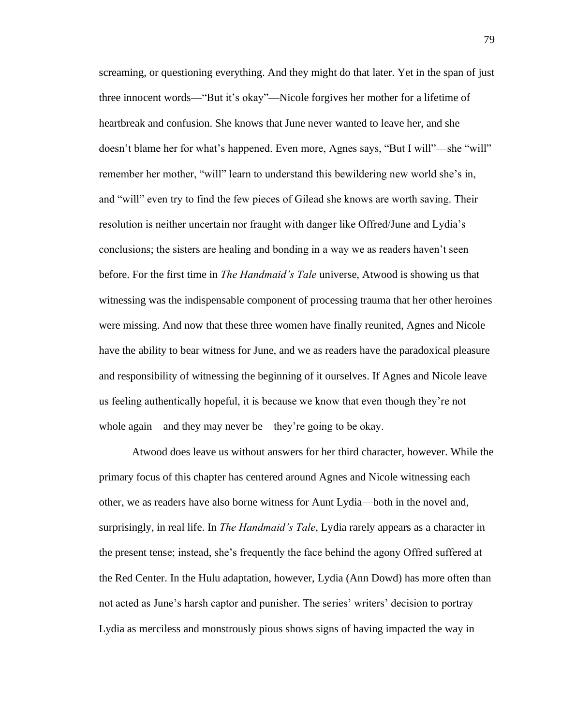screaming, or questioning everything. And they might do that later. Yet in the span of just three innocent words—"But it's okay"—Nicole forgives her mother for a lifetime of heartbreak and confusion. She knows that June never wanted to leave her, and she doesn't blame her for what's happened. Even more, Agnes says, "But I will"—she "will" remember her mother, "will" learn to understand this bewildering new world she's in, and "will" even try to find the few pieces of Gilead she knows are worth saving. Their resolution is neither uncertain nor fraught with danger like Offred/June and Lydia's conclusions; the sisters are healing and bonding in a way we as readers haven't seen before. For the first time in *The Handmaid's Tale* universe, Atwood is showing us that witnessing was the indispensable component of processing trauma that her other heroines were missing. And now that these three women have finally reunited, Agnes and Nicole have the ability to bear witness for June, and we as readers have the paradoxical pleasure and responsibility of witnessing the beginning of it ourselves. If Agnes and Nicole leave us feeling authentically hopeful, it is because we know that even though they're not whole again—and they may never be—they're going to be okay.

Atwood does leave us without answers for her third character, however. While the primary focus of this chapter has centered around Agnes and Nicole witnessing each other, we as readers have also borne witness for Aunt Lydia—both in the novel and, surprisingly, in real life. In *The Handmaid's Tale*, Lydia rarely appears as a character in the present tense; instead, she's frequently the face behind the agony Offred suffered at the Red Center. In the Hulu adaptation, however, Lydia (Ann Dowd) has more often than not acted as June's harsh captor and punisher. The series' writers' decision to portray Lydia as merciless and monstrously pious shows signs of having impacted the way in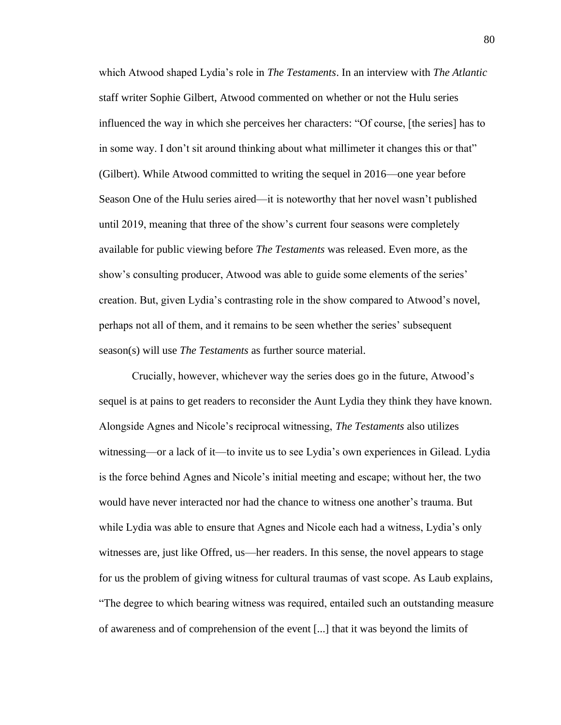which Atwood shaped Lydia's role in *The Testaments*. In an interview with *The Atlantic*  staff writer Sophie Gilbert, Atwood commented on whether or not the Hulu series influenced the way in which she perceives her characters: "Of course, [the series] has to in some way. I don't sit around thinking about what millimeter it changes this or that" (Gilbert). While Atwood committed to writing the sequel in 2016—one year before Season One of the Hulu series aired—it is noteworthy that her novel wasn't published until 2019, meaning that three of the show's current four seasons were completely available for public viewing before *The Testaments* was released. Even more, as the show's consulting producer, Atwood was able to guide some elements of the series' creation. But, given Lydia's contrasting role in the show compared to Atwood's novel, perhaps not all of them, and it remains to be seen whether the series' subsequent season(s) will use *The Testaments* as further source material.

Crucially, however, whichever way the series does go in the future, Atwood's sequel is at pains to get readers to reconsider the Aunt Lydia they think they have known. Alongside Agnes and Nicole's reciprocal witnessing, *The Testaments* also utilizes witnessing—or a lack of it—to invite us to see Lydia's own experiences in Gilead. Lydia is the force behind Agnes and Nicole's initial meeting and escape; without her, the two would have never interacted nor had the chance to witness one another's trauma. But while Lydia was able to ensure that Agnes and Nicole each had a witness, Lydia's only witnesses are, just like Offred, us—her readers. In this sense, the novel appears to stage for us the problem of giving witness for cultural traumas of vast scope. As Laub explains, "The degree to which bearing witness was required, entailed such an outstanding measure of awareness and of comprehension of the event [...] that it was beyond the limits of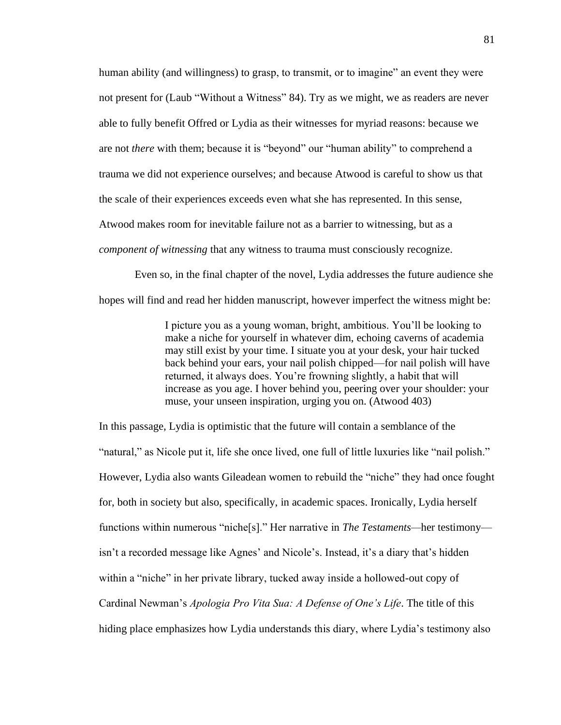human ability (and willingness) to grasp, to transmit, or to imagine" an event they were not present for (Laub "Without a Witness" 84). Try as we might, we as readers are never able to fully benefit Offred or Lydia as their witnesses for myriad reasons: because we are not *there* with them; because it is "beyond" our "human ability" to comprehend a trauma we did not experience ourselves; and because Atwood is careful to show us that the scale of their experiences exceeds even what she has represented. In this sense, Atwood makes room for inevitable failure not as a barrier to witnessing, but as a *component of witnessing* that any witness to trauma must consciously recognize.

Even so, in the final chapter of the novel, Lydia addresses the future audience she hopes will find and read her hidden manuscript, however imperfect the witness might be:

> I picture you as a young woman, bright, ambitious. You'll be looking to make a niche for yourself in whatever dim, echoing caverns of academia may still exist by your time. I situate you at your desk, your hair tucked back behind your ears, your nail polish chipped—for nail polish will have returned, it always does. You're frowning slightly, a habit that will increase as you age. I hover behind you, peering over your shoulder: your muse, your unseen inspiration, urging you on. (Atwood 403)

In this passage, Lydia is optimistic that the future will contain a semblance of the "natural," as Nicole put it, life she once lived, one full of little luxuries like "nail polish." However, Lydia also wants Gileadean women to rebuild the "niche" they had once fought for, both in society but also, specifically, in academic spaces. Ironically, Lydia herself functions within numerous "niche[s]." Her narrative in *The Testaments—*her testimony isn't a recorded message like Agnes' and Nicole's. Instead, it's a diary that's hidden within a "niche" in her private library, tucked away inside a hollowed-out copy of Cardinal Newman's *Apologia Pro Vita Sua: A Defense of One's Life*. The title of this hiding place emphasizes how Lydia understands this diary, where Lydia's testimony also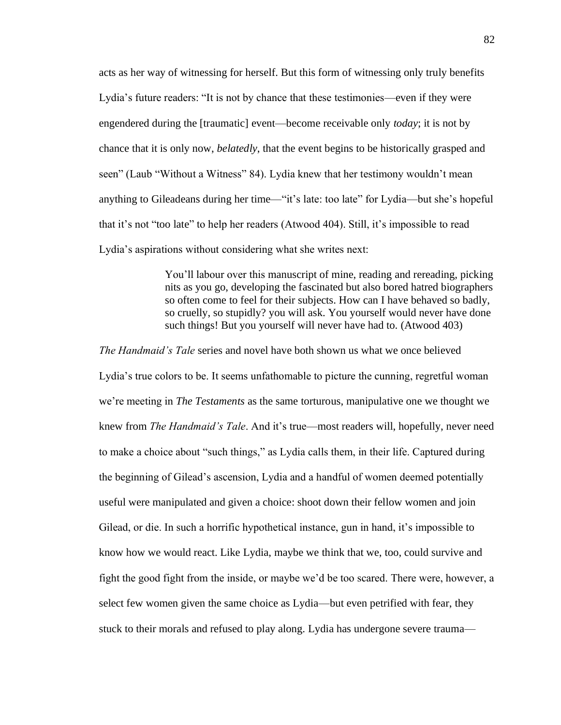acts as her way of witnessing for herself. But this form of witnessing only truly benefits Lydia's future readers: "It is not by chance that these testimonies—even if they were engendered during the [traumatic] event—become receivable only *today*; it is not by chance that it is only now, *belatedly*, that the event begins to be historically grasped and seen" (Laub "Without a Witness" 84). Lydia knew that her testimony wouldn't mean anything to Gileadeans during her time—"it's late: too late" for Lydia—but she's hopeful that it's not "too late" to help her readers (Atwood 404). Still, it's impossible to read Lydia's aspirations without considering what she writes next:

> You'll labour over this manuscript of mine, reading and rereading, picking nits as you go, developing the fascinated but also bored hatred biographers so often come to feel for their subjects. How can I have behaved so badly, so cruelly, so stupidly? you will ask. You yourself would never have done such things! But you yourself will never have had to. (Atwood 403)

*The Handmaid's Tale* series and novel have both shown us what we once believed Lydia's true colors to be. It seems unfathomable to picture the cunning, regretful woman we're meeting in *The Testaments* as the same torturous, manipulative one we thought we knew from *The Handmaid's Tale*. And it's true—most readers will, hopefully, never need to make a choice about "such things," as Lydia calls them, in their life. Captured during the beginning of Gilead's ascension, Lydia and a handful of women deemed potentially useful were manipulated and given a choice: shoot down their fellow women and join Gilead, or die. In such a horrific hypothetical instance, gun in hand, it's impossible to know how we would react. Like Lydia, maybe we think that we, too, could survive and fight the good fight from the inside, or maybe we'd be too scared. There were, however, a select few women given the same choice as Lydia—but even petrified with fear, they stuck to their morals and refused to play along. Lydia has undergone severe trauma—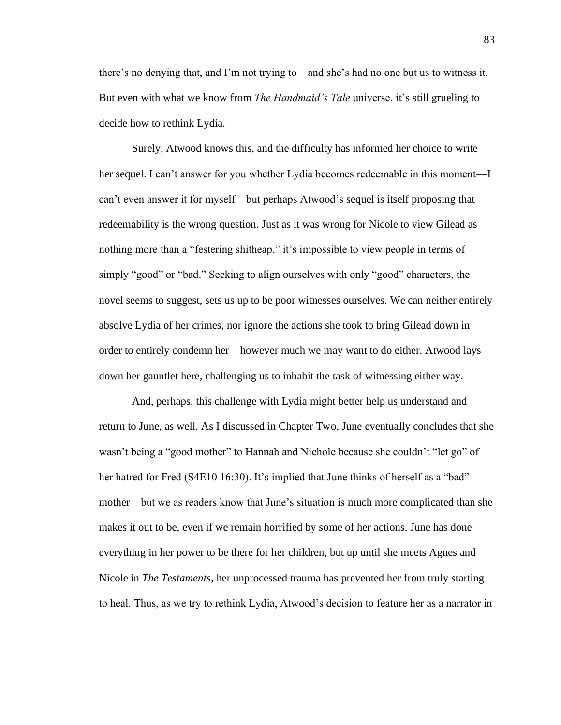there's no denying that, and I'm not trying to—and she's had no one but us to witness it. But even with what we know from *The Handmaid's Tale* universe, it's still grueling to decide how to rethink Lydia.

Surely, Atwood knows this, and the difficulty has informed her choice to write her sequel. I can't answer for you whether Lydia becomes redeemable in this moment—I can't even answer it for myself—but perhaps Atwood's sequel is itself proposing that redeemability is the wrong question. Just as it was wrong for Nicole to view Gilead as nothing more than a "festering shitheap," it's impossible to view people in terms of simply "good" or "bad." Seeking to align ourselves with only "good" characters, the novel seems to suggest, sets us up to be poor witnesses ourselves. We can neither entirely absolve Lydia of her crimes, nor ignore the actions she took to bring Gilead down in order to entirely condemn her—however much we may want to do either. Atwood lays down her gauntlet here, challenging us to inhabit the task of witnessing either way.

And, perhaps, this challenge with Lydia might better help us understand and return to June, as well. As I discussed in Chapter Two, June eventually concludes that she wasn't being a "good mother" to Hannah and Nichole because she couldn't "let go" of her hatred for Fred (S4E10 16:30). It's implied that June thinks of herself as a "bad" mother—but we as readers know that June's situation is much more complicated than she makes it out to be, even if we remain horrified by some of her actions. June has done everything in her power to be there for her children, but up until she meets Agnes and Nicole in *The Testaments*, her unprocessed trauma has prevented her from truly starting to heal. Thus, as we try to rethink Lydia, Atwood's decision to feature her as a narrator in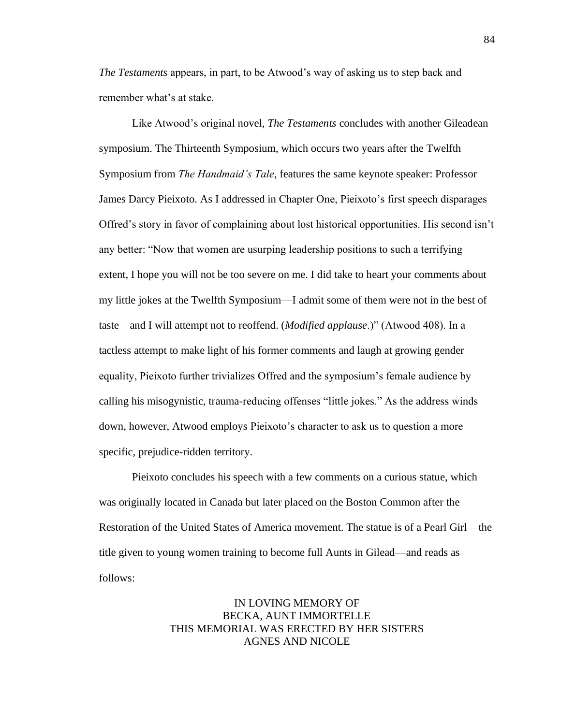*The Testaments* appears, in part, to be Atwood's way of asking us to step back and remember what's at stake.

Like Atwood's original novel, *The Testaments* concludes with another Gileadean symposium. The Thirteenth Symposium, which occurs two years after the Twelfth Symposium from *The Handmaid's Tale*, features the same keynote speaker: Professor James Darcy Pieixoto. As I addressed in Chapter One, Pieixoto's first speech disparages Offred's story in favor of complaining about lost historical opportunities. His second isn't any better: "Now that women are usurping leadership positions to such a terrifying extent, I hope you will not be too severe on me. I did take to heart your comments about my little jokes at the Twelfth Symposium—I admit some of them were not in the best of taste—and I will attempt not to reoffend. (*Modified applause*.)" (Atwood 408). In a tactless attempt to make light of his former comments and laugh at growing gender equality, Pieixoto further trivializes Offred and the symposium's female audience by calling his misogynistic, trauma-reducing offenses "little jokes." As the address winds down, however, Atwood employs Pieixoto's character to ask us to question a more specific, prejudice-ridden territory.

Pieixoto concludes his speech with a few comments on a curious statue, which was originally located in Canada but later placed on the Boston Common after the Restoration of the United States of America movement. The statue is of a Pearl Girl—the title given to young women training to become full Aunts in Gilead—and reads as follows:

> IN LOVING MEMORY OF BECKA, AUNT IMMORTELLE THIS MEMORIAL WAS ERECTED BY HER SISTERS AGNES AND NICOLE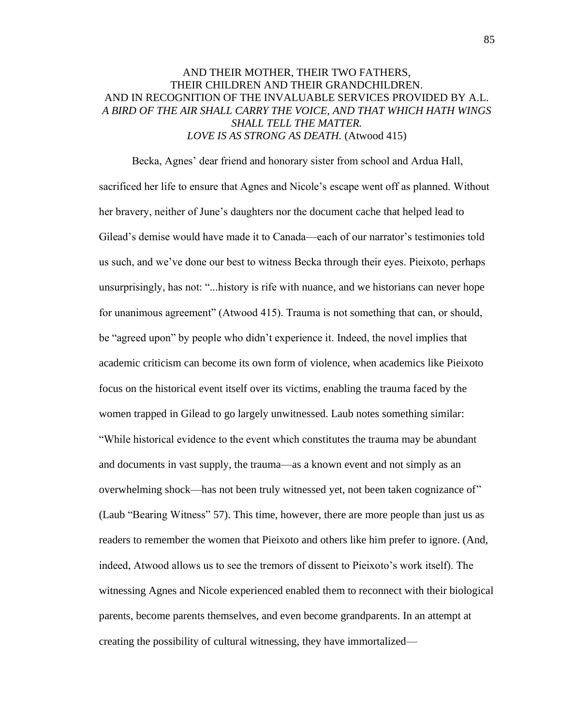## AND THEIR MOTHER, THEIR TWO FATHERS, THEIR CHILDREN AND THEIR GRANDCHILDREN. AND IN RECOGNITION OF THE INVALUABLE SERVICES PROVIDED BY A.L. *A BIRD OF THE AIR SHALL CARRY THE VOICE, AND THAT WHICH HATH WINGS SHALL TELL THE MATTER. LOVE IS AS STRONG AS DEATH.* (Atwood 415)

Becka, Agnes' dear friend and honorary sister from school and Ardua Hall, sacrificed her life to ensure that Agnes and Nicole's escape went off as planned. Without her bravery, neither of June's daughters nor the document cache that helped lead to Gilead's demise would have made it to Canada—each of our narrator's testimonies told us such, and we've done our best to witness Becka through their eyes. Pieixoto, perhaps unsurprisingly, has not: "...history is rife with nuance, and we historians can never hope for unanimous agreement" (Atwood 415). Trauma is not something that can, or should, be "agreed upon" by people who didn't experience it. Indeed, the novel implies that academic criticism can become its own form of violence, when academics like Pieixoto focus on the historical event itself over its victims, enabling the trauma faced by the women trapped in Gilead to go largely unwitnessed. Laub notes something similar: "While historical evidence to the event which constitutes the trauma may be abundant and documents in vast supply, the trauma—as a known event and not simply as an overwhelming shock—has not been truly witnessed yet, not been taken cognizance of" (Laub "Bearing Witness" 57). This time, however, there are more people than just us as readers to remember the women that Pieixoto and others like him prefer to ignore. (And, indeed, Atwood allows us to see the tremors of dissent to Pieixoto's work itself). The witnessing Agnes and Nicole experienced enabled them to reconnect with their biological parents, become parents themselves, and even become grandparents. In an attempt at creating the possibility of cultural witnessing, they have immortalized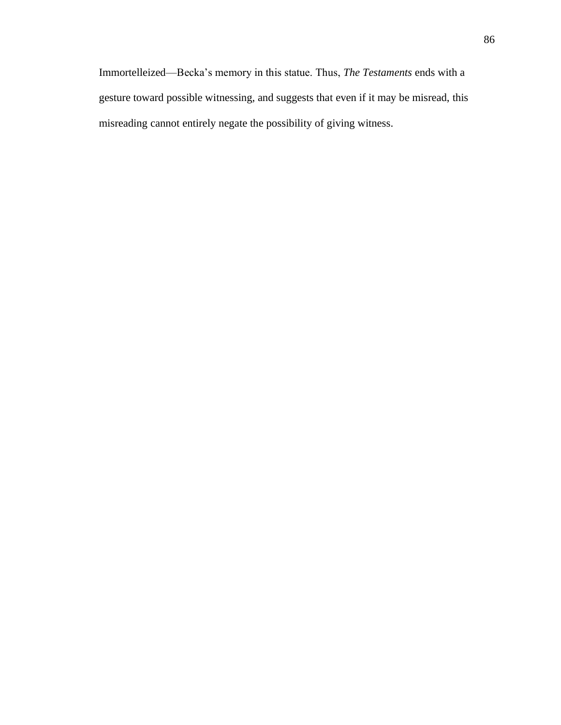Immortelleized—Becka's memory in this statue. Thus, *The Testaments* ends with a gesture toward possible witnessing, and suggests that even if it may be misread, this misreading cannot entirely negate the possibility of giving witness.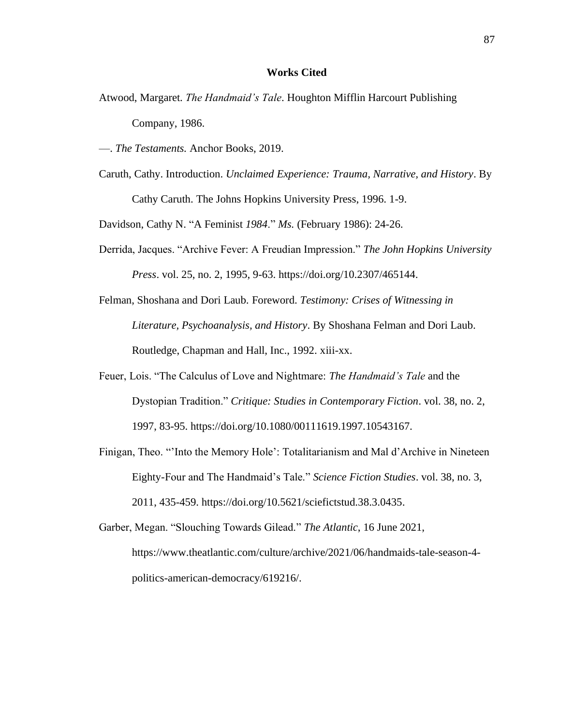## **Works Cited**

Atwood, Margaret. *The Handmaid's Tale*. Houghton Mifflin Harcourt Publishing Company, 1986.

—. *The Testaments.* Anchor Books, 2019.

Caruth, Cathy. Introduction. *Unclaimed Experience: Trauma, Narrative, and History*. By Cathy Caruth. The Johns Hopkins University Press, 1996. 1-9.

Davidson, Cathy N. "A Feminist *1984*." *Ms.* (February 1986): 24-26.

- Derrida, Jacques. "Archive Fever: A Freudian Impression." *The John Hopkins University Press*. vol. 25, no. 2, 1995, 9-63. https://doi.org/10.2307/465144.
- Felman, Shoshana and Dori Laub. Foreword. *Testimony: Crises of Witnessing in Literature, Psychoanalysis, and History*. By Shoshana Felman and Dori Laub. Routledge, Chapman and Hall, Inc., 1992. xiii-xx.
- Feuer, Lois. "The Calculus of Love and Nightmare: *The Handmaid's Tale* and the Dystopian Tradition." *Critique: Studies in Contemporary Fiction*. vol. 38, no. 2, 1997, 83-95. https://doi.org/10.1080/00111619.1997.10543167.
- Finigan, Theo. "'Into the Memory Hole': Totalitarianism and Mal d'Archive in Nineteen Eighty-Four and The Handmaid's Tale." *Science Fiction Studies*. vol. 38, no. 3, 2011, 435-459. https://doi.org/10.5621/sciefictstud.38.3.0435.

Garber, Megan. "Slouching Towards Gilead." *The Atlantic*, 16 June 2021, https://www.theatlantic.com/culture/archive/2021/06/handmaids-tale-season-4 politics-american-democracy/619216/.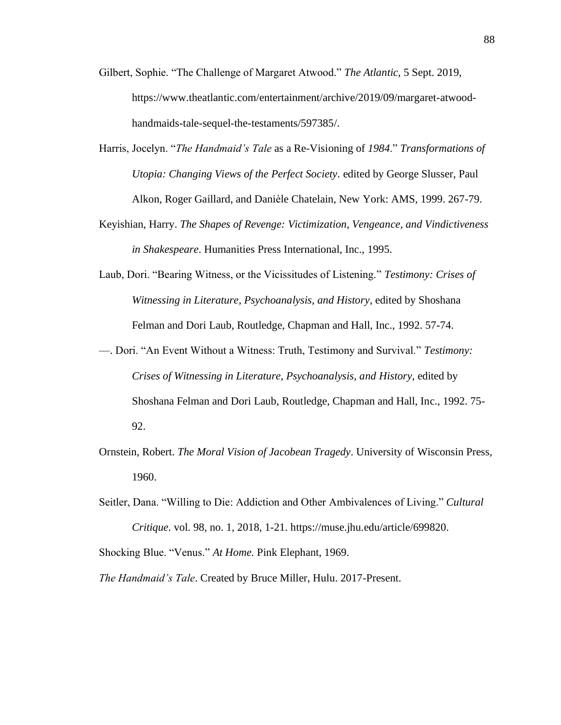- Gilbert, Sophie. "The Challenge of Margaret Atwood." *The Atlantic*, 5 Sept. 2019, https://www.theatlantic.com/entertainment/archive/2019/09/margaret-atwoodhandmaids-tale-sequel-the-testaments/597385/.
- Harris, Jocelyn. "*The Handmaid's Tale* as a Re-Visioning of *1984*." *Transformations of Utopia: Changing Views of the Perfect Society*. edited by George Slusser, Paul Alkon, Roger Gaillard, and Danièle Chatelain, New York: AMS, 1999. 267-79.
- Keyishian, Harry. *The Shapes of Revenge: Victimization, Vengeance, and Vindictiveness in Shakespeare*. Humanities Press International, Inc., 1995.
- Laub, Dori. "Bearing Witness, or the Vicissitudes of Listening." *Testimony: Crises of Witnessing in Literature, Psychoanalysis, and History*, edited by Shoshana Felman and Dori Laub, Routledge, Chapman and Hall, Inc., 1992. 57-74.
- —. Dori. "An Event Without a Witness: Truth, Testimony and Survival." *Testimony: Crises of Witnessing in Literature, Psychoanalysis, and History*, edited by Shoshana Felman and Dori Laub, Routledge, Chapman and Hall, Inc., 1992. 75- 92.
- Ornstein, Robert. *The Moral Vision of Jacobean Tragedy*. University of Wisconsin Press, 1960.
- Seitler, Dana. "Willing to Die: Addiction and Other Ambivalences of Living." *Cultural Critique*. vol. 98, no. 1, 2018, 1-21. https://muse.jhu.edu/article/699820.

Shocking Blue. "Venus." *At Home.* Pink Elephant, 1969.

*The Handmaid's Tale*. Created by Bruce Miller, Hulu. 2017-Present.